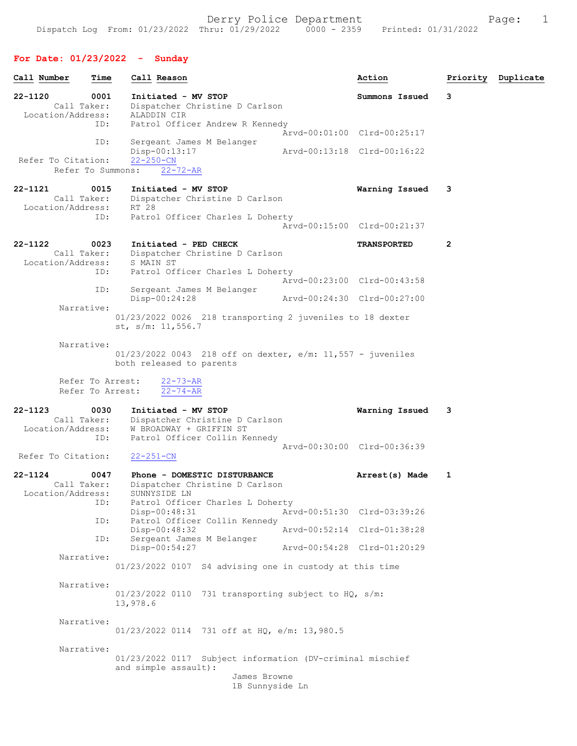| Call Number                                        | Time       | Call Reason                                                                                                                  |                                 | Action                      |   | Priority Duplicate |
|----------------------------------------------------|------------|------------------------------------------------------------------------------------------------------------------------------|---------------------------------|-----------------------------|---|--------------------|
| 22-1120<br>Call Taker:                             | 0001       | Initiated - MV STOP<br>Dispatcher Christine D Carlson                                                                        |                                 | Summons Issued              | 3 |                    |
| Location/Address:                                  | ID:        | ALADDIN CIR<br>Patrol Officer Andrew R Kennedy                                                                               |                                 |                             |   |                    |
|                                                    |            |                                                                                                                              |                                 | Arvd-00:01:00 Clrd-00:25:17 |   |                    |
| Refer To Citation:<br>Refer To Summons:            | ID:        | Sergeant James M Belanger<br>Disp-00:13:17<br>$22 - 250 - CN$<br>$22 - 72 - AR$                                              |                                 | Arvd-00:13:18 Clrd-00:16:22 |   |                    |
|                                                    |            |                                                                                                                              |                                 |                             |   |                    |
| 22-1121<br>Call Taker:<br>Location/Address:        | 0015       | Initiated - MV STOP<br>Dispatcher Christine D Carlson<br>RT 28                                                               |                                 | Warning Issued              | 3 |                    |
|                                                    | ID:        | Patrol Officer Charles L Doherty                                                                                             |                                 | Arvd-00:15:00 Clrd-00:21:37 |   |                    |
| 22-1122<br>Call Taker:<br>Location/Address:        | 0023       | Initiated - PED CHECK<br>Dispatcher Christine D Carlson<br>S MAIN ST                                                         |                                 | <b>TRANSPORTED</b>          | 2 |                    |
|                                                    | ID:        | Patrol Officer Charles L Doherty                                                                                             |                                 | Arvd-00:23:00 Clrd-00:43:58 |   |                    |
|                                                    | ID:        | Sergeant James M Belanger<br>$Disp-00:24:28$                                                                                 | Arvd-00:24:30 Clrd-00:27:00     |                             |   |                    |
| Narrative:                                         |            | 01/23/2022 0026 218 transporting 2 juveniles to 18 dexter<br>st, $s/m: 11, 556.7$                                            |                                 |                             |   |                    |
| Narrative:<br>Refer To Arrest:<br>Refer To Arrest: |            | $01/23/2022$ 0043 218 off on dexter, e/m: 11,557 - juveniles<br>both released to parents<br>$22 - 73 - AR$<br>$22 - 74 - AR$ |                                 |                             |   |                    |
| $22 - 1123$                                        | 0030       | Initiated - MV STOP                                                                                                          |                                 | Warning Issued              | 3 |                    |
| Call Taker:<br>Location/Address:                   |            | Dispatcher Christine D Carlson<br>W BROADWAY + GRIFFIN ST                                                                    |                                 |                             |   |                    |
| Refer To Citation:                                 | ID:        | Patrol Officer Collin Kennedy<br>$22 - 251 - CN$                                                                             |                                 | Arvd-00:30:00 Clrd-00:36:39 |   |                    |
| $22 - 1124$<br>Call Taker:<br>Location/Address:    | 0047       | Phone - DOMESTIC DISTURBANCE<br>Dispatcher Christine D Carlson<br>SUNNYSIDE LN                                               |                                 | Arrest(s) Made              | 1 |                    |
|                                                    | ID:<br>ID: | Patrol Officer Charles L Doherty<br>Disp-00:48:31                                                                            |                                 | Arvd-00:51:30 Clrd-03:39:26 |   |                    |
|                                                    |            | Patrol Officer Collin Kennedy<br>Disp-00:48:32                                                                               |                                 | Arvd-00:52:14 Clrd-01:38:28 |   |                    |
|                                                    | ID:        | Sergeant James M Belanger<br>Disp-00:54:27                                                                                   |                                 | Arvd-00:54:28 Clrd-01:20:29 |   |                    |
| Narrative:                                         |            | 01/23/2022 0107 S4 advising one in custody at this time                                                                      |                                 |                             |   |                    |
| Narrative:                                         |            | $01/23/2022$ 0110 731 transporting subject to HQ, s/m:<br>13,978.6                                                           |                                 |                             |   |                    |
| Narrative:                                         |            | 01/23/2022 0114 731 off at HQ, e/m: 13,980.5                                                                                 |                                 |                             |   |                    |
| Narrative:                                         |            | 01/23/2022 0117 Subject information (DV-criminal mischief<br>and simple assault):                                            | James Browne<br>1B Sunnyside Ln |                             |   |                    |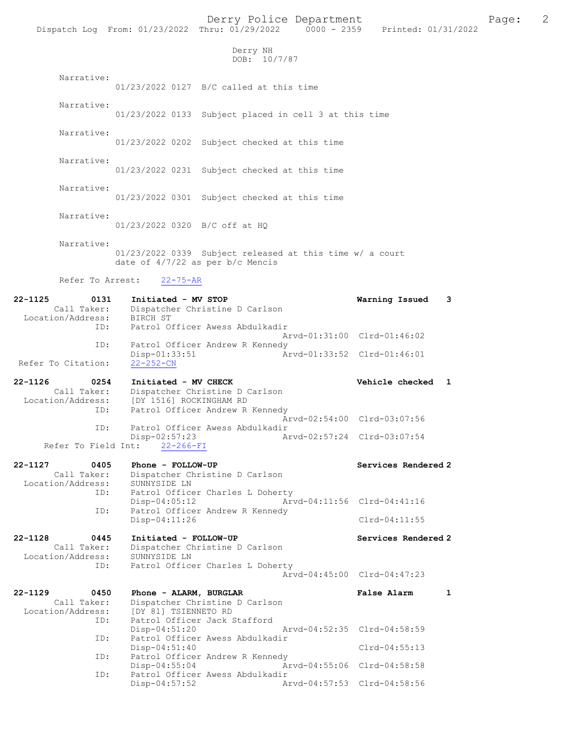Derry Police Department Page: 2 Dispatch Log From: 01/23/2022 Thru: 01/29/2022 Derry NH DOB: 10/7/87 Narrative: 01/23/2022 0127 B/C called at this time Narrative: 01/23/2022 0133 Subject placed in cell 3 at this time Narrative: 01/23/2022 0202 Subject checked at this time Narrative: 01/23/2022 0231 Subject checked at this time Narrative: 01/23/2022 0301 Subject checked at this time Narrative: 01/23/2022 0320 B/C off at HQ Narrative: 01/23/2022 0339 Subject released at this time w/ a court date of 4/7/22 as per b/c Mencis Refer To Arrest: 22-75-AR 22-1125 0131 Initiated - MV STOP Warning Issued 3 Call Taker: Dispatcher Christine D Carlson Location/Address: BIRCH ST ID: Patrol Officer Awess Abdulkadir Arvd-01:31:00 Clrd-01:46:02 ID: Patrol Officer Andrew R Kennedy<br>Disp-01:33:51 Arvd-01:33:52 Clrd-01:46:01 Disp-01:33:51<br><u>22-252-CN</u> Refer To Citation: 22-1126 0254 Initiated - MV CHECK Vehicle checked 1 Call Taker: Dispatcher Christine D Carlson Location/Address: [DY 1516] ROCKINGHAM RD ID: Patrol Officer Andrew R Kennedy Arvd-02:54:00 Clrd-03:07:56 ID: Patrol Officer Awess Abdulkadir Disp-02:57:23 Arvd-02:57:24 Clrd-03:07:54 Refer To Field Int: 22-266-FI 22-1127 0405 Phone - FOLLOW-UP Services Rendered 2 Call Taker: Dispatcher Christine D Carlson Location/Address: SUNNYSIDE LN<br>ID: Patrol Office Patrol Officer Charles L Doherty<br>Disp-04:05:12 Arv Disp-04:05:12 Arvd-04:11:56 Clrd-04:41:16 ID: Patrol Officer Andrew R Kennedy Disp-04:11:26 Clrd-04:11:55 22-1128 0445 Initiated - FOLLOW-UP Services Rendered 2 Call Taker: Dispatcher Christine D Carlson Location/Address: SUNNYSIDE LN<br>ID: Patrol Office Patrol Officer Charles L Doherty Arvd-04:45:00 Clrd-04:47:23 22-1129 0450 Phone - ALARM, BURGLAR False Alarm 1 Call Taker: Dispatcher Christine D Carlson<br>Location/Address: [DY 81] TSIENNETO RD Location/Address: [DY 81] TSIENNETO RD ID: Patrol Officer Jack Stafford Disp-04:51:20 Arvd-04:52:35 Clrd-04:58:59 ID: Patrol Officer Awess Abdulkadir Disp-04:51:40 Clrd-04:55:13<br>ID: Patrol Officer Andrew R Kennedy Patrol Officer Andrew R Kennedy Disp-04:55:04 Arvd-04:55:06 Clrd-04:58:58 ID: Patrol Officer Awess Abdulkadir<br>Disp-04:57:52 Ar Disp-04:57:52 Arvd-04:57:53 Clrd-04:58:56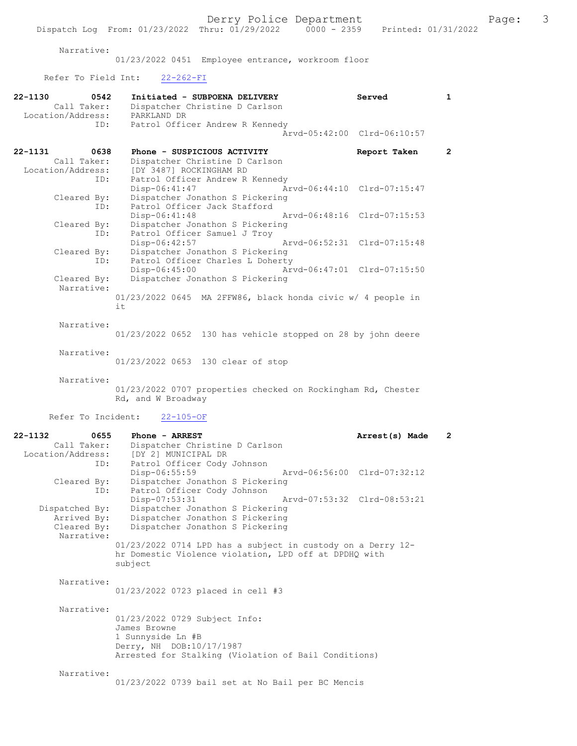Narrative:

01/23/2022 0451 Employee entrance, workroom floor

## Refer To Field Int: 22-262-FI

| 22-1130     | 0542<br>Call Taker:                          | Initiated - SUBPOENA DELIVERY<br>Dispatcher Christine D Carlson                                                                                        | Served                      | $\mathbf{1}$ |
|-------------|----------------------------------------------|--------------------------------------------------------------------------------------------------------------------------------------------------------|-----------------------------|--------------|
|             | Location/Address:                            | PARKLAND DR                                                                                                                                            |                             |              |
|             | ID:                                          | Patrol Officer Andrew R Kennedy                                                                                                                        | Arvd-05:42:00 Clrd-06:10:57 |              |
| $22 - 1131$ | 0638<br>Call Taker:                          | Phone - SUSPICIOUS ACTIVITY<br>Dispatcher Christine D Carlson                                                                                          | Report Taken                | $\mathbf{2}$ |
|             | Location/Address:<br>ID:                     | [DY 3487] ROCKINGHAM RD<br>Patrol Officer Andrew R Kennedy<br>Disp-06:41:47                                                                            | Arvd-06:44:10 Clrd-07:15:47 |              |
|             | Cleared By:<br>ID:                           | Dispatcher Jonathon S Pickering<br>Patrol Officer Jack Stafford<br>Disp-06:41:48                                                                       | Arvd-06:48:16 Clrd-07:15:53 |              |
|             | Cleared By:<br>ID:                           | Dispatcher Jonathon S Pickering<br>Patrol Officer Samuel J Troy                                                                                        | Arvd-06:52:31 Clrd-07:15:48 |              |
|             | Cleared By:<br>ID:                           | Disp-06:42:57<br>Dispatcher Jonathon S Pickering<br>Patrol Officer Charles L Doherty                                                                   |                             |              |
|             | Cleared By:<br>Narrative:                    | $Disp-06:45:00$<br>Dispatcher Jonathon S Pickering                                                                                                     | Arvd-06:47:01 Clrd-07:15:50 |              |
|             |                                              | $01/23/2022$ 0645 MA 2FFW86, black honda civic w/ 4 people in<br>it                                                                                    |                             |              |
|             | Narrative:                                   | 01/23/2022 0652 130 has vehicle stopped on 28 by john deere                                                                                            |                             |              |
|             | Narrative:                                   | 01/23/2022 0653 130 clear of stop                                                                                                                      |                             |              |
|             | Narrative:                                   | 01/23/2022 0707 properties checked on Rockingham Rd, Chester<br>Rd, and W Broadway                                                                     |                             |              |
|             | Refer To Incident:                           | $22 - 105 - OF$                                                                                                                                        |                             |              |
| 22-1132     | 0655<br>Call Taker:                          | Phone - ARREST<br>Dispatcher Christine D Carlson                                                                                                       | Arrest(s) Made              | $\mathbf{2}$ |
|             | Location/Address:<br>ID:                     | [DY 2] MUNICIPAL DR<br>Patrol Officer Cody Johnson                                                                                                     |                             |              |
|             | Cleared By:<br>ID:                           | Disp-06:55:59<br>Dispatcher Jonathon S Pickering<br>Patrol Officer Cody Johnson                                                                        | Arvd-06:56:00 Clrd-07:32:12 |              |
|             | Dispatched By:<br>Arrived By:<br>Cleared By: | Disp-07:53:31<br>Dispatcher Jonathon S Pickering<br>Dispatcher Jonathon S Pickering<br>Dispatcher Jonathon S Pickering                                 | Arvd-07:53:32 Clrd-08:53:21 |              |
|             | Narrative:                                   | $01/23/2022$ 0714 LPD has a subject in custody on a Derry 12-<br>hr Domestic Violence violation, LPD off at DPDHQ with<br>subject                      |                             |              |
|             | Narrative:                                   | 01/23/2022 0723 placed in cell #3                                                                                                                      |                             |              |
|             | Narrative:                                   | 01/23/2022 0729 Subject Info:<br>James Browne<br>1 Sunnyside Ln #B<br>Derry, NH DOB:10/17/1987<br>Arrested for Stalking (Violation of Bail Conditions) |                             |              |
|             | Narrative:                                   | 01/23/2022 0739 bail set at No Bail per BC Mencis                                                                                                      |                             |              |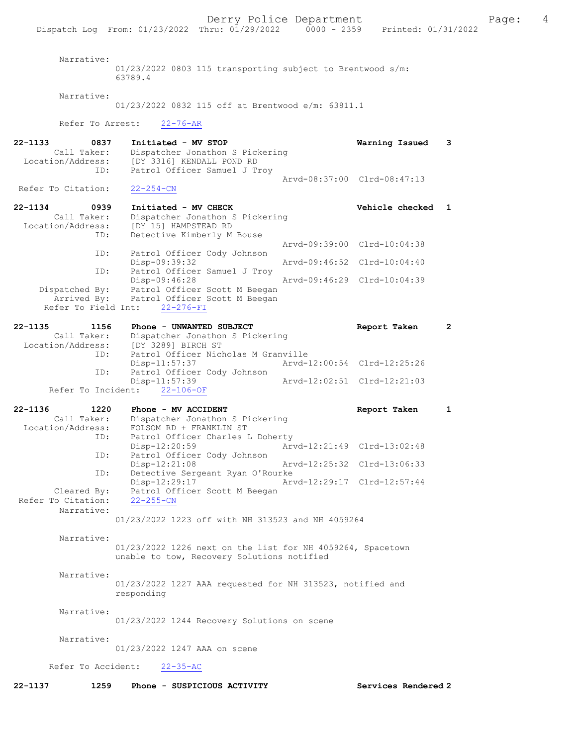Narrative:

01/23/2022 0803 115 transporting subject to Brentwood s/m: 63789.4

Narrative:

01/23/2022 0832 115 off at Brentwood e/m: 63811.1

Refer To Arrest: 22-76-AR

| 22-1133<br>Call Taker:<br>Location/Address: | 0837<br>ID: | Initiated - MV STOP<br>Dispatcher Jonathon S Pickering<br>[DY 3316] KENDALL POND RD<br>Patrol Officer Samuel J Troy | Warning Issued              |  |
|---------------------------------------------|-------------|---------------------------------------------------------------------------------------------------------------------|-----------------------------|--|
| Refer To Citation:                          |             | $22 - 254 - CN$                                                                                                     | Aryd-08:37:00 Clrd-08:47:13 |  |
| 22-1134<br>Call Taker:                      | 0939        | Initiated - MV CHECK<br>Dispatcher Jonathon S Pickering                                                             | Vehicle checked 1           |  |

| Location/Address: [DY 15] HAMPSTEAD RD |     |                                           |  |                             |  |
|----------------------------------------|-----|-------------------------------------------|--|-----------------------------|--|
|                                        | ID: | Detective Kimberly M Bouse                |  |                             |  |
|                                        |     |                                           |  | Arvd-09:39:00 Clrd-10:04:38 |  |
|                                        | ID: | Patrol Officer Cody Johnson               |  |                             |  |
|                                        |     | Disp-09:39:32                             |  | Arvd-09:46:52 Clrd-10:04:40 |  |
|                                        | ID: | Patrol Officer Samuel J Troy              |  |                             |  |
|                                        |     | Disp-09:46:28                             |  | Arvd-09:46:29 Clrd-10:04:39 |  |
| Dispatched By:                         |     | Patrol Officer Scott M Beegan             |  |                             |  |
|                                        |     | Arrived By: Patrol Officer Scott M Beegan |  |                             |  |
| Refer To Field Int: 22-276-FI          |     |                                           |  |                             |  |

| $22 - 1135$       | 1156        |                              | Phone - UNWANTED SUBJECT            | Report Taken                |  |
|-------------------|-------------|------------------------------|-------------------------------------|-----------------------------|--|
|                   | Call Taker: |                              | Dispatcher Jonathon S Pickering     |                             |  |
| Location/Address: |             |                              | [DY 3289] BIRCH ST                  |                             |  |
|                   | ID:         |                              | Patrol Officer Nicholas M Granville |                             |  |
|                   |             | Disp-11:57:37                |                                     | Arvd-12:00:54 Clrd-12:25:26 |  |
|                   |             |                              | ID: Patrol Officer Cody Johnson     |                             |  |
|                   |             | Disp-11:57:39                |                                     | Arvd-12:02:51 Clrd-12:21:03 |  |
|                   |             | Refer To Incident: 22-106-OF |                                     |                             |  |

| 22-1136<br>1220    | Phone - MV ACCIDENT              | Report Taken                |  |
|--------------------|----------------------------------|-----------------------------|--|
| Call Taker:        | Dispatcher Jonathon S Pickering  |                             |  |
| Location/Address:  | FOLSOM RD + FRANKLIN ST          |                             |  |
| ID:                | Patrol Officer Charles L Doherty |                             |  |
|                    | Disp-12:20:59                    | Arvd-12:21:49 Clrd-13:02:48 |  |
| ID:                | Patrol Officer Cody Johnson      |                             |  |
|                    | $Disp-12:21:08$                  | Arvd-12:25:32 Clrd-13:06:33 |  |
| ID:                | Detective Sergeant Ryan O'Rourke |                             |  |
|                    | Disp-12:29:17                    | Arvd-12:29:17 Clrd-12:57:44 |  |
| Cleared By:        | Patrol Officer Scott M Beegan    |                             |  |
| Refer To Citation: | $22 - 255 - CN$                  |                             |  |
| Narrative:         |                                  |                             |  |

01/23/2022 1223 off with NH 313523 and NH 4059264

Narrative:

01/23/2022 1226 next on the list for NH 4059264, Spacetown unable to tow, Recovery Solutions notified

Narrative:

01/23/2022 1227 AAA requested for NH 313523, notified and responding

Narrative:

01/23/2022 1244 Recovery Solutions on scene

Narrative:

01/23/2022 1247 AAA on scene

Refer To Accident: 22-35-AC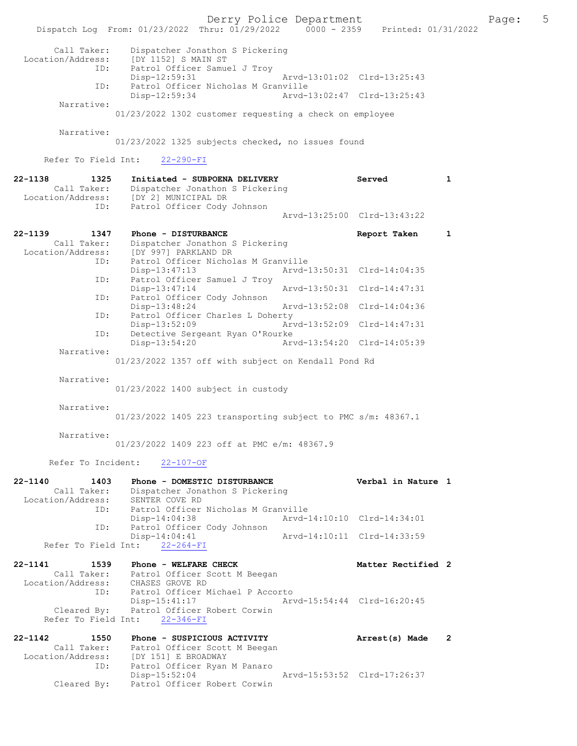Derry Police Department Fage: 5 Dispatch Log From: 01/23/2022 Thru: 01/29/2022 0000 - 2359 Printed: 01/31/2022 Call Taker: Dispatcher Jonathon S Pickering Location/Address: [DY 1152] S MAIN ST ID: Patrol Officer Samuel J Troy Disp-12:59:31 Arvd-13:01:02 Clrd-13:25:43 ID: Patrol Officer Nicholas M Granville<br>Disp-12:59:34 Arvd-Arvd-13:02:47 Clrd-13:25:43 Narrative: 01/23/2022 1302 customer requesting a check on employee Narrative: 01/23/2022 1325 subjects checked, no issues found Refer To Field Int: 22-290-FI 22-1138 1325 Initiated - SUBPOENA DELIVERY Served 1 Call Taker: Dispatcher Jonathon S Pickering Location/Address: [DY 2] MUNICIPAL DR ID: Patrol Officer Cody Johnson Arvd-13:25:00 Clrd-13:43:22 22-1139 1347 Phone - DISTURBANCE Report Taken 1 Call Taker: Dispatcher Jonathon S Pickering Location/Address: [DY 997] PARKLAND DR ID: Patrol Officer Nicholas M Granville Disp-13:47:13 Arvd-13:50:31 Clrd-14:04:35 ID: Patrol Officer Samuel J Troy Disp-13:47:14 Arvd-13:50:31 Clrd-14:47:31 ID: Patrol Officer Cody Johnson Disp-13:48:24 Arvd-13:52:08 Clrd-14:04:36 ID: Patrol Officer Charles L Doherty Disp-13:52:09 Arvd-13:52:09 Clrd-14:47:31<br>ID: Detective Sergeant Ryan O'Rourke Detective Sergeant Ryan O'Rourke<br>Disp-13:54:20 Art Disp-13:54:20 Arvd-13:54:20 Clrd-14:05:39 Narrative: 01/23/2022 1357 off with subject on Kendall Pond Rd Narrative: 01/23/2022 1400 subject in custody Narrative: 01/23/2022 1405 223 transporting subject to PMC s/m: 48367.1 Narrative: 01/23/2022 1409 223 off at PMC e/m: 48367.9 Refer To Incident: 22-107-OF 22-1140 1403 Phone - DOMESTIC DISTURBANCE Verbal in Nature 1 Call Taker: Dispatcher Jonathon S Pickering Location/Address: SENTER COVE RD ID: Patrol Officer Nicholas M Granville<br>Disp-14:04:38 Mrvd-14:10:10 Clrd-14:34:01 Disp-14:04:38 Arvd-14:10:10 Clrd-14:34:01 ID: Patrol Officer Cody Johnson Disp-14:04:41 Arvd-14:10:11 Clrd-14:33:59 Refer To Field Int: 22-264-FI 22-1141 1539 Phone - WELFARE CHECK 1500 Matter Rectified 2 Call Taker: Patrol Officer Scott M Beegan Location/Address: CHASES GROVE RD ID: Patrol Officer Michael P Accorto Disp-15:41:17 Arvd-15:54:44 Clrd-16:20:45 Cleared By: Patrol Officer Robert Corwin Refer To Field Int: 22-346-FI 22-1142 1550 Phone - SUSPICIOUS ACTIVITY Arrest(s) Made 2 Call Taker: Patrol Officer Scott M Beegan Location/Address: [DY 151] E BROADWAY ID: Patrol Officer Ryan M Panaro Disp-15:52:04 Arvd-15:53:52 Clrd-17:26:37 Cleared By: Patrol Officer Robert Corwin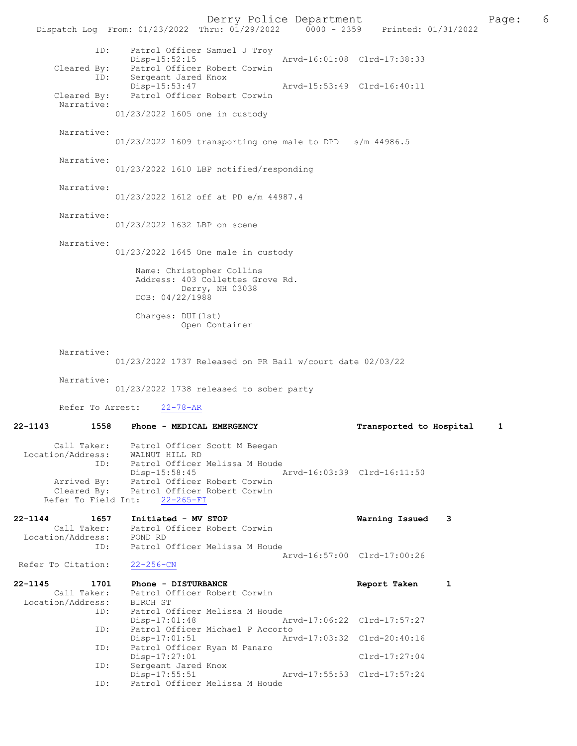Derry Police Department The Rage: 6 Dispatch Log From: 01/23/2022 Thru: 01/29/2022 0000 - 2359 Printed: 01/31/2022 ID: Patrol Officer Samuel J Troy Disp-15:52:15 Arvd-16:01:08 Clrd-17:38:33 Cleared By: Patrol Officer Robert Corwin ID: Sergeant Jared Knox Disp-15:53:47 Arvd-15:53:49 Clrd-16:40:11 Cleared By: Patrol Officer Robert Corwin Narrative: 01/23/2022 1605 one in custody Narrative: 01/23/2022 1609 transporting one male to DPD s/m 44986.5 Narrative: 01/23/2022 1610 LBP notified/responding Narrative: 01/23/2022 1612 off at PD e/m 44987.4 Narrative: 01/23/2022 1632 LBP on scene Narrative: 01/23/2022 1645 One male in custody Name: Christopher Collins Address: 403 Collettes Grove Rd. Derry, NH 03038 DOB: 04/22/1988 Charges: DUI(1st) Open Container Narrative: 01/23/2022 1737 Released on PR Bail w/court date 02/03/22 Narrative: 01/23/2022 1738 released to sober party Refer To Arrest: 22-78-AR 22-1143 1558 Phone - MEDICAL EMERGENCY Transported to Hospital 1 Call Taker: Patrol Officer Scott M Beegan Location/Address: WALNUT HILL RD ID: Patrol Officer Melissa M Houde Disp-15:58:45 Arvd-16:03:39 Clrd-16:11:50 Arrived By: Patrol Officer Robert Corwin Cleared By: Patrol Officer Robert Corwin Refer To Field Int: 22-265-FI 22-1144 1657 Initiated - MV STOP Warning Issued 3 Call Taker: Patrol Officer Robert Corwin Location/Address: POND RD ID: Patrol Officer Melissa M Houde Arvd-16:57:00 Clrd-17:00:26<br>22-256-CN Refer To Citation: 22-1145 1701 Phone - DISTURBANCE 1 Report Taken 1 Call Taker: Patrol Officer Robert Corwin Location/Address:<br>ID: BIRCH ST<br>BIRCH ST<br>Patrol Officer Melissa M Houde Disp-17:01:48 Arvd-17:06:22 Clrd-17:57:27 ID: Patrol Officer Michael P Accorto Disp-17:01:51 Arvd-17:03:32 Clrd-20:40:16<br>ID: Patrol Officer Ryan M Panaro Patrol Officer Ryan M Panaro Disp-17:27:01 Clrd-17:27:04<br>Sergeant Jared Knox ID: Sergeant Jared Knox Disp-17:55:51 Arvd-17:55:53 Clrd-17:57:24 ID: Patrol Officer Melissa M Houde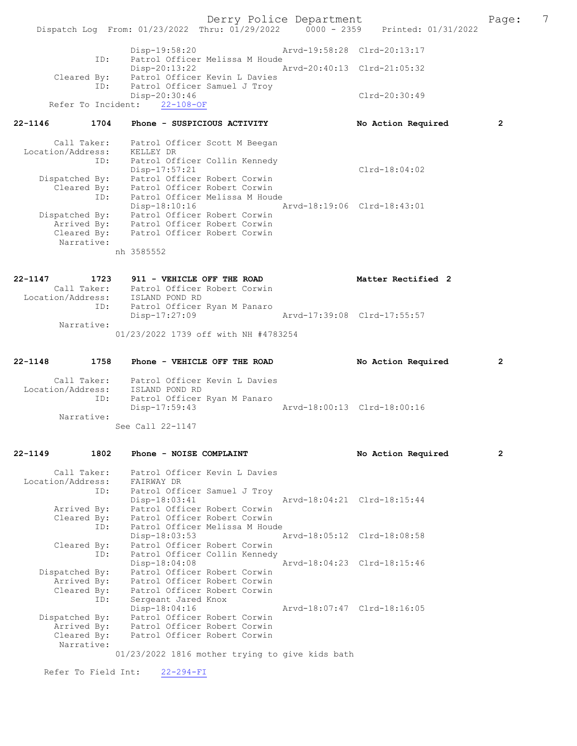Derry Police Department Fage: 7 Dispatch Log From: 01/23/2022 Thru: 01/29/2022 0000 - 2359 Printed: 01/31/2022 Disp-19:58:20 Arvd-19:58:28 Clrd-20:13:17 ID: Patrol Officer Melissa M Houde Disp-20:13:22 Arvd-20:40:13 Clrd-21:05:32 Cleared By: Patrol Officer Kevin L Davies ID: Patrol Officer Samuel J Troy Disp-20:30:46 Clrd-20:30:49 Refer To Incident: 22-108-OF 22-1146 1704 Phone - SUSPICIOUS ACTIVITY No Action Required 2 Call Taker: Patrol Officer Scott M Beegan Location/Address: KELLEY DR ID: Patrol Officer Collin Kennedy Disp-17:57:21 Clrd-18:04:02 Dispatched By: Patrol Officer Robert Corwin Cleared By: Patrol Officer Robert Corwin ID: Patrol Officer Melissa M Houde Disp-18:10:16 Arvd-18:19:06 Clrd-18:43:01 Dispatched By: Patrol Officer Robert Corwin Arrived By: Patrol Officer Robert Corwin Cleared By: Patrol Officer Robert Corwin Narrative: nh 3585552 22-1147 1723 911 - VEHICLE OFF THE ROAD Matter Rectified 2 Call Taker: Patrol Officer Robert Corwin Location/Address: ISLAND POND RD ID: Patrol Officer Ryan M Panaro Disp-17:27:09 Arvd-17:39:08 Clrd-17:55:57 Narrative: 01/23/2022 1739 off with NH #4783254 22-1148 1758 Phone - VEHICLE OFF THE ROAD No Action Required 2 Call Taker: Patrol Officer Kevin L Davies Location/Address: ISLAND POND RD ID: Patrol Officer Ryan M Panaro Disp-17:59:43 Arvd-18:00:13 Clrd-18:00:16 Narrative: See Call 22-1147 22-1149 1802 Phone - NOISE COMPLAINT 1000 No Action Required 2 Call Taker: Patrol Officer Kevin L Davies Location/Address: FAIRWAY DR ID: Patrol Officer Samuel J Troy Disp-18:03:41 Arvd-18:04:21 Clrd-18:15:44 Arrived By: Patrol Officer Robert Corwin Cleared By: Patrol Officer Robert Corwin ID: Patrol Officer Melissa M Houde Disp-18:03:53 Arvd-18:05:12 Clrd-18:08:58 Cleared By: Patrol Officer Robert Corwin ID: Patrol Officer Collin Kennedy Disp-18:04:08 Arvd-18:04:23 Clrd-18:15:46 Dispatched By: Patrol Officer Robert Corwin Arrived By: Patrol Officer Robert Corwin Cleared By: Patrol Officer Robert Corwin ID: Sergeant Jared Knox Disp-18:04:16 Arvd-18:07:47 Clrd-18:16:05 Dispatched By: Patrol Officer Robert Corwin Arrived By: Patrol Officer Robert Corwin Cleared By: Patrol Officer Robert Corwin Narrative: 01/23/2022 1816 mother trying to give kids bath

Refer To Field Int: 22-294-FI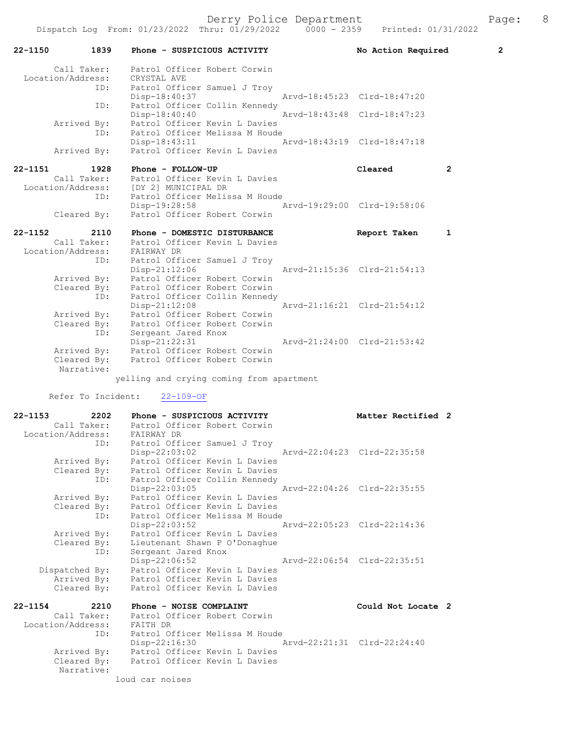Derry Police Department Fage: 8

|         |             |                                       |                                                                                        |                             | Dispatch Log From: 01/23/2022 Thru: 01/29/2022 0000 - 2359 Printed: 01/31/2022 |                |
|---------|-------------|---------------------------------------|----------------------------------------------------------------------------------------|-----------------------------|--------------------------------------------------------------------------------|----------------|
| 22-1150 | 1839        |                                       | Phone - SUSPICIOUS ACTIVITY                                                            |                             | No Action Required                                                             | $\overline{2}$ |
|         |             |                                       | Call Taker: Patrol Officer Robert Corwin<br>Location/Address: CRYSTAL AVE              |                             |                                                                                |                |
|         |             |                                       |                                                                                        |                             |                                                                                |                |
|         | ID:         |                                       | Patrol Officer Samuel J Troy                                                           |                             |                                                                                |                |
|         |             | Disp-18:40:37                         |                                                                                        |                             | Arvd-18:45:23 Clrd-18:47:20                                                    |                |
|         | ID:         |                                       | Patrol Officer Collin Kennedy                                                          |                             |                                                                                |                |
|         |             | $Disp-18:40:40$                       |                                                                                        | Arvd-18:43:48 Clrd-18:47:23 |                                                                                |                |
|         |             |                                       | Arrived By: Patrol Officer Kevin L Davies<br>ID: Patrol Officer Melissa M Houde        |                             |                                                                                |                |
|         |             |                                       |                                                                                        |                             |                                                                                |                |
|         |             | Disp-18:43:11                         | Patrol Officer Kevin L Davies                                                          |                             | Arvd-18:43:19 Clrd-18:47:18                                                    |                |
|         | Arrived By: |                                       |                                                                                        |                             |                                                                                |                |
| 22-1151 | 1928        | Phone - FOLLOW-UP                     |                                                                                        |                             | Cleared                                                                        | $\overline{2}$ |
|         | Call Taker: |                                       | Patrol Officer Kevin L Davies                                                          |                             |                                                                                |                |
|         |             | Location/Address: [DY 2] MUNICIPAL DR |                                                                                        |                             |                                                                                |                |
|         | ID:         |                                       | Patrol Officer Melissa M Houde                                                         |                             |                                                                                |                |
|         |             |                                       | Disp-19:28:58                                                                          | Arvd-19:29:00 Clrd-19:58:06 |                                                                                |                |
|         | Cleared By: |                                       | Patrol Officer Robert Corwin                                                           |                             |                                                                                |                |
| 22-1152 | 2110        |                                       | Phone - DOMESTIC DISTURBANCE                                                           |                             | Report Taken                                                                   | 1              |
|         | Call Taker: |                                       | Patrol Officer Kevin L Davies                                                          |                             |                                                                                |                |
|         |             | Location/Address: FAIRWAY DR          |                                                                                        |                             |                                                                                |                |
|         | ID:         |                                       | Patrol Officer Samuel J Troy                                                           |                             |                                                                                |                |
|         |             | Disp-21:12:06                         |                                                                                        |                             | Arvd-21:15:36 Clrd-21:54:13                                                    |                |
|         |             |                                       |                                                                                        |                             |                                                                                |                |
|         |             |                                       | Arrived By: Patrol Officer Robert Corwin<br>Cleared By: Patrol Officer Robert Corwin   |                             |                                                                                |                |
|         | ID:         |                                       | Patrol Officer Collin Kennedy                                                          |                             |                                                                                |                |
|         |             | Disp-21:12:08                         |                                                                                        | Arvd-21:16:21 Clrd-21:54:12 |                                                                                |                |
|         |             |                                       | Arrived By: Patrol Officer Robert Corwin<br>Cleared By: Patrol Officer Robert Corwin   |                             |                                                                                |                |
|         |             |                                       |                                                                                        |                             |                                                                                |                |
|         |             |                                       |                                                                                        |                             |                                                                                |                |
|         |             |                                       | By. 10000 0001<br>ID: Sergeant Jared Knox<br>Disn=21:22:31 Arvd-21:24:00 Clrd-21:53:42 |                             |                                                                                |                |
|         |             |                                       | Arrived By: Patrol Officer Robert Corwin<br>Cleared By: Patrol Officer Robert Corwin   |                             |                                                                                |                |
|         |             |                                       |                                                                                        |                             |                                                                                |                |
|         | Narrative:  |                                       |                                                                                        |                             |                                                                                |                |
|         |             |                                       | yelling and crying coming from apartment                                               |                             |                                                                                |                |
|         |             | Refer To Incident: 22-109-OF          |                                                                                        |                             |                                                                                |                |
| 22-1153 | 2202        |                                       | Phone - SUSPICIOUS ACTIVITY                                                            |                             | Matter Rectified 2                                                             |                |
|         |             |                                       | Call Taker: Patrol Officer Robert Corwin                                               |                             |                                                                                |                |
|         |             |                                       | Location/Address: FAIRWAY DR<br>ID: Patrol Officer Samuel J Troy                       |                             |                                                                                |                |
|         |             |                                       |                                                                                        |                             |                                                                                |                |
|         |             | $Disp-22:03:02$                       |                                                                                        |                             | Arvd-22:04:23 Clrd-22:35:58                                                    |                |
|         |             |                                       | Arrived By: Patrol Officer Kevin L Davies                                              |                             |                                                                                |                |
|         | Cleared By: |                                       | Patrol Officer Kevin L Davies                                                          |                             |                                                                                |                |

22-1154 2210 Phone - NOISE COMPLAINT Could Not Locate 2 Call Taker: Patrol Officer Robert Corwin Location/Address: FAITH DR ID: Patrol Officer Melissa M Houde Disp-22:16:30 Arvd-22:21:31 Clrd-22:24:40 Arrived By: Patrol Officer Kevin L Davies Cleared By: Patrol Officer Kevin L Davies Narrative: loud car noises

Disp-22:03:05 Arvd-22:04:26 Clrd-22:35:55

Disp-22:06:52 Arvd-22:06:54 Clrd-22:35:51

Disp-22:03:52 Arvd-22:05:23 Clrd-22:14:36

ID: Patrol Officer Collin Kennedy

 Arrived By: Patrol Officer Kevin L Davies Cleared By: Patrol Officer Kevin L Davies ID: Patrol Officer Melissa M Houde

Cleared By: Lieutenant Shawn P O'Donaghue

 Dispatched By: Patrol Officer Kevin L Davies Arrived By: Patrol Officer Kevin L Davies

ID: Sergeant Jared Knox

Arrived By: Patrol Officer Kevin L Davies

Cleared By: Patrol Officer Kevin L Davies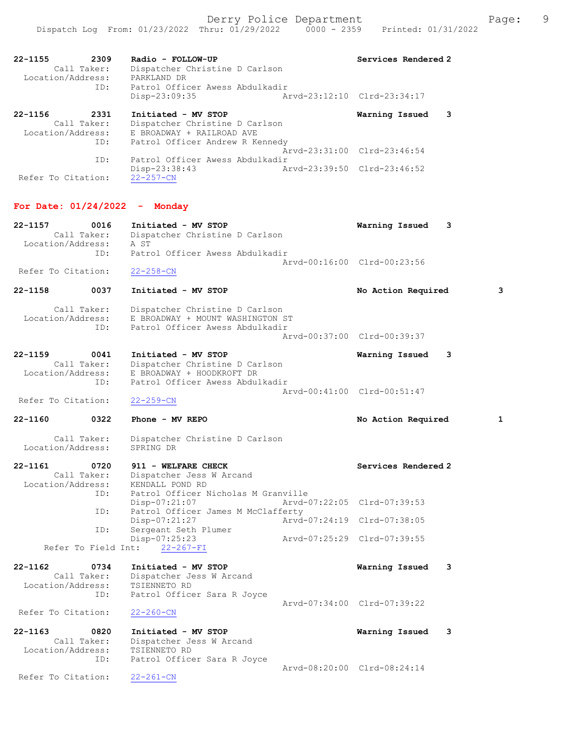| $22 - 1155$<br>2309<br>Call Taker:<br>Location/Address:<br>ID: | Radio - FOLLOW-UP<br>Dispatcher Christine D Carlson<br>PARKLAND DR<br>Patrol Officer Awess Abdulkadir<br>Disp-23:09:35 | Services Rendered 2<br>Arvd-23:12:10 Clrd-23:34:17 |
|----------------------------------------------------------------|------------------------------------------------------------------------------------------------------------------------|----------------------------------------------------|
| $22 - 1156$<br>2331                                            | Initiated - MV STOP                                                                                                    | 3<br>Warning Issued                                |
| Call Taker:                                                    | Dispatcher Christine D Carlson                                                                                         |                                                    |
| Location/Address:                                              | E BROADWAY + RAILROAD AVE                                                                                              |                                                    |
| ID:                                                            | Patrol Officer Andrew R Kennedy                                                                                        |                                                    |
|                                                                |                                                                                                                        | Arvd-23:31:00 Clrd-23:46:54                        |
| ID:                                                            | Patrol Officer Awess Abdulkadir                                                                                        |                                                    |
|                                                                | $Disp-23:38:43$                                                                                                        | Aryd-23:39:50 Clrd-23:46:52                        |
| Refer To Citation:                                             | $22 - 257 - CN$                                                                                                        |                                                    |

## For Date: 01/24/2022 - Monday

| $22 - 1157$ | 0016              | Initiated - MV STOP             | Warning Issued 3            |  |
|-------------|-------------------|---------------------------------|-----------------------------|--|
|             | Call Taker:       | Dispatcher Christine D Carlson  |                             |  |
|             | Location/Address: | A ST                            |                             |  |
|             | TD:               | Patrol Officer Awess Abdulkadir |                             |  |
|             |                   |                                 | Arvd-00:16:00 Clrd-00:23:56 |  |

Refer To Citation: 22-258-CN

22-1158 0037 Initiated - MV STOP No Action Required 3 Call Taker: Dispatcher Christine D Carlson<br>Location/Address: E BROADWAY + MOUNT WASHINGTON S

LOCATION E BROADWAY + MOUNT WASHINGTON ST<br>ID: Patrol Officer Awess Abdulkadir -<br>Patrol Officer Awess Abdulkadir Arvd-00:37:00 Clrd-00:39:37

22-1159 0041 Initiated - MV STOP Warning Issued 3 Call Taker: Dispatcher Christine D Carlson<br>Location/Address: E BROADWAY + HOODKROFT DR ess: E BROADWAY + HOODKROFT DR<br>ID: Patrol Officer Awess Abdul ID: Patrol Officer Awess Abdulkadir Arvd-00:41:00 Clrd-00:51:47<br>22-259-CN Refer To Citation:

#### 22-1160 0322 Phone - MV REPO No Action Required 1

Call Taker: Dispatcher Christine D Carlson<br>ion/Address: SPRING DR Location/Address:

### 22-1161 0720 911 - WELFARE CHECK Services Rendered 2 Call Taker: Dispatcher Jess W Arcand Location/Address: KENDALL POND RD<br>ID: Patrol Officer N Patrol Officer Nicholas M Granville<br>Disp-07:21:07 Arvd-0 Disp-07:21:07 Arvd-07:22:05 Clrd-07:39:53<br>ID: Patrol Officer James M McClafferty Patrol Officer James M McClafferty<br>Disp-07:21:27 Arvd Disp-07:21:27 Arvd-07:24:19 Clrd-07:38:05<br>ID: Sergeant Seth Plumer Sergeant Seth Plumer<br>Disp-07:25:23 Disp-07:25:23 Arvd-07:25:29 Clrd-07:39:55 Refer To Field Int: 22-267-FI

| $22 - 1162$        | 0734        | Initiated - MV STOP         |                             | Warning Issued 3 |  |
|--------------------|-------------|-----------------------------|-----------------------------|------------------|--|
|                    | Call Taker: | Dispatcher Jess W Arcand    |                             |                  |  |
| Location/Address:  |             | TSIENNETO RD                |                             |                  |  |
|                    | ID:         | Patrol Officer Sara R Joyce |                             |                  |  |
|                    |             |                             | Aryd-07:34:00 Clrd-07:39:22 |                  |  |
| Refer To Citation: |             | $22 - 260 - CN$             |                             |                  |  |

22-1163 0820 Initiated - MV STOP Warning Issued 3 Call Taker: Dispatcher Jess W Arcand Location/Address: TSIENNETO RD ID: Patrol Officer Sara R Joyce Arvd-08:20:00 Clrd-08:24:14<br>22-261-CN Refer To Citation: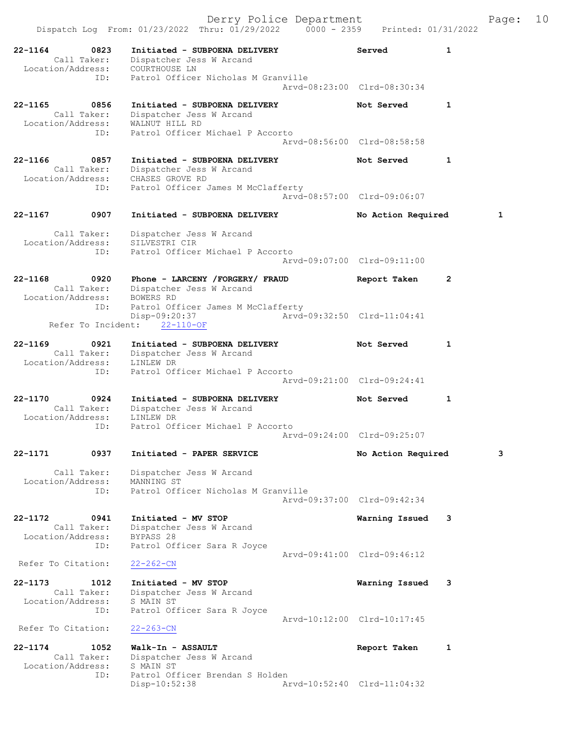|             |                                                 | Derry Police Department                                                                                                                         |                             |                    |   | Page: | 10 |
|-------------|-------------------------------------------------|-------------------------------------------------------------------------------------------------------------------------------------------------|-----------------------------|--------------------|---|-------|----|
|             |                                                 | Dispatch Log From: 01/23/2022 Thru: 01/29/2022 0000 - 2359 Printed: 01/31/2022                                                                  |                             |                    |   |       |    |
| $22 - 1164$ | 0823<br>ID:                                     | Initiated - SUBPOENA DELIVERY<br>Call Taker: Dispatcher Jess W Arcand<br>Location/Address: COURTHOUSE LN<br>Patrol Officer Nicholas M Granville |                             | Served             | 1 |       |    |
|             |                                                 |                                                                                                                                                 | Arvd-08:23:00 Clrd-08:30:34 |                    |   |       |    |
| 22-1165     | 0856<br>Call Taker:<br>Location/Address:<br>ID: | Initiated - SUBPOENA DELIVERY<br>Dispatcher Jess W Arcand<br>WALNUT HILL RD<br>Patrol Officer Michael P Accorto                                 | Arvd-08:56:00 Clrd-08:58:58 | Not Served         | 1 |       |    |
| 22-1166     | 0857                                            | Initiated - SUBPOENA DELIVERY                                                                                                                   |                             | Not Served         | 1 |       |    |
|             | ID:                                             | Call Taker: Dispatcher Jess W Arcand<br>Location/Address: CHASES GROVE RD<br>Patrol Officer James M McClafferty                                 | Arvd-08:57:00 Clrd-09:06:07 |                    |   |       |    |
| 22-1167     | 0907                                            | Initiated - SUBPOENA DELIVERY                                                                                                                   |                             |                    |   | 1     |    |
|             |                                                 |                                                                                                                                                 |                             | No Action Required |   |       |    |
|             | Call Taker:<br>Location/Address:<br>ID:         | Dispatcher Jess W Arcand<br>SILVESTRI CIR<br>Patrol Officer Michael P Accorto                                                                   | Arvd-09:07:00 Clrd-09:11:00 |                    |   |       |    |
| 22-1168     | 0920                                            | Phone - LARCENY /FORGERY/ FRAUD                                                                                                                 |                             | Report Taken       | 2 |       |    |
|             | Location/Address: BOWERS RD<br>ID:              | Call Taker: Dispatcher Jess W Arcand<br>Patrol Officer James M McClafferty                                                                      |                             |                    |   |       |    |
|             | Refer To Incident:                              | Disp-09:20:37<br>$22 - 110 - OF$                                                                                                                | Arvd-09:32:50 Clrd-11:04:41 |                    |   |       |    |
| 22-1169     | 0921                                            | Initiated - SUBPOENA DELIVERY                                                                                                                   |                             | Not Served         | 1 |       |    |
|             | Location/Address:<br>ID:                        | Call Taker: Dispatcher Jess W Arcand<br>LINLEW DR<br>Patrol Officer Michael P Accorto                                                           |                             |                    |   |       |    |
|             |                                                 |                                                                                                                                                 | Arvd-09:21:00 Clrd-09:24:41 |                    |   |       |    |
| 22-1170     | 0924<br>Location/Address:                       | Initiated - SUBPOENA DELIVERY<br>Call Taker: Dispatcher Jess W Arcand<br>LINLEW DR                                                              |                             | Not Served         | 1 |       |    |
|             | ID:                                             | Patrol Officer Michael P Accorto                                                                                                                | Arvd-09:24:00 Clrd-09:25:07 |                    |   |       |    |
| 22-1171     | 0937                                            | Initiated - PAPER SERVICE                                                                                                                       |                             | No Action Required |   | 3     |    |
|             | Call Taker:<br>Location/Address:<br>ID:         | Dispatcher Jess W Arcand<br>MANNING ST<br>Patrol Officer Nicholas M Granville                                                                   |                             |                    |   |       |    |
|             |                                                 |                                                                                                                                                 | Aryd-09:37:00 Clrd-09:42:34 |                    |   |       |    |
| 22-1172     | 0941<br>Call Taker:<br>Location/Address:<br>ID: | Initiated - MV STOP<br>Dispatcher Jess W Arcand<br>BYPASS <sub>28</sub><br>Patrol Officer Sara R Joyce                                          |                             | Warning Issued     | 3 |       |    |
|             | Refer To Citation:                              | $22 - 262 - CN$                                                                                                                                 | Arvd-09:41:00 Clrd-09:46:12 |                    |   |       |    |
|             |                                                 |                                                                                                                                                 |                             |                    |   |       |    |
| $22 - 1173$ | 1012<br>Call Taker:<br>Location/Address:<br>ID: | Initiated - MV STOP<br>Dispatcher Jess W Arcand<br>S MAIN ST<br>Patrol Officer Sara R Joyce                                                     |                             | Warning Issued     | 3 |       |    |
|             | Refer To Citation:                              | $22 - 263 - CN$                                                                                                                                 | Arvd-10:12:00 Clrd-10:17:45 |                    |   |       |    |
| $22 - 1174$ | 1052                                            | Walk-In - ASSAULT                                                                                                                               |                             | Report Taken       | 1 |       |    |
|             | Call Taker:<br>Location/Address:<br>ID:         | Dispatcher Jess W Arcand<br>S MAIN ST<br>Patrol Officer Brendan S Holden                                                                        |                             |                    |   |       |    |
|             |                                                 | Disp-10:52:38                                                                                                                                   | Arvd-10:52:40 Clrd-11:04:32 |                    |   |       |    |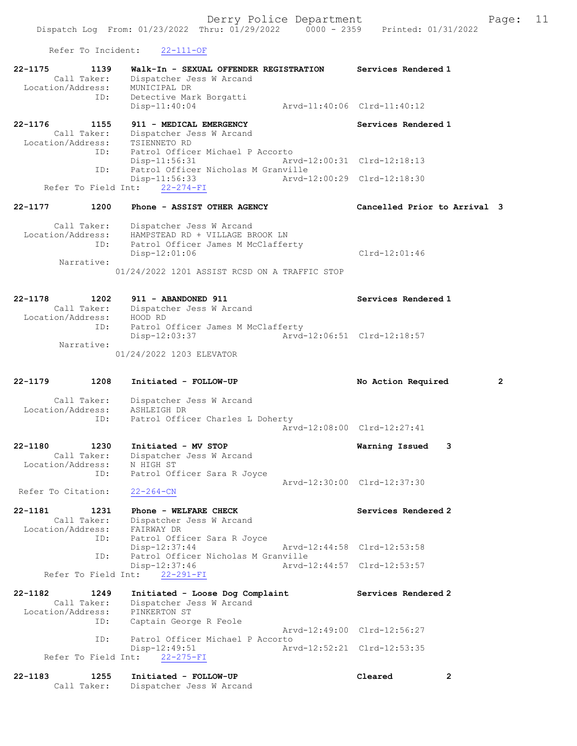Refer To Incident: 22-111-OF

| 22-1175<br>1139<br>Call Taker:<br>Location/Address:<br>ID: | Walk-In - SEXUAL OFFENDER REGISTRATION<br>Dispatcher Jess W Arcand<br>MUNICIPAL DR                                                                                    | Services Rendered 1                  |
|------------------------------------------------------------|-----------------------------------------------------------------------------------------------------------------------------------------------------------------------|--------------------------------------|
|                                                            | Detective Mark Borgatti<br>$Disp-11:40:04$                                                                                                                            | Arvd-11:40:06 Clrd-11:40:12          |
| 22-1176<br>1155<br>Call Taker:<br>Location/Address:        | 911 - MEDICAL EMERGENCY<br>Dispatcher Jess W Arcand<br>TSIENNETO RD                                                                                                   | Services Rendered 1                  |
| ID:<br>ID:                                                 | Patrol Officer Michael P Accorto<br>Disp-11:56:31<br>Patrol Officer Nicholas M Granville                                                                              | Arvd-12:00:31 Clrd-12:18:13          |
|                                                            | Disp-11:56:33<br>Refer To Field Int: 22-274-FI                                                                                                                        | Arvd-12:00:29 Clrd-12:18:30          |
| 22-1177<br>1200                                            | Phone - ASSIST OTHER AGENCY                                                                                                                                           | Cancelled Prior to Arrival 3         |
| Call Taker:<br>Location/Address:<br>ID:<br>Narrative:      | Dispatcher Jess W Arcand<br>HAMPSTEAD RD + VILLAGE BROOK LN<br>Patrol Officer James M McClafferty<br>$Disp-12:01:06$<br>01/24/2022 1201 ASSIST RCSD ON A TRAFFIC STOP | $Clrd-12:01:46$                      |
| $22 - 1178$<br>1202<br>Location/Address:                   | 911 - ABANDONED 911<br>Call Taker: Dispatcher Jess W Arcand<br>HOOD RD                                                                                                | Services Rendered 1                  |
| ID:<br>Narrative:                                          | Patrol Officer James M McClafferty<br>Disp-12:03:37                                                                                                                   | Arvd-12:06:51 Clrd-12:18:57          |
|                                                            | 01/24/2022 1203 ELEVATOR                                                                                                                                              |                                      |
|                                                            |                                                                                                                                                                       |                                      |
| 22-1179<br>1208                                            | Initiated - FOLLOW-UP                                                                                                                                                 | $\overline{2}$<br>No Action Required |
| Call Taker:<br>Location/Address: ASHLEIGH DR<br>ID:        | Dispatcher Jess W Arcand<br>Patrol Officer Charles L Doherty                                                                                                          |                                      |
|                                                            |                                                                                                                                                                       | Arvd-12:08:00 Clrd-12:27:41          |
| 22-1180<br>1230<br>Call Taker:<br>Location/Address:<br>ID: | Initiated - MV STOP<br>Dispatcher Jess W Arcand<br>N HIGH ST<br>Patrol Officer Sara R Joyce                                                                           | 3<br>Warning Issued                  |
| Refer To Citation:                                         | $22 - 264 - CN$                                                                                                                                                       | Arvd-12:30:00 Clrd-12:37:30          |
| 22-1181<br>1231<br>Call Taker:<br>Location/Address:        | Phone - WELFARE CHECK<br>Dispatcher Jess W Arcand<br>FAIRWAY DR                                                                                                       | Services Rendered 2                  |
| ID:<br>ID:                                                 | Patrol Officer Sara R Joyce<br>$Disp-12:37:44$<br>Patrol Officer Nicholas M Granville                                                                                 | Arvd-12:44:58 Clrd-12:53:58          |
| Refer To Field Int:                                        | Disp-12:37:46<br>$22 - 291 - FI$                                                                                                                                      | Arvd-12:44:57 Clrd-12:53:57          |
| 22-1182<br>1249<br>Call Taker:<br>Location/Address:        | Initiated - Loose Dog Complaint<br>Dispatcher Jess W Arcand<br>PINKERTON ST                                                                                           | Services Rendered 2                  |
| ID:                                                        | Captain George R Feole                                                                                                                                                | Arvd-12:49:00 Clrd-12:56:27          |
| ID:<br>Refer To Field Int:                                 | Patrol Officer Michael P Accorto<br>Disp-12:49:51<br>$22 - 275 - FI$                                                                                                  | Arvd-12:52:21 Clrd-12:53:35          |
| $22 - 1183$<br>1255<br>Call Taker:                         | Initiated - FOLLOW-UP                                                                                                                                                 | Cleared<br>$\mathbf{2}$              |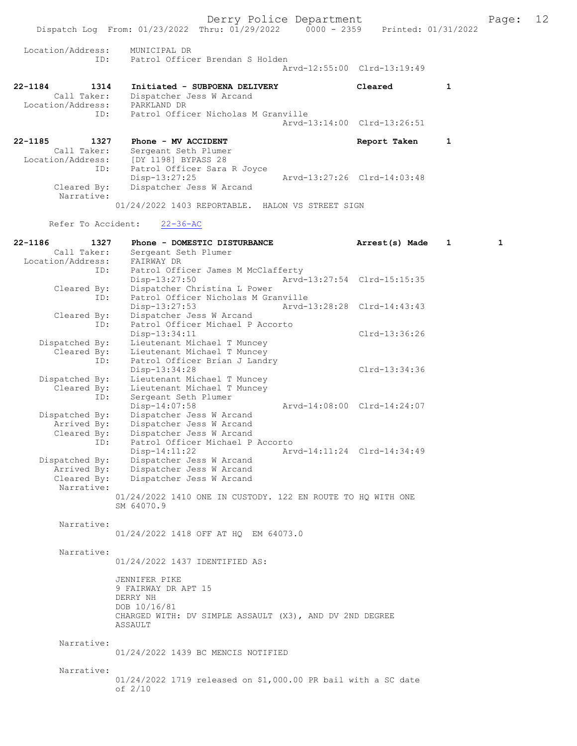Derry Police Department<br>Page: 12 Page: 12 Printed: 01/31/2022 Dispatch Log From: 01/23/2022 Thru: 01/29/2022 Location/Address: MUNICIPAL DR ID: Patrol Officer Brendan S Holden Arvd-12:55:00 Clrd-13:19:49 22-1184 1314 Initiated - SUBPOENA DELIVERY Cleared 1 Call Taker: Dispatcher Jess W Arcand<br>.on/Address: PARKLAND DR Location/Address:<br>TD: Patrol Officer Nicholas M Granville Arvd-13:14:00 Clrd-13:26:51 22-1185 1327 Phone - MV ACCIDENT 1 22-1185 Report Taken 1 Call Taker: Sergeant Seth Plumer Location/Address: [DY 1198] BYPASS 28<br>ID: Patrol Officer Sara Patrol Officer Sara R Joyce Disp-13:27:25 Arvd-13:27:26 Cleared By: Dispatcher Jess W Arcand Dispatcher Jess W Arcand Narrative: 01/24/2022 1403 REPORTABLE. HALON VS STREET SIGN Refer To Accident: 22-36-AC 22-1186 1327 Phone - DOMESTIC DISTURBANCE Arrest(s) Made 1 1<br>Call Taker: Sergeant Seth Plumer Sergeant Seth Plumer Call Taker: Sergeant St<br>Location/Address: FAIRWAY DR ID: Patrol Officer James M McClafferty<br>Disp-13:27:50 Arvd-Disp-13:27:50 Arvd-13:27:54 Clrd-15:15:35<br>Cleared By: Dispatcher Christina L Power Cleared By: Dispatcher Christina L Power ID: Patrol Officer Nicholas M Granville Disp-13:27:53 Arvd-13:28:28 Clrd-14:43:43 Cleared By: Dispatcher Jess W Arcand<br>ID: Patrol Officer Michael P. Patrol Officer Michael P Accorto Disp-13:34:11 Clrd-13:36:26<br>Dispatched By: Lieutenant Michael T Muncey Dispatched By: Lieutenant Michael T Muncey Cleared By: Lieutenant Michael T Muncey ID: Patrol Officer Brian J Landry Disp-13:34:28 Clrd-13:34:36 Dispatched By: Lieutenant Michael T Muncey Cleared By: Lieutenant Michael T Muncey ID: Sergeant Seth Plumer Disp-14:07:58 Arvd-14:08:00 Clrd-14:24:07 Dispatched By: Dispatcher Jess W Arcand Arrived By: Dispatcher Jess W Arcand Cleared By: Dispatcher Jess W Arcand ID: Patrol Officer Michael P Accorto Disp-14:11:22 <br>Dispatched By: Dispatcher Jess W Arcand Arvd-14:11:24 Clrd-14:34:49 Dispatcher Jess W Arcand Arrived By: Dispatcher Jess W Arcand<br>Cleared By: Dispatcher Jess W Arcand Dispatcher Jess W Arcand Narrative: 01/24/2022 1410 ONE IN CUSTODY. 122 EN ROUTE TO HQ WITH ONE SM 64070.9 Narrative: 01/24/2022 1418 OFF AT HQ EM 64073.0 Narrative: 01/24/2022 1437 IDENTIFIED AS: JENNIFER PIKE 9 FAIRWAY DR APT 15 DERRY NH DOB 10/16/81 CHARGED WITH: DV SIMPLE ASSAULT (X3), AND DV 2ND DEGREE **ASSAULT**  Narrative: 01/24/2022 1439 BC MENCIS NOTIFIED Narrative: 01/24/2022 1719 released on \$1,000.00 PR bail with a SC date of 2/10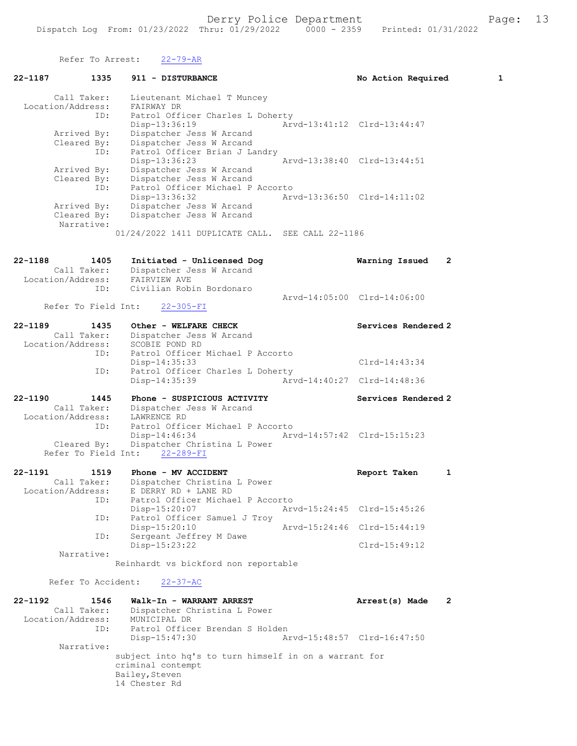Refer To Arrest: 22-79-AR 22-1187 1335 911 - DISTURBANCE No Mo Action Required 1 Call Taker: Lieutenant Michael T Muncey Location/Address: FAIRWAY DR ID: Patrol Officer Charles L Doherty Disp-13:36:19 Arvd-13:41:12 Clrd-13:44:47 Arrived By: Dispatcher Jess W Arcand Cleared By: Dispatcher Jess W Arcand ID: Patrol Officer Brian J Landry Disp-13:36:23 Arvd-13:38:40 Clrd-13:44:51 Arrived By: Dispatcher Jess W Arcand Cleared By: Dispatcher Jess W Arcand ID: Patrol Officer Michael P Accorto Disp-13:36:32 Arvd-13:36:50 Clrd-14:11:02 Arrived By: Dispatcher Jess W Arcand Cleared By: Dispatcher Jess W Arcand Narrative: 01/24/2022 1411 DUPLICATE CALL. SEE CALL 22-1186 22-1188 1405 Initiated - Unlicensed Dog Warning Issued 2 Call Taker: Dispatcher Jess W Arcand Location/Address: FAIRVIEW AVE ID: Civilian Robin Bordonaro Arvd-14:05:00 Clrd-14:06:00<br>22-305-FI Refer To Field Int: 22-1189 1435 Other - WELFARE CHECK Services Rendered 2 Call Taker: Dispatcher Jess W Arcand Location/Address: SCOBIE POND RD ID: Patrol Officer Michael P Accorto Disp-14:35:33 Clrd-14:43:34 ID: Patrol Officer Charles L Doherty<br>Disp-14:35:39 Arvd Disp-14:35:39 Arvd-14:40:27 Clrd-14:48:36 22-1190 1445 Phone - SUSPICIOUS ACTIVITY Services Rendered 2 Call Taker: Dispatcher Jess W Arcand Location/Address: LAWRENCE RD ID: Patrol Officer Michael P Accorto Disp-14:46:34 Arvd-14:57:42 Clrd-15:15:23 Cleared By: Dispatcher Christina L Power Refer To Field Int: 22-289-FI 22-1191 1519 Phone - MV ACCIDENT Report Taken 1 Call Taker: Dispatcher Christina L Power Location/Address: E DERRY RD + LANE RD ID: Patrol Officer Michael P Accorto Disp-15:20:07 Arvd-15:24:45 Clrd-15:45:26 ID: Patrol Officer Samuel J Troy Disp-15:20:10 Arvd-15:24:46 Clrd-15:44:19 ID: Sergeant Jeffrey M Dawe Disp-15:23:22 Clrd-15:49:12 Narrative: Reinhardt vs bickford non reportable Refer To Accident: 22-37-AC 22-1192 1546 Walk-In - WARRANT ARREST Arrest(s) Made 2 Call Taker: Dispatcher Christina L Power Location/Address: MUNICIPAL DR ID: Patrol Officer Brendan S Holden Disp-15:47:30 Arvd-15:48:57 Clrd-16:47:50 Narrative: subject into hq's to turn himself in on a warrant for criminal contempt Bailey, Steven 14 Chester Rd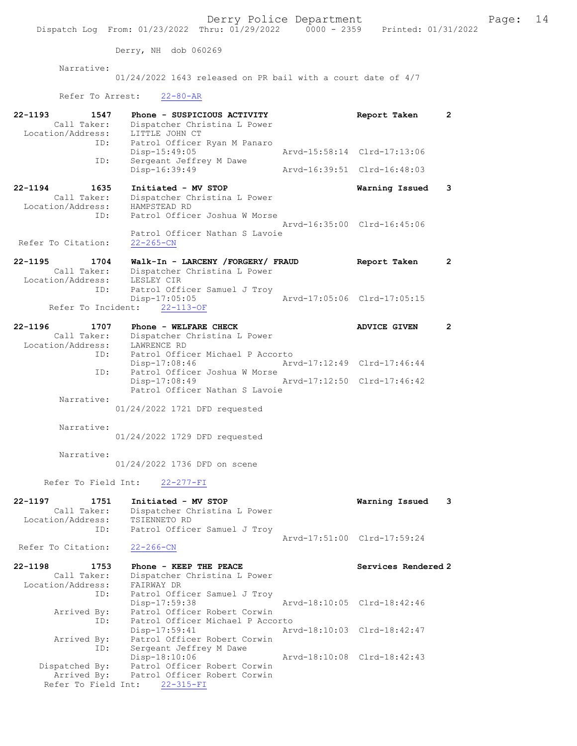Derry, NH dob 060269

Narrative:

01/24/2022 1643 released on PR bail with a court date of 4/7

Refer To Arrest: 22-80-AR

Refer To Field Int: 22-315-FI

| 22-1193            | 1547<br>Call Taker:      | Phone - SUSPICIOUS ACTIVITY<br>Dispatcher Christina L Power |               | Report Taken                | $\mathbf{2}$ |
|--------------------|--------------------------|-------------------------------------------------------------|---------------|-----------------------------|--------------|
|                    | Location/Address:        | LITTLE JOHN CT                                              |               |                             |              |
|                    | ID:                      | Patrol Officer Ryan M Panaro                                |               |                             |              |
|                    |                          | $Disp-15:49:05$                                             |               | Arvd-15:58:14 Clrd-17:13:06 |              |
|                    | ID:                      | Sergeant Jeffrey M Dawe                                     |               |                             |              |
|                    |                          | $Disp-16:39:49$                                             |               | Arvd-16:39:51 Clrd-16:48:03 |              |
| 22-1194            | 1635                     | Initiated - MV STOP                                         |               | Warning Issued              | 3            |
|                    | Call Taker:              | Dispatcher Christina L Power                                |               |                             |              |
|                    | Location/Address:        | HAMPSTEAD RD                                                |               |                             |              |
|                    | ID:                      | Patrol Officer Joshua W Morse                               |               |                             |              |
|                    |                          |                                                             |               | Arvd-16:35:00 Clrd-16:45:06 |              |
|                    |                          | Patrol Officer Nathan S Lavoie                              |               |                             |              |
| Refer To Citation: |                          | $22 - 265 - CN$                                             |               |                             |              |
|                    |                          |                                                             |               |                             |              |
| 22-1195            | 1704                     | Walk-In - LARCENY /FORGERY/ FRAUD                           |               | Report Taken                | $\mathbf{2}$ |
|                    | Call Taker:              | Dispatcher Christina L Power                                |               |                             |              |
|                    | Location/Address:        | LESLEY CIR                                                  |               |                             |              |
|                    | ID:                      | Patrol Officer Samuel J Troy                                |               |                             |              |
|                    |                          | Disp-17:05:05                                               |               | Arvd-17:05:06 Clrd-17:05:15 |              |
|                    |                          | Refer To Incident: 22-113-OF                                |               |                             |              |
|                    |                          |                                                             |               |                             |              |
| 22-1196            | 1707                     | Phone - WELFARE CHECK                                       |               | <b>ADVICE GIVEN</b>         | $\mathbf{2}$ |
|                    | Call Taker:              | Dispatcher Christina L Power                                |               |                             |              |
|                    | Location/Address:        | LAWRENCE RD                                                 |               |                             |              |
|                    | ID:                      | Patrol Officer Michael P Accorto                            |               |                             |              |
|                    |                          | $Disp-17:08:46$                                             |               | Arvd-17:12:49 Clrd-17:46:44 |              |
|                    | ID:                      | Patrol Officer Joshua W Morse                               |               |                             |              |
|                    |                          | Disp-17:08:49<br>Patrol Officer Nathan S Lavoie             |               | Arvd-17:12:50 Clrd-17:46:42 |              |
|                    | Narrative:               |                                                             |               |                             |              |
|                    |                          | 01/24/2022 1721 DFD requested                               |               |                             |              |
|                    |                          |                                                             |               |                             |              |
|                    | Narrative:               |                                                             |               |                             |              |
|                    |                          | 01/24/2022 1729 DFD requested                               |               |                             |              |
|                    |                          |                                                             |               |                             |              |
|                    | Narrative:               |                                                             |               |                             |              |
|                    |                          | 01/24/2022 1736 DFD on scene                                |               |                             |              |
|                    |                          |                                                             |               |                             |              |
|                    | Refer To Field Int:      | $22 - 277 - FI$                                             |               |                             |              |
|                    |                          |                                                             |               |                             |              |
| 22-1197            | 1751                     | Initiated - MV STOP                                         |               | Warning Issued              | 3            |
|                    | Call Taker:              | Dispatcher Christina L Power                                |               |                             |              |
|                    | Location/Address:<br>ID: | TSIENNETO RD<br>Patrol Officer Samuel J Troy                |               |                             |              |
|                    |                          |                                                             |               | Arvd-17:51:00 Clrd-17:59:24 |              |
| Refer To Citation: |                          | $22 - 266 - CN$                                             |               |                             |              |
|                    |                          |                                                             |               |                             |              |
| 22-1198            | 1753                     | Phone - KEEP THE PEACE                                      |               | Services Rendered 2         |              |
|                    | Call Taker:              | Dispatcher Christina L Power                                |               |                             |              |
|                    | Location/Address:        | FAIRWAY DR                                                  |               |                             |              |
|                    | ID:                      | Patrol Officer Samuel J Troy                                |               |                             |              |
|                    |                          | Disp-17:59:38                                               |               | Arvd-18:10:05 Clrd-18:42:46 |              |
|                    | Arrived By:              | Patrol Officer Robert Corwin                                |               |                             |              |
|                    | ID:                      | Patrol Officer Michael P Accorto                            |               |                             |              |
|                    |                          | $Disp-17:59:41$                                             | Arvd-18:10:03 | $Clrd-18:42:47$             |              |
|                    | Arrived By:              | Patrol Officer Robert Corwin                                |               |                             |              |
|                    | ID:                      | Sergeant Jeffrey M Dawe                                     |               |                             |              |
|                    |                          | Disp-18:10:06                                               |               | Arvd-18:10:08 Clrd-18:42:43 |              |
|                    | Dispatched By:           | Patrol Officer Robert Corwin                                |               |                             |              |
|                    | Arrived By:              | Patrol Officer Robert Corwin                                |               |                             |              |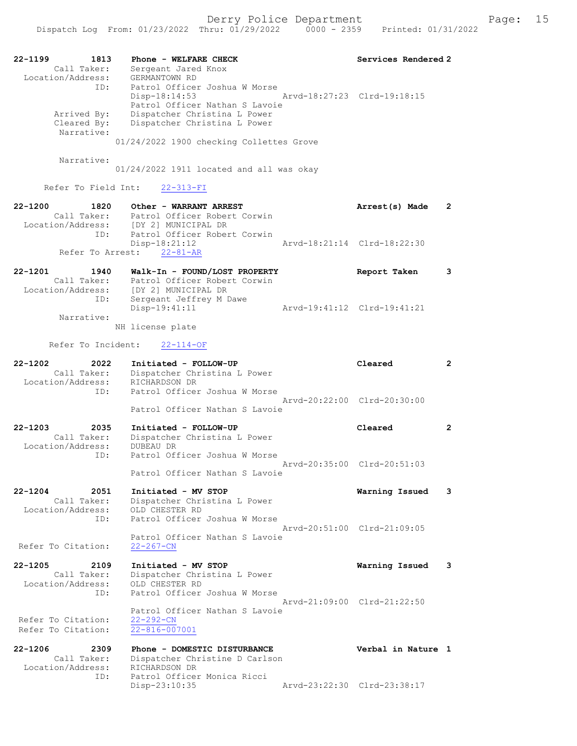| 22-1199<br>1813<br>Call Taker:<br>Location/Address:            | Phone - WELFARE CHECK<br>Sergeant Jared Knox<br>GERMANTOWN RD                                                                                                                                                               | Services Rendered 2         |                       |
|----------------------------------------------------------------|-----------------------------------------------------------------------------------------------------------------------------------------------------------------------------------------------------------------------------|-----------------------------|-----------------------|
| ID:<br>Arrived By:<br>Cleared By:<br>Narrative:                | Patrol Officer Joshua W Morse<br>Disp-18:14:53<br>Arvd-18:27:23 Clrd-19:18:15<br>Patrol Officer Nathan S Lavoie<br>Dispatcher Christina L Power<br>Dispatcher Christina L Power<br>01/24/2022 1900 checking Collettes Grove |                             |                       |
| Narrative:                                                     | 01/24/2022 1911 located and all was okay                                                                                                                                                                                    |                             |                       |
| Refer To Field Int:                                            | $22 - 313 - FI$                                                                                                                                                                                                             |                             |                       |
| $22 - 1200$<br>1820<br>Location/Address:<br>ID:                | Other - WARRANT ARREST<br>Call Taker: Patrol Officer Robert Corwin<br>[DY 2] MUNICIPAL DR<br>Patrol Officer Robert Corwin                                                                                                   | Arrest(s) Made              | $\mathbf{2}$          |
| Refer To Arrest:                                               | Disp-18:21:12<br>$22 - 81 - AR$                                                                                                                                                                                             | Arvd-18:21:14 Clrd-18:22:30 |                       |
| $22 - 1201$<br>1940<br>Call Taker:<br>Location/Address:        | Walk-In - FOUND/LOST PROPERTY<br>Patrol Officer Robert Corwin<br>[DY 2] MUNICIPAL DR                                                                                                                                        | Report Taken                | 3                     |
| ID:<br>Narrative:                                              | Sergeant Jeffrey M Dawe<br>Disp-19:41:11<br>NH license plate                                                                                                                                                                | Arvd-19:41:12 Clrd-19:41:21 |                       |
| Refer To Incident:                                             | $22 - 114 - OF$                                                                                                                                                                                                             |                             |                       |
| $22 - 1202$<br>2022                                            | Initiated - FOLLOW-UP                                                                                                                                                                                                       | Cleared                     | $\mathbf{2}^{\prime}$ |
| Call Taker:<br>Location/Address:<br>ID:                        | Dispatcher Christina L Power<br>RICHARDSON DR<br>Patrol Officer Joshua W Morse                                                                                                                                              | Arvd-20:22:00 Clrd-20:30:00 |                       |
|                                                                | Patrol Officer Nathan S Lavoie                                                                                                                                                                                              |                             |                       |
| $22 - 1203$<br>2035<br>Call Taker:<br>Location/Address:<br>ID: | Initiated - FOLLOW-UP<br>Dispatcher Christina L Power<br>DUBEAU DR<br>Patrol Officer Joshua W Morse                                                                                                                         | Cleared                     | $\mathbf{2}$          |
|                                                                | Patrol Officer Nathan S Lavoie                                                                                                                                                                                              | Arvd-20:35:00 Clrd-20:51:03 |                       |
| 22-1204<br>2051<br>Call Taker:<br>Location/Address:            | Initiated - MV STOP<br>Dispatcher Christina L Power<br>OLD CHESTER RD                                                                                                                                                       | Warning Issued              | 3                     |
| ID:<br>Refer To Citation:                                      | Patrol Officer Joshua W Morse<br>Patrol Officer Nathan S Lavoie<br>$22 - 267 - CN$                                                                                                                                          | Arvd-20:51:00 Clrd-21:09:05 |                       |
| $22 - 1205$<br>2109<br>Call Taker:<br>Location/Address:<br>ID: | Initiated - MV STOP<br>Dispatcher Christina L Power<br>OLD CHESTER RD<br>Patrol Officer Joshua W Morse                                                                                                                      | Warning Issued              | 3                     |
| Refer To Citation:<br>Refer To Citation:                       | Patrol Officer Nathan S Lavoie<br>$22 - 292 - CN$<br>22-816-007001                                                                                                                                                          | Arvd-21:09:00 Clrd-21:22:50 |                       |
| $22 - 1206$<br>2309<br>Call Taker:<br>Location/Address:        | Phone - DOMESTIC DISTURBANCE<br>Dispatcher Christine D Carlson<br>RICHARDSON DR                                                                                                                                             | Verbal in Nature 1          |                       |
| ID:                                                            | Patrol Officer Monica Ricci<br>Disp-23:10:35                                                                                                                                                                                | Arvd-23:22:30 Clrd-23:38:17 |                       |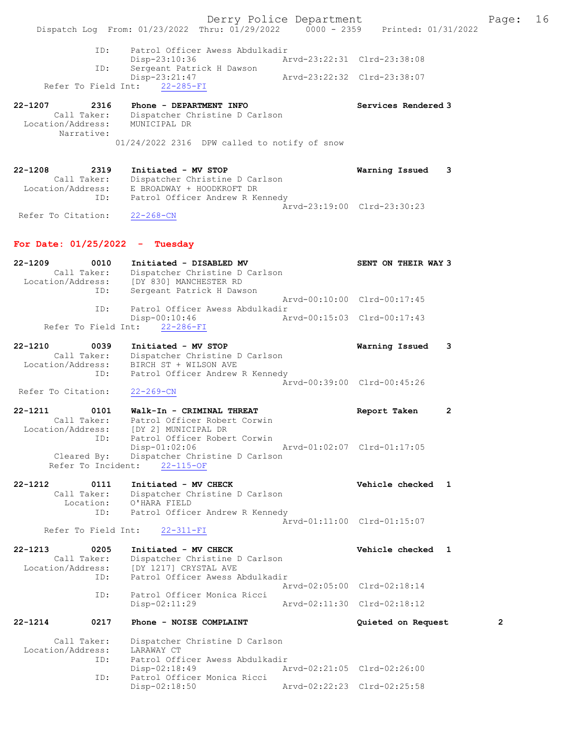Derry Police Department Fage: 16 Dispatch Log From: 01/23/2022 Thru: 01/29/2022 0000 - 2359 Printed: 01/31/2022 ID: Patrol Officer Awess Abdulkadir<br>Disp-23:10:36 Arvd-23:22:31 Clrd-23:38:08 Disp-23:10:36 Arvd-23:22:31 Clrd-23:38:08 ID: Sergeant Patrick H Dawson Disp-23:21:47 Arvd-23:22:32 Clrd-23:38:07 Refer To Field Int: 22-285-FI 22-1207 2316 Phone - DEPARTMENT INFO 2008 Services Rendered 3 Call Taker: Dispatcher Christine D Carlson Location/Address: MUNICIPAL DR Narrative: 01/24/2022 2316 DPW called to notify of snow 22-1208 2319 Initiated - MV STOP Warning Issued 3 Call Taker: Dispatcher Christine D Carlson Location/Address: E BROADWAY + HOODKROFT DR ID: Patrol Officer Andrew R Kennedy Arvd-23:19:00 Clrd-23:30:23 Refer To Citation: 22-268-CN For Date: 01/25/2022 - Tuesday 22-1209 0010 Initiated - DISABLED MV SENT ON THEIR WAY 3 Call Taker: Dispatcher Christine D Carlson Location/Address: [DY 830] MANCHESTER RD ID: Sergeant Patrick H Dawson Arvd-00:10:00 Clrd-00:17:45<br>ID: Patrol Officer Awess Abdulkadir Patrol Officer Awess Abdulkadir Disp-00:10:46 Arvd-00:15:03 Clrd-00:17:43 Refer To Field Int: 22-286-FI 22-1210 0039 Initiated - MV STOP Warning Issued 3 Call Taker: Dispatcher Christine D Carlson Location/Address: BIRCH ST + WILSON AVE ID: Patrol Officer Andrew R Kennedy Arvd-00:39:00 Clrd-00:45:26 Refer To Citation: 22-269-CN 22-1211 0101 Walk-In - CRIMINAL THREAT Report Taken 2 Call Taker: Patrol Officer Robert Corwin Location/Address: [DY 2] MUNICIPAL DR ID: Patrol Officer Robert Corwin Disp-01:02:06 Arvd-01:02:07 Clrd-01:17:05 Cleared By: Dispatcher Christine D Carlson Refer To Incident: 22-115-OF 22-1212 0111 Initiated - MV CHECK Vehicle checked 1 Call Taker: Dispatcher Christine D Carlson Location: O'HARA FIELD ID: Patrol Officer Andrew R Kennedy Arvd-01:11:00 Clrd-01:15:07 Refer To Field Int: 22-311-FI 22-1213 0205 Initiated - MV CHECK Vehicle checked 1 Call Taker: Dispatcher Christine D Carlson<br>Location/Address: [DY 1217] CRYSTAL AVE Location/Address: [DY 1217] CRYSTAL AVE ID: Patrol Officer Awess Abdulkadir Arvd-02:05:00 Clrd-02:18:14<br>ID: Patrol Officer Monica Ricci Patrol Officer Monica Ricci<br>Disp-02:11:29 Arvd-02:11:30 Clrd-02:18:12 22-1214 0217 Phone - NOISE COMPLAINT Quieted on Request 2 Call Taker: Dispatcher Christine D Carlson<br>ion/Address: LARAWAY CT Location/Address: ID: Patrol Officer Awess Abdulkadir<br>Disp-02:18:49 A Disp-02:18:49 Arvd-02:21:05 Clrd-02:26:00<br>ID: Patrol Officer Monica Ricci Patrol Officer Monica Ricci Disp-02:18:50 Arvd-02:22:23 Clrd-02:25:58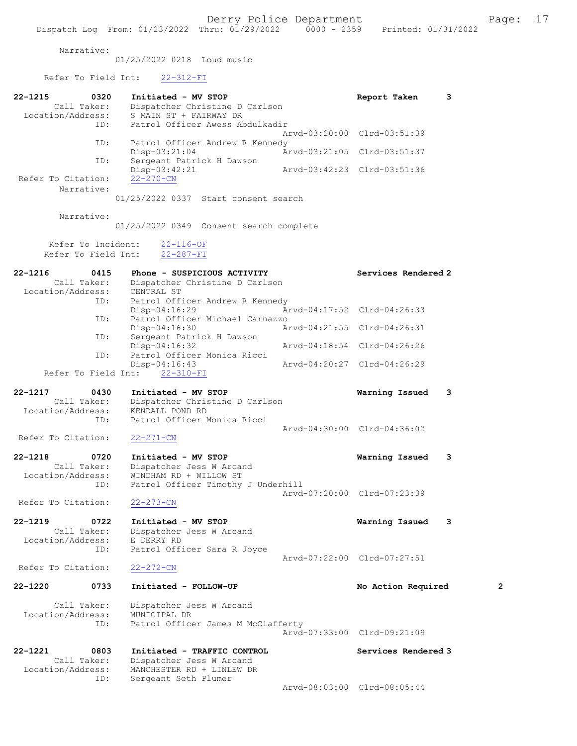Narrative:

01/25/2022 0218 Loud music

## Refer To Field Int: 22-312-FI

| 22-1215                      | 0320<br>Call Taker:                       | Initiated - MV STOP<br>Dispatcher Christine D Carlson                                                        |                             | Report Taken                | 3 |
|------------------------------|-------------------------------------------|--------------------------------------------------------------------------------------------------------------|-----------------------------|-----------------------------|---|
| Location/Address:            | ID:                                       | S MAIN ST + FAIRWAY DR<br>Patrol Officer Awess Abdulkadir                                                    |                             |                             |   |
|                              | ID:                                       | Patrol Officer Andrew R Kennedy                                                                              |                             | Arvd-03:20:00 Clrd-03:51:39 |   |
|                              | ID:                                       | $Disp-03:21:04$<br>Sergeant Patrick H Dawson                                                                 |                             | Arvd-03:21:05 Clrd-03:51:37 |   |
|                              |                                           | Disp-03:42:21                                                                                                | Arvd-03:42:23 Clrd-03:51:36 |                             |   |
| Refer To Citation:           | Narrative:                                | $22 - 270 - CN$                                                                                              |                             |                             |   |
|                              |                                           | 01/25/2022 0337 Start consent search                                                                         |                             |                             |   |
|                              | Narrative:                                |                                                                                                              |                             |                             |   |
|                              |                                           | 01/25/2022 0349 Consent search complete                                                                      |                             |                             |   |
|                              | Refer To Incident:<br>Refer To Field Int: | $22 - 116 - OF$<br>$22 - 287 - FI$                                                                           |                             |                             |   |
| 22-1216<br>Location/Address: | 0415<br>Call Taker:                       | Phone - SUSPICIOUS ACTIVITY<br>Dispatcher Christine D Carlson<br>CENTRAL ST                                  |                             | Services Rendered 2         |   |
|                              | ID:                                       | Patrol Officer Andrew R Kennedy<br>Disp-04:16:29                                                             |                             | Arvd-04:17:52 Clrd-04:26:33 |   |
|                              | ID:                                       | Patrol Officer Michael Carnazzo<br>Disp-04:16:30                                                             |                             | Arvd-04:21:55 Clrd-04:26:31 |   |
|                              | ID:                                       | Sergeant Patrick H Dawson<br>Disp-04:16:32                                                                   | Arvd-04:18:54 Clrd-04:26:26 |                             |   |
|                              | ID:                                       | Patrol Officer Monica Ricci<br>$Disp-04:16:43$                                                               |                             | Arvd-04:20:27 Clrd-04:26:29 |   |
|                              | Refer To Field Int:                       | $22 - 310 - FI$                                                                                              |                             |                             |   |
| 22-1217<br>Location/Address: | 0430<br>Call Taker:                       | Initiated - MV STOP<br>Dispatcher Christine D Carlson<br>KENDALL POND RD                                     |                             | Warning Issued              | 3 |
| Refer To Citation:           | ID:                                       | Patrol Officer Monica Ricci<br>$22 - 271 - CN$                                                               |                             | Arvd-04:30:00 Clrd-04:36:02 |   |
| 22-1218                      |                                           | Initiated - MV STOP                                                                                          |                             |                             |   |
|                              | 0720<br>Call Taker:                       | Dispatcher Jess W Arcand                                                                                     |                             | Warning Issued              | 3 |
| Location/Address:            | ID:                                       | WINDHAM RD + WILLOW ST<br>Patrol Officer Timothy J Underhill                                                 |                             |                             |   |
| Refer To Citation:           |                                           | $22 - 273 - CN$                                                                                              |                             | Arvd-07:20:00 Clrd-07:23:39 |   |
| 22-1219                      | 0722                                      | Initiated - MV STOP                                                                                          |                             | Warning Issued              | 3 |
| Location/Address:            | Call Taker:                               | Dispatcher Jess W Arcand<br>E DERRY RD                                                                       |                             |                             |   |
|                              | ID:                                       | Patrol Officer Sara R Joyce                                                                                  |                             | Arvd-07:22:00 Clrd-07:27:51 |   |
| Refer To Citation:           |                                           | $22 - 272 - CN$                                                                                              |                             |                             |   |
| 22-1220                      | 0733                                      | Initiated - FOLLOW-UP                                                                                        |                             | No Action Required          | 2 |
| Location/Address:            | Call Taker:<br>ID:                        | Dispatcher Jess W Arcand<br>MUNICIPAL DR<br>Patrol Officer James M McClafferty                               |                             |                             |   |
|                              |                                           |                                                                                                              |                             | Arvd-07:33:00 Clrd-09:21:09 |   |
| 22-1221<br>Location/Address: | 0803<br>Call Taker:<br>ID:                | Initiated - TRAFFIC CONTROL<br>Dispatcher Jess W Arcand<br>MANCHESTER RD + LINLEW DR<br>Sergeant Seth Plumer |                             | Services Rendered 3         |   |
|                              |                                           |                                                                                                              |                             | Arvd-08:03:00 Clrd-08:05:44 |   |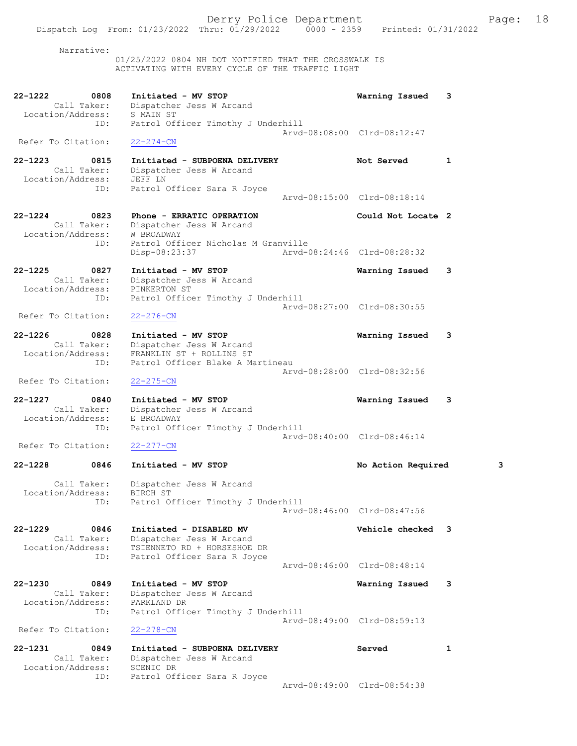Narrative: 01/25/2022 0804 NH DOT NOTIFIED THAT THE CROSSWALK IS ACTIVATING WITH EVERY CYCLE OF THE TRAFFIC LIGHT 22-1222 0808 Initiated - MV STOP Warning Issued 3 Call Taker: Dispatcher Jess W Arcand Location/Address: S MAIN ST ID: Patrol Officer Timothy J Underhill Arvd-08:08:00 Clrd-08:12:47 Refer To Citation: 22-274-CN 22-1223 0815 Initiated - SUBPOENA DELIVERY Not Served 1 Call Taker: Dispatcher Jess W Arcand Location/Address: JEFF LN ID: Patrol Officer Sara R Joyce Arvd-08:15:00 Clrd-08:18:14 22-1224 0823 Phone - ERRATIC OPERATION Could Not Locate 2 Call Taker: Dispatcher Jess W Arcand Location/Address: W BROADWAY ID: Patrol Officer Nicholas M Granville Disp-08:23:37 Arvd-08:24:46 Clrd-08:28:32 22-1225 0827 Initiated - MV STOP Warning Issued 3 Call Taker: Dispatcher Jess W Arcand Location/Address: PINKERTON ST ID: Patrol Officer Timothy J Underhill Arvd-08:27:00 Clrd-08:30:55<br>22-276-CN Refer To Citation: 22-1226 0828 Initiated - MV STOP Warning Issued 3 Call Taker: Dispatcher Jess W Arcand Location/Address: FRANKLIN ST + ROLLINS ST ID: Patrol Officer Blake A Martineau Arvd-08:28:00 Clrd-08:32:56 Refer To Citation: 22-275-CN 22-1227 0840 Initiated - MV STOP Warning Issued 3 Call Taker: Dispatcher Jess W Arcand Location/Address: E BROADWAY ID: Patrol Officer Timothy J Underhill Arvd-08:40:00 Clrd-08:46:14<br>22-277-CN Refer To Citation: 22-1228 0846 Initiated - MV STOP No Action Required 3 Call Taker: Dispatcher Jess W Arcand Location/Address: BIRCH ST ID: Patrol Officer Timothy J Underhill Arvd-08:46:00 Clrd-08:47:56 22-1229 0846 Initiated - DISABLED MV Vehicle checked 3 Call Taker: Dispatcher Jess W Arcand Location/Address: TSIENNETO RD + HORSESHOE DR ID: Patrol Officer Sara R Joyce Arvd-08:46:00 Clrd-08:48:14 22-1230 0849 Initiated - MV STOP Warning Issued 3 Call Taker: Dispatcher Jess W Arcand Location/Address: PARKLAND DR ID: Patrol Officer Timothy J Underhill Arvd-08:49:00 Clrd-08:59:13 Refer To Citation: 22-278-CN 22-1231 0849 Initiated - SUBPOENA DELIVERY Served 1 Call Taker: Dispatcher Jess W Arcand Location/Address: SCENIC DR ID: Patrol Officer Sara R Joyce

Arvd-08:49:00 Clrd-08:54:38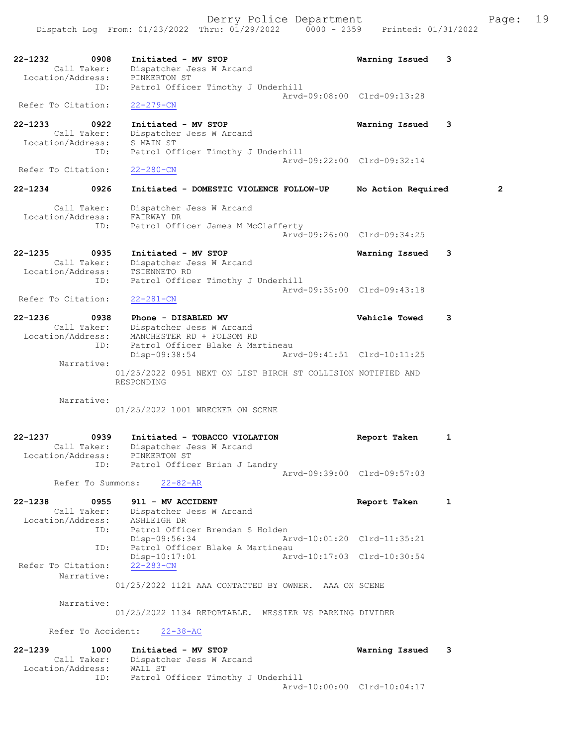22-1232 0908 Initiated - MV STOP Warning Issued 3 Call Taker: Dispatcher Jess W Arcand Location/Address: PINKERTON ST ID: Patrol Officer Timothy J Underhill Arvd-09:08:00 Clrd-09:13:28 Refer To Citation: 22-279-CN 22-1233 0922 Initiated - MV STOP Warning Issued 3 Call Taker: Dispatcher Jess W Arcand Location/Address: S MAIN ST ID: Patrol Officer Timothy J Underhill Arvd-09:22:00 Clrd-09:32:14<br>22-280-CN Refer To Citation: 22-1234 0926 Initiated - DOMESTIC VIOLENCE FOLLOW-UP No Action Required 2 Call Taker: Dispatcher Jess W Arcand Location/Address: FAIRWAY DR ID: Patrol Officer James M McClafferty Arvd-09:26:00 Clrd-09:34:25 22-1235 0935 Initiated - MV STOP Warning Issued 3 Call Taker: Dispatcher Jess W Arcand Location/Address: TSIENNETO RD ID: Patrol Officer Timothy J Underhill Arvd-09:35:00 Clrd-09:43:18 Refer To Citation: 22-281-CN 22-1236 0938 Phone - DISABLED MV Vehicle Towed 3 Call Taker: Dispatcher Jess W Arcand Location/Address: MANCHESTER RD + FOLSOM RD ID: Patrol Officer Blake A Martineau Disp-09:38:54 Arvd-09:41:51 Clrd-10:11:25 Narrative: 01/25/2022 0951 NEXT ON LIST BIRCH ST COLLISION NOTIFIED AND RESPONDING Narrative: 01/25/2022 1001 WRECKER ON SCENE 22-1237 0939 Initiated - TOBACCO VIOLATION Report Taken 1 Call Taker: Dispatcher Jess W Arcand Location/Address: PINKERTON ST ID: Patrol Officer Brian J Landry Arvd-09:39:00 Clrd-09:57:03 Refer To Summons: 22-82-AR 22-1238 0955 911 - MV ACCIDENT Report Taken 1 Call Taker: Dispatcher Jess W Arcand Location/Address: ASHLEIGH DR ID: Patrol Officer Brendan S Holden Disp-09:56:34 Arvd-10:01:20 Clrd-11:35:21 ID: Patrol Officer Blake A Martineau Disp-10:17:01 Arvd-10:17:03 Clrd-10:30:54 Refer To Citation: Narrative: 01/25/2022 1121 AAA CONTACTED BY OWNER. AAA ON SCENE Narrative: 01/25/2022 1134 REPORTABLE. MESSIER VS PARKING DIVIDER Refer To Accident: 22-38-AC 22-1239 1000 Initiated - MV STOP Warning Issued 3 Call Taker: Dispatcher Jess W Arcand Location/Address: WALL ST ID: Patrol Officer Timothy J Underhill Arvd-10:00:00 Clrd-10:04:17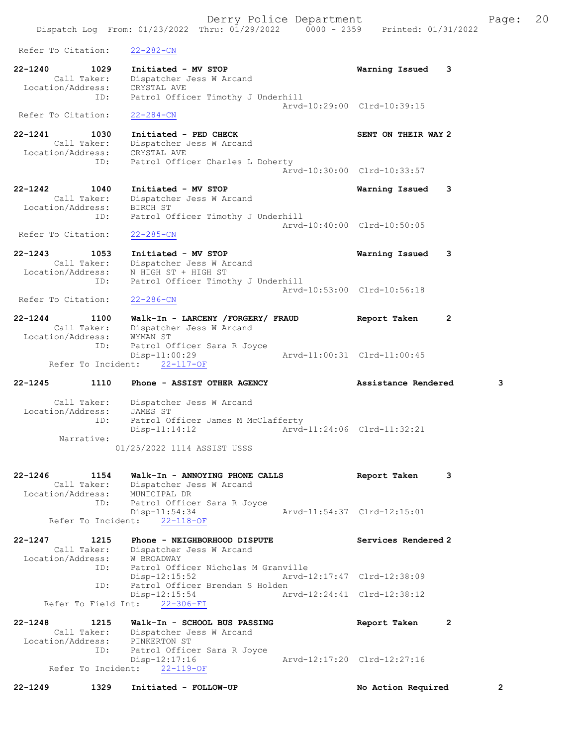Derry Police Department Fage: 20 Dispatch Log From: 01/23/2022 Thru: 01/29/2022 0000 - 2359 Printed: 01/31/2022 Refer To Citation: 22-282-CN 22-1240 1029 Initiated - MV STOP Warning Issued 3 Call Taker: Dispatcher Jess W Arcand Location/Address: CRYSTAL AVE ID: Patrol Officer Timothy J Underhill Arvd-10:29:00 Clrd-10:39:15 Refer To Citation: 22-284-CN 22-1241 1030 Initiated - PED CHECK SENT ON THEIR WAY 2 Call Taker: Dispatcher Jess W Arcand Location/Address: CRYSTAL AVE ID: Patrol Officer Charles L Doherty Arvd-10:30:00 Clrd-10:33:57 22-1242 1040 Initiated - MV STOP Warning Issued 3 Call Taker: Dispatcher Jess W Arcand Location/Address: BIRCH ST ID: Patrol Officer Timothy J Underhill Arvd-10:40:00 Clrd-10:50:05 Refer To Citation: 22-285-CN 22-1243 1053 Initiated - MV STOP Warning Issued 3 Call Taker: Dispatcher Jess W Arcand Location/Address: N HIGH ST + HIGH ST ID: Patrol Officer Timothy J Underhill Arvd-10:53:00 Clrd-10:56:18<br>22-286-CN Refer To Citation: 22-1244 1100 Walk-In - LARCENY /FORGERY/ FRAUD Report Taken 2 Call Taker: Dispatcher Jess W Arcand Location/Address: WYMAN ST ID: Patrol Officer Sara R Joyce Disp-11:00:29 Refer To Incident: 22-117-OF 22-1245 1110 Phone - ASSIST OTHER AGENCY Assistance Rendered 3 Call Taker: Dispatcher Jess W Arcand Location/Address: JAMES ST ID: Patrol Officer James M McClafferty Disp-11:14:12 Arvd-11:24:06 Clrd-11:32:21 Narrative: 01/25/2022 1114 ASSIST USSS 22-1246 1154 Walk-In - ANNOYING PHONE CALLS Report Taken 3 Call Taker: Dispatcher Jess W Arcand Location/Address: MUNICIPAL DR ID: Patrol Officer Sara R Joyce Disp-11:54:34 Arvd-11:54:37 Clrd-12:15:01 Refer To Incident: 22-118-OF 22-1247 1215 Phone - NEIGHBORHOOD DISPUTE Services Rendered 2 Call Taker: Dispatcher Jess W Arcand Location/Address: W BROADWAY ID: Patrol Officer Nicholas M Granville Disp-12:15:52 Arvd-12:17:47 Clrd-12:38:09 ID: Patrol Officer Brendan S Holden Disp-12:15:54 Arvd-12:24:41 Clrd-12:38:12 Refer To Field Int: 22-306-FI

22-1248 1215 Walk-In - SCHOOL BUS PASSING Report Taken 2 Call Taker: Dispatcher Jess W Arcand Location/Address: PINKERTON ST ID: Patrol Officer Sara R Joyce Disp-12:17:16 Arvd-12:17:20 Clrd-12:27:16 Refer To Incident: 22-119-OF

22-1249 1329 Initiated - FOLLOW-UP No Action Required 2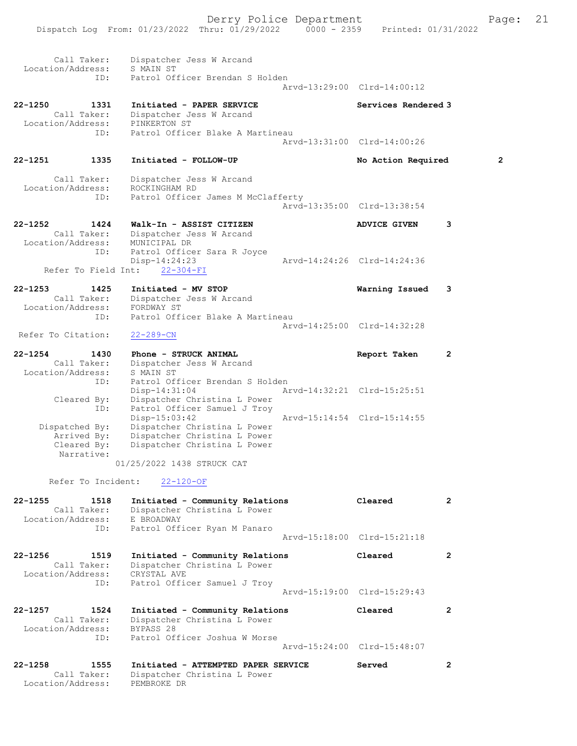|                              |                                                            | Derry Police Department<br>Dispatch Log From: 01/23/2022 Thru: 01/29/2022 0000 - 2359 Printed: 01/31/2022                                     |                             |                             |   | Page:          | 21 |
|------------------------------|------------------------------------------------------------|-----------------------------------------------------------------------------------------------------------------------------------------------|-----------------------------|-----------------------------|---|----------------|----|
| Location/Address:            | Call Taker:<br>ID:                                         | Dispatcher Jess W Arcand<br>S MAIN ST<br>Patrol Officer Brendan S Holden                                                                      |                             | Arvd-13:29:00 Clrd-14:00:12 |   |                |    |
| 22-1250                      | 1331<br>Call Taker:                                        | Initiated - PAPER SERVICE<br>Dispatcher Jess W Arcand<br>Location/Address: PINKERTON ST                                                       |                             | Services Rendered 3         |   |                |    |
|                              | ID:                                                        | Patrol Officer Blake A Martineau                                                                                                              |                             | Arvd-13:31:00 Clrd-14:00:26 |   |                |    |
| 22-1251                      | 1335                                                       | Initiated - FOLLOW-UP                                                                                                                         |                             | No Action Required          |   | $\overline{2}$ |    |
| Location/Address:            | Call Taker:<br>ID:                                         | Dispatcher Jess W Arcand<br>ROCKINGHAM RD<br>Patrol Officer James M McClafferty                                                               |                             | Arvd-13:35:00 Clrd-13:38:54 |   |                |    |
| 22-1252<br>Location/Address: | 1424<br>Call Taker:                                        | Walk-In - ASSIST CITIZEN<br>Dispatcher Jess W Arcand<br>MUNICIPAL DR                                                                          |                             | <b>ADVICE GIVEN</b>         | 3 |                |    |
|                              | ID:                                                        | Patrol Officer Sara R Joyce<br>$Disp-14:24:23$<br>Refer To Field Int: 22-304-FI                                                               |                             | Arvd-14:24:26 Clrd-14:24:36 |   |                |    |
| 22-1253<br>Location/Address: | 1425<br>Call Taker:<br>ID:                                 | Initiated - MV STOP<br>Dispatcher Jess W Arcand<br>FORDWAY ST<br>Patrol Officer Blake A Martineau                                             |                             | Warning Issued              | 3 |                |    |
| Refer To Citation:           |                                                            | $22 - 289 - CN$                                                                                                                               |                             | Arvd-14:25:00 Clrd-14:32:28 |   |                |    |
| 22-1254<br>Location/Address: | 1430<br>Call Taker:                                        | Phone - STRUCK ANIMAL<br>Dispatcher Jess W Arcand<br>S MAIN ST                                                                                |                             | Report Taken                | 2 |                |    |
|                              | ID:<br>Cleared By:<br>ID:                                  | Patrol Officer Brendan S Holden<br>$Disp-14:31:04$<br>Dispatcher Christina L Power<br>Patrol Officer Samuel J Troy                            |                             | Arvd-14:32:21 Clrd-15:25:51 |   |                |    |
|                              | Dispatched By:<br>Arrived By:<br>Cleared By:<br>Narrative: | $Disp-15:03:42$<br>Dispatcher Christina L Power<br>Dispatcher Christina L Power<br>Dispatcher Christina L Power<br>01/25/2022 1438 STRUCK CAT | Arvd-15:14:54 Clrd-15:14:55 |                             |   |                |    |
|                              | Refer To Incident:                                         | $22 - 120 - OF$                                                                                                                               |                             |                             |   |                |    |

 Location/Address: E BROADWAY ID: Patrol Officer Ryan M Panaro Arvd-15:18:00 Clrd-15:21:18 22-1256 1519 Initiated - Community Relations Cleared 2 Call Taker: Dispatcher Christina L Power Location/Address: CRYSTAL AVE ID: Patrol Officer Samuel J Troy Arvd-15:19:00 Clrd-15:29:43

22-1255 1518 Initiated - Community Relations Cleared 2

Call Taker: Dispatcher Christina L Power

22-1257 1524 Initiated - Community Relations Cleared 2 Call Taker: Dispatcher Christina L Power Location/Address: BYPASS 28 ID: Patrol Officer Joshua W Morse Arvd-15:24:00 Clrd-15:48:07

| 22-1258<br>1555   | Initiated - ATTEMPTED PAPER SERVICE | Served |  |
|-------------------|-------------------------------------|--------|--|
| Call Taker:       | Dispatcher Christina L Power        |        |  |
| Location/Address: | PEMBROKE DR                         |        |  |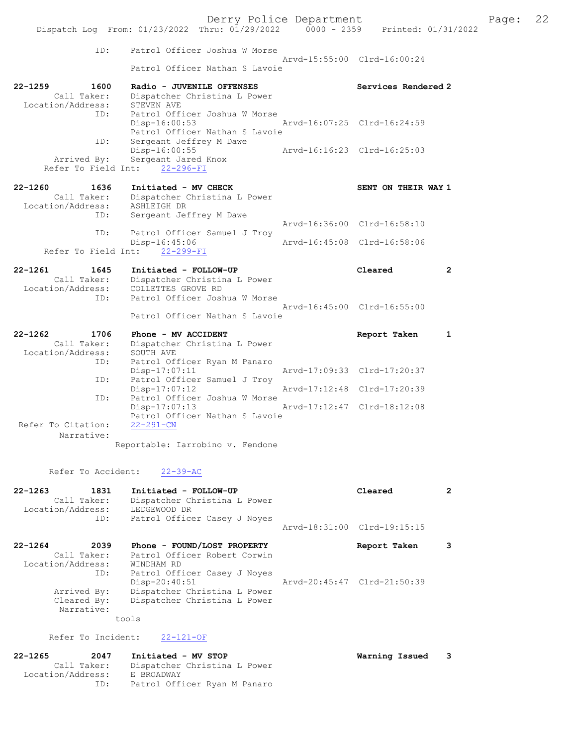| ID:                                | Patrol Officer Joshua W Morse                                                    |                             |                |
|------------------------------------|----------------------------------------------------------------------------------|-----------------------------|----------------|
|                                    | Patrol Officer Nathan S Lavoie                                                   | Arvd-15:55:00 Clrd-16:00:24 |                |
| $22 - 1259$<br>1600<br>Call Taker: | Radio - JUVENILE OFFENSES<br>Dispatcher Christina L Power                        | Services Rendered 2         |                |
| Location/Address:                  | STEVEN AVE                                                                       |                             |                |
| ID:                                | Patrol Officer Joshua W Morse<br>Disp-16:00:53<br>Patrol Officer Nathan S Lavoie | Arvd-16:07:25 Clrd-16:24:59 |                |
| ID:                                | Sergeant Jeffrey M Dawe<br>Disp-16:00:55                                         | Arvd-16:16:23 Clrd-16:25:03 |                |
| Arrived By:<br>Refer To Field Int: | Sergeant Jared Knox<br>$22 - 296 - FI$                                           |                             |                |
| $22 - 1260$<br>1636                | Initiated - MV CHECK                                                             | SENT ON THEIR WAY 1         |                |
| Call Taker:<br>Location/Address:   | Dispatcher Christina L Power<br>ASHLEIGH DR                                      |                             |                |
| ID:                                | Sergeant Jeffrey M Dawe                                                          |                             |                |
| ID:                                | Patrol Officer Samuel J Troy                                                     | Arvd-16:36:00 Clrd-16:58:10 |                |
| Refer To Field Int:                | Disp-16:45:06<br>$22 - 299 - FI$                                                 | Arvd-16:45:08 Clrd-16:58:06 |                |
|                                    |                                                                                  |                             |                |
|                                    |                                                                                  |                             |                |
| $22 - 1261$<br>1645                | Initiated - FOLLOW-UP                                                            | Cleared                     | $\overline{2}$ |
| Call Taker:<br>Location/Address:   | Dispatcher Christina L Power<br>COLLETTES GROVE RD                               |                             |                |
| ID:                                | Patrol Officer Joshua W Morse                                                    |                             |                |
|                                    | Patrol Officer Nathan S Lavoie                                                   | Arvd-16:45:00 Clrd-16:55:00 |                |
| $22 - 1262$<br>1706                | Phone - MV ACCIDENT                                                              | Report Taken                | 1              |
| Call Taker:                        | Dispatcher Christina L Power                                                     |                             |                |
| Location/Address:                  | SOUTH AVE                                                                        |                             |                |
| ID:                                | Patrol Officer Ryan M Panaro<br>Disp-17:07:11                                    | Arvd-17:09:33 Clrd-17:20:37 |                |
| ID:                                | Patrol Officer Samuel J Troy                                                     |                             |                |
| ID:                                | $Disp-17:07:12$<br>Patrol Officer Joshua W Morse                                 | Arvd-17:12:48 Clrd-17:20:39 |                |
|                                    | Disp-17:07:13                                                                    | Arvd-17:12:47 Clrd-18:12:08 |                |
| Refer To Citation:                 | Patrol Officer Nathan S Lavoie<br>$22 - 291 - CN$                                |                             |                |
| Narrative:                         |                                                                                  |                             |                |
|                                    | Reportable: Iarrobino v. Fendone                                                 |                             |                |

# Refer To Accident: 22-39-AC

| $22 - 1263$<br>1831<br>Call Taker:<br>Location/Address:<br>ID: | Initiated - FOLLOW-UP<br>Dispatcher Christina L Power<br>LEDGEWOOD DR<br>Patrol Officer Casey J Noyes | Cleared                     |  |
|----------------------------------------------------------------|-------------------------------------------------------------------------------------------------------|-----------------------------|--|
|                                                                |                                                                                                       | Arvd-18:31:00 Clrd-19:15:15 |  |
| $22 - 1264$<br>2039<br>Call Taker:                             | Phone - FOUND/LOST PROPERTY<br>Patrol Officer Robert Corwin                                           | Report Taken                |  |
| Location/Address:                                              | WINDHAM RD                                                                                            |                             |  |
| ID:                                                            | Patrol Officer Casey J Noyes<br>Disp-20:40:51                                                         | Arvd-20:45:47 Clrd-21:50:39 |  |
| Arrived By:                                                    | Dispatcher Christina L Power                                                                          |                             |  |
| Cleared By:                                                    | Dispatcher Christina L Power                                                                          |                             |  |
| Narrative:                                                     |                                                                                                       |                             |  |
|                                                                | tools                                                                                                 |                             |  |

# Refer To Incident: 22-121-OF

| Initiated - MV STOP          |                  |
|------------------------------|------------------|
| Dispatcher Christina L Power |                  |
| E BROADWAY                   |                  |
| Patrol Officer Ryan M Panaro |                  |
|                              | Warning Issued 3 |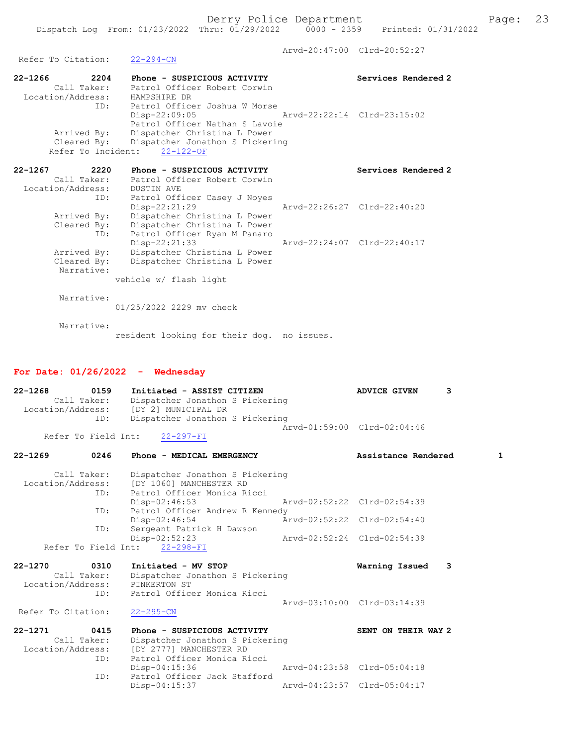Arvd-20:47:00 Clrd-20:52:27<br>22-294-CN

22-1266 2204 Phone - SUSPICIOUS ACTIVITY Services Rendered 2 Call Taker: Patrol Officer Robert Corwin Location/Address: HAMPSHIRE DR ID: Patrol Officer Joshua W Morse Disp-22:09:05 Arvd-22:22:14 Clrd-23:15:02 Patrol Officer Nathan S Lavoie Arrived By: Dispatcher Christina L Power Cleared By: Dispatcher Jonathon S Pickering Refer To Incident: 22-122-OF

| $22 - 1267$<br>2220 | Phone - SUSPICIOUS ACTIVITY  | Services Rendered 2         |
|---------------------|------------------------------|-----------------------------|
| Call Taker:         | Patrol Officer Robert Corwin |                             |
| Location/Address:   | DUSTIN AVE                   |                             |
| ID:                 | Patrol Officer Casey J Noyes |                             |
|                     | Disp-22:21:29                | Arvd-22:26:27 Clrd-22:40:20 |
| Arrived By:         | Dispatcher Christina L Power |                             |
| Cleared By:         | Dispatcher Christina L Power |                             |
| ID:                 | Patrol Officer Ryan M Panaro |                             |
|                     | $Disp-22:21:33$              | Arvd-22:24:07 Clrd-22:40:17 |
| Arrived By:         | Dispatcher Christina L Power |                             |
| Cleared By:         | Dispatcher Christina L Power |                             |
| Narrative:          |                              |                             |
|                     | vehicle w/ flash light       |                             |
| Narrative:          |                              |                             |
|                     | 01/25/2022 2229 my check     |                             |
|                     |                              |                             |

 Narrative: resident looking for their dog. no issues.

## For Date: 01/26/2022 - Wednesday

Refer To Citation:

| $22 - 1268$<br>0159<br>Call Taker:<br>ID:                      | Initiated - ASSIST CITIZEN<br>Dispatcher Jonathon S Pickering<br>Location/Address: [DY 2] MUNICIPAL DR<br>Dispatcher Jonathon S Pickering | <b>ADVICE GIVEN</b>                                        | 3 |
|----------------------------------------------------------------|-------------------------------------------------------------------------------------------------------------------------------------------|------------------------------------------------------------|---|
| Refer To Field Int:                                            | $22 - 297 - FI$                                                                                                                           | Aryd-01:59:00 Clrd-02:04:46                                |   |
| $22 - 1269$<br>0246                                            | Phone - MEDICAL EMERGENCY                                                                                                                 | Assistance Rendered                                        | 1 |
| Call Taker:<br>ID:                                             | Dispatcher Jonathon S Pickering<br>Location/Address: [DY 1060] MANCHESTER RD<br>Patrol Officer Monica Ricci                               |                                                            |   |
| ID:                                                            | $Disp-02:46:53$<br>Patrol Officer Andrew R Kennedy                                                                                        | Aryd-02:52:22 Clrd-02:54:39                                |   |
| ID:                                                            | Disp-02:46:54<br>Sergeant Patrick H Dawson                                                                                                | Arvd-02:52:22 Clrd-02:54:40                                |   |
| Refer To Field Int:                                            | Disp-02:52:23<br>$22 - 298 - FI$                                                                                                          | Arvd-02:52:24 Clrd-02:54:39                                |   |
| $22 - 1270$<br>0310<br>Call Taker:<br>Location/Address:<br>ID: | Initiated - MV STOP<br>Dispatcher Jonathon S Pickering<br>PINKERTON ST<br>Patrol Officer Monica Ricci                                     | Warning Issued                                             | 3 |
| Refer To Citation:                                             | $22 - 295 - CN$                                                                                                                           | Arvd-03:10:00 Clrd-03:14:39                                |   |
| $22 - 1271$<br>0415<br>Call Taker:<br>Location/Address:<br>ID: | Phone - SUSPICIOUS ACTIVITY<br>Dispatcher Jonathon S Pickering<br>[DY 2777] MANCHESTER RD<br>Patrol Officer Monica Ricci                  | SENT ON THEIR WAY 2                                        |   |
| ID:                                                            | Disp-04:15:36<br>Patrol Officer Jack Stafford<br>$Disp-04:15:37$                                                                          | Arvd-04:23:58 Clrd-05:04:18<br>Arvd-04:23:57 Clrd-05:04:17 |   |
|                                                                |                                                                                                                                           |                                                            |   |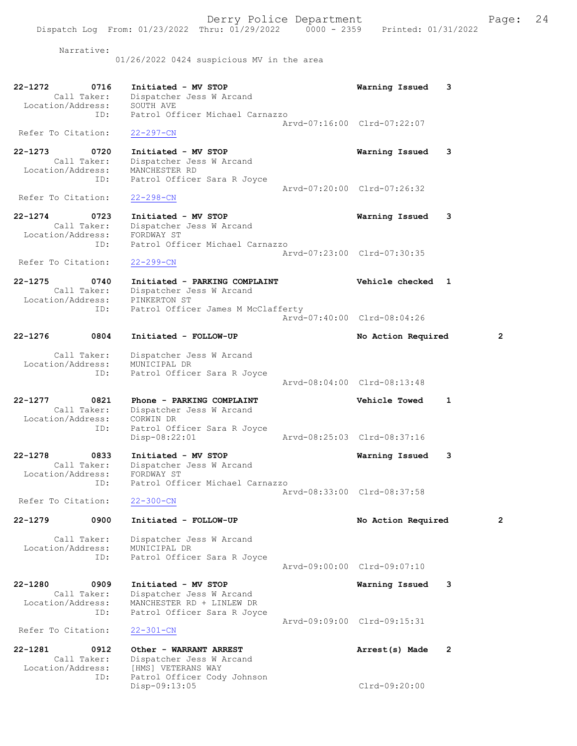Narrative:

01/26/2022 0424 suspicious MV in the area

| 22-1272<br>0716    | Initiated - MV STOP             | Warning Issued              |  |
|--------------------|---------------------------------|-----------------------------|--|
| Call Taker:        | Dispatcher Jess W Arcand        |                             |  |
| Location/Address:  | SOUTH AVE                       |                             |  |
| TD:                | Patrol Officer Michael Carnazzo |                             |  |
|                    |                                 | Aryd-07:16:00 Clrd-07:22:07 |  |
| Refer To Citation: | $22 - 297 - CN$                 |                             |  |

22-1273 0720 Initiated - MV STOP Warning Issued 3 Call Taker: Dispatcher Jess W Arcand Location/Address: MANCHESTER RD ID: Patrol Officer Sara R Joyce Arvd-07:20:00 Clrd-07:26:32<br>22-298-CN Refer To Citation:

22-1274 0723 Initiated - MV STOP Warning Issued 3 Call Taker: Dispatcher Jess W Arcand Location/Address: FORDWAY ST ID: Patrol Officer Michael Carnazzo Arvd-07:23:00 Clrd-07:30:35 Refer To Citation: 22-299-CN

22-1275 0740 Initiated - PARKING COMPLAINT Vehicle checked 1 Call Taker: Dispatcher Jess W Arcand Location/Address: PINKERTON ST ID: Patrol Officer James M McClafferty Arvd-07:40:00 Clrd-08:04:26

22-1276 0804 Initiated - FOLLOW-UP No Action Required 2 Call Taker: Dispatcher Jess W Arcand Location/Address: MUNICIPAL DR ID: Patrol Officer Sara R Joyce Arvd-08:04:00 Clrd-08:13:48 22-1277 0821 Phone - PARKING COMPLAINT Vehicle Towed 1

 Call Taker: Dispatcher Jess W Arcand Location/Address: CORWIN DR<br>ID: Patrol Off Patrol Officer Sara R Joyce<br>Disp-08:22:01 Disp-08:22:01 Arvd-08:25:03 Clrd-08:37:16

22-1278 0833 Initiated - MV STOP Warning Issued 3 Call Taker: Dispatcher Jess W Arcand Location/Address: FORDWAY ST ID: Patrol Officer Michael Carnazzo Arvd-08:33:00 Clrd-08:37:58 Refer To Citation: 22-300-CN

22-1279 0900 Initiated - FOLLOW-UP No Action Required 2 Call Taker: Dispatcher Jess W Arcand

 Location/Address: MUNICIPAL DR ID: Patrol Officer Sara R Joyce Arvd-09:00:00 Clrd-09:07:10

22-1280 0909 Initiated - MV STOP Warning Issued 3 Call Taker: Dispatcher Jess W Arcand Location/Address: MANCHESTER RD + LINLEW DR ID: Patrol Officer Sara R Joyce Arvd-09:09:00 Clrd-09:15:31 Refer To Citation: 22-301-CN

22-1281 0912 Other - WARRANT ARREST 22-1281 Arrest(s) Made 2 Call Taker: Dispatcher Jess W Arcand<br>Location/Address: [HMS] VETERANS WAY ess: [HMS] VETERANS WAY<br>ID: Patrol Officer Cody Patrol Officer Cody Johnson Disp-09:13:05 Clrd-09:20:00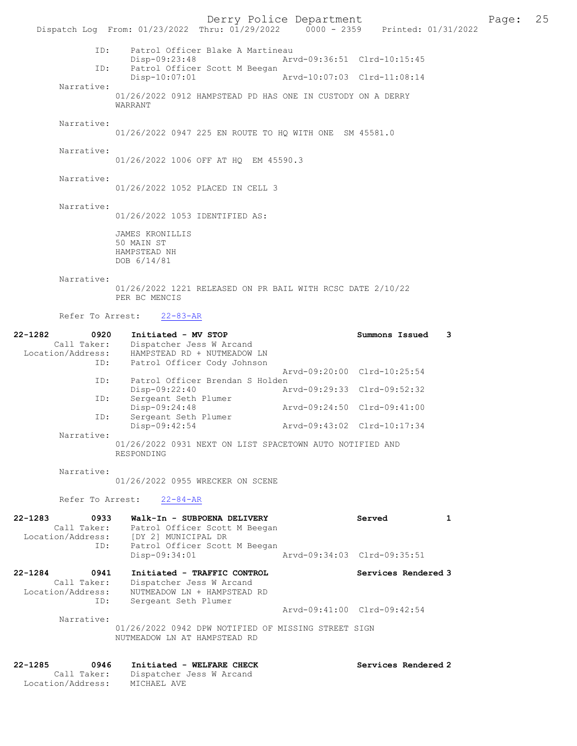Derry Police Department The Page: 25 Dispatch Log From: 01/23/2022 Thru: 01/29/2022 0000 - 2359 Printed: 01/31/2022 ID: Patrol Officer Blake A Martineau Disp-09:23:48 Arvd-09:36:51 Clrd-10:15:45<br>TD: Patrol Officer Scott M Beegan Patrol Officer Scott M Beegan<br>Disp-10:07:01 Disp-10:07:01 Arvd-10:07:03 Clrd-11:08:14 Narrative: 01/26/2022 0912 HAMPSTEAD PD HAS ONE IN CUSTODY ON A DERRY WARRANT Narrative: 01/26/2022 0947 225 EN ROUTE TO HQ WITH ONE SM 45581.0 Narrative: 01/26/2022 1006 OFF AT HQ EM 45590.3 Narrative: 01/26/2022 1052 PLACED IN CELL 3 Narrative: 01/26/2022 1053 IDENTIFIED AS: JAMES KRONILLIS 50 MAIN ST HAMPSTEAD NH DOB 6/14/81 Narrative: 01/26/2022 1221 RELEASED ON PR BAIL WITH RCSC DATE 2/10/22 PER BC MENCIS Refer To Arrest: 22-83-AR 22-1282 0920 Initiated - MV STOP Summons Issued 3 Call Taker: Dispatcher Jess W Arcand Location/Address: HAMPSTEAD RD + NUTMEADOW LN ID: Patrol Officer Cody Johnson Arvd-09:20:00 Clrd-10:25:54 ID: Patrol Officer Brendan S Holden<br>Disp-09:22:40 Ar Disp-09:22:40 Arvd-09:29:33 Clrd-09:52:32<br>ID: Sergeant Seth Plumer Sergeant Seth Plumer<br>Disp-09:24:48 Disp-09:24:48 Arvd-09:24:50 Clrd-09:41:00 ID: Sergeant Seth Plumer<br>Disp-09:42:54 Disp-09:42:54 Arvd-09:43:02 Clrd-10:17:34 Narrative: 01/26/2022 0931 NEXT ON LIST SPACETOWN AUTO NOTIFIED AND RESPONDING Narrative: 01/26/2022 0955 WRECKER ON SCENE Refer To Arrest: 22-84-AR 22-1283 0933 Walk-In - SUBPOENA DELIVERY Served 1 Call Taker: Patrol Officer Scott M Beegan Location/Address: [DY 2] MUNICIPAL DR ID: Patrol Officer Scott M Beegan Disp-09:34:01 Arvd-09:34:03 Clrd-09:35:51 22-1284 0941 Initiated - TRAFFIC CONTROL Services Rendered 3 Call Taker: Dispatcher Jess W Arcand Location/Address: NUTMEADOW LN + HAMPSTEAD RD ID: Sergeant Seth Plumer Arvd-09:41:00 Clrd-09:42:54 Narrative: 01/26/2022 0942 DPW NOTIFIED OF MISSING STREET SIGN NUTMEADOW LN AT HAMPSTEAD RD 22-1285 0946 Initiated - WELFARE CHECK Services Rendered 2 Call Taker: Dispatcher Jess W Arcand Location/Address: MICHAEL AVE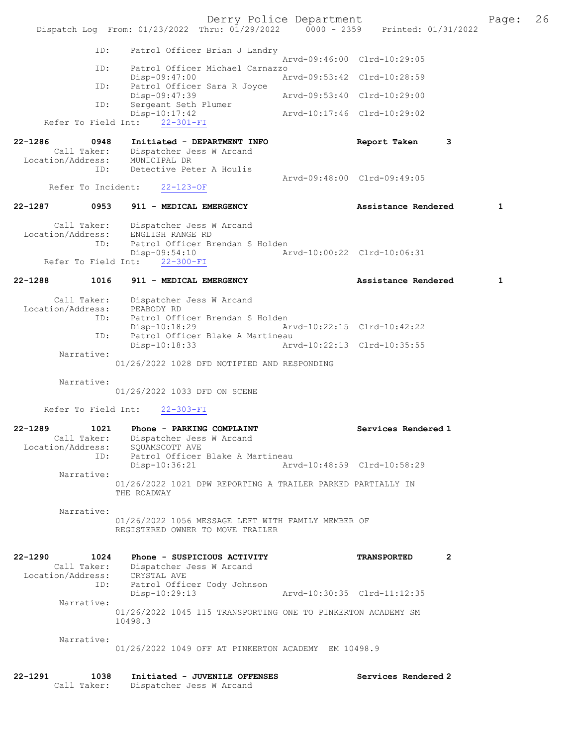Derry Police Department The Page: 26 Dispatch Log From:  $01/23/2022$  Thru:  $01/29/2022$  0000 - 2359 Printed:  $01/31/2022$  ID: Patrol Officer Brian J Landry Arvd-09:46:00 Clrd-10:29:05<br>TD: Patrol Officer Michael Carnazzo Patrol Officer Michael Carnazzo<br>Disp-09:47:00 A Arvd-09:53:42 Clrd-10:28:59 ID: Patrol Officer Sara R Joyce Disp-09:47:39 Arvd-09:53:40 Clrd-10:29:00 ID: Sergeant Seth Plumer<br>Disp-10:17:42 Disp-10:17:42 Arvd-10:17:46 Clrd-10:29:02 Refer To Field Int: 22-301-FI 22-1286 0948 Initiated - DEPARTMENT INFO Report Taken 3 Call Taker: Dispatcher Jess W Arcand Location/Address: MUNICIPAL DR ID: Detective Peter A Houlis Arvd-09:48:00 Clrd-09:49:05 Refer To Incident: 22-123-OF 22-1287 0953 911 - MEDICAL EMERGENCY 1 Assistance Rendered 1 Call Taker: Dispatcher Jess W Arcand Location/Address: ENGLISH RANGE RD ID: Patrol Officer Brendan S Holden Disp-09:54:10 Arvd-10:00:22 Clrd-10:06:31 Refer To Field Int: 22-300-FI 22-1288 1016 911 - MEDICAL EMERGENCY Assistance Rendered 1 Call Taker: Dispatcher Jess W Arcand Location/Address: PEABODY RD<br>ID: Patrol Offi ID: Patrol Officer Brendan S Holden Disp-10:18:29 Arvd-10:22:15 Clrd-10:42:22 ID: Patrol Officer Blake A Martineau Disp-10:18:33 Arvd-10:22:13 Clrd-10:35:55 Narrative: 01/26/2022 1028 DFD NOTIFIED AND RESPONDING Narrative: 01/26/2022 1033 DFD ON SCENE Refer To Field Int: 22-303-FI 22-1289 1021 Phone - PARKING COMPLAINT Services Rendered 1 Call Taker: Dispatcher Jess W Arcand<br>Location/Address: SQUAMSCOTT AVE Location/Address: SQUAMSCOTT AVE ID: Patrol Officer Blake A Martineau Disp-10:36:21 Arvd-10:48:59 Clrd-10:58:29 Narrative: 01/26/2022 1021 DPW REPORTING A TRAILER PARKED PARTIALLY IN THE ROADWAY Narrative: 01/26/2022 1056 MESSAGE LEFT WITH FAMILY MEMBER OF REGISTERED OWNER TO MOVE TRAILER 22-1290 1024 Phone - SUSPICIOUS ACTIVITY TRANSPORTED 2 Call Taker: Dispatcher Jess W Arcand Location/Address: CRYSTAL AVE ID: Patrol Officer Cody Johnson Disp-10:29:13 Arvd-10:30:35 Clrd-11:12:35 Narrative: 01/26/2022 1045 115 TRANSPORTING ONE TO PINKERTON ACADEMY SM 10498.3 Narrative: 01/26/2022 1049 OFF AT PINKERTON ACADEMY EM 10498.9 22-1291 1038 Initiated - JUVENILE OFFENSES Services Rendered 2<br>Call Taker: Dispatcher Jess W Arcand

Dispatcher Jess W Arcand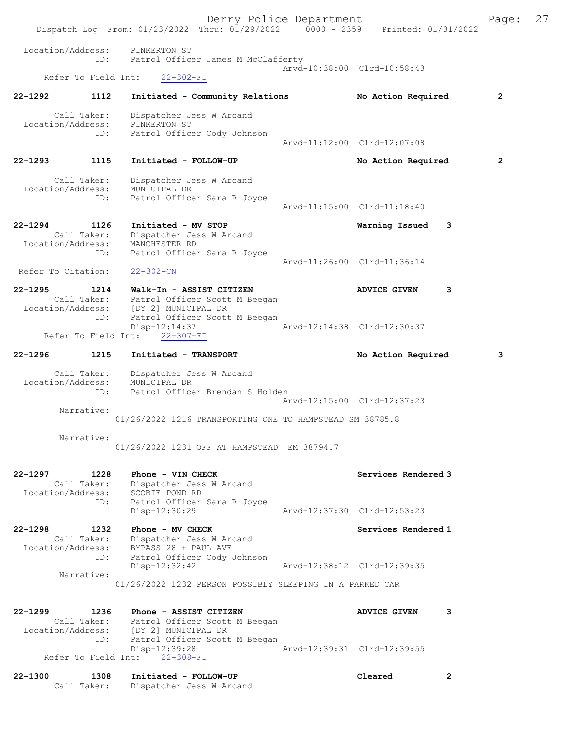|                                         | Dispatch Log From: 01/23/2022 Thru: 01/29/2022 0000 - 2359 Printed: 01/31/2022                                                    | Derry Police Department     |                             | Page:          | 27 |
|-----------------------------------------|-----------------------------------------------------------------------------------------------------------------------------------|-----------------------------|-----------------------------|----------------|----|
| Location/Address:<br>ID:                | PINKERTON ST<br>Patrol Officer James M McClafferty                                                                                |                             |                             |                |    |
| Refer To Field Int:                     | $22 - 302 - FI$                                                                                                                   |                             | Arvd-10:38:00 Clrd-10:58:43 |                |    |
| $22 - 1292$<br>1112                     | Initiated - Community Relations                                                                                                   |                             | No Action Required          | $\overline{2}$ |    |
| Call Taker:<br>Location/Address:<br>ID: | Dispatcher Jess W Arcand<br>PINKERTON ST<br>Patrol Officer Cody Johnson                                                           |                             |                             |                |    |
|                                         |                                                                                                                                   |                             | Arvd-11:12:00 Clrd-12:07:08 |                |    |
| 22-1293<br>1115                         | Initiated - FOLLOW-UP                                                                                                             |                             | No Action Required          | $\overline{2}$ |    |
| Call Taker:<br>Location/Address:<br>ID: | Dispatcher Jess W Arcand<br>MUNICIPAL DR<br>Patrol Officer Sara R Joyce                                                           |                             |                             |                |    |
|                                         |                                                                                                                                   |                             | Arvd-11:15:00 Clrd-11:18:40 |                |    |
| 22-1294 1126<br>Call Taker:<br>ID:      | Initiated - MV STOP<br>Dispatcher Jess W Arcand<br>Location/Address: MANCHESTER RD<br>Patrol Officer Sara R Joyce                 |                             | Warning Issued              | 3              |    |
| Refer To Citation:                      | $22 - 302 - CN$                                                                                                                   |                             | Arvd-11:26:00 Clrd-11:36:14 |                |    |
| $22 - 1295$                             | 1214 Walk-In - ASSIST CITIZEN<br>Call Taker: Patrol Officer Scott M Beegan<br>Location/Address: [DY 2] MUNICIPAL DR               |                             | ADVICE GIVEN                | 3              |    |
| ID:                                     | Patrol Officer Scott M Beegan<br>Disp-12:14:37<br>Refer To Field Int: 22-307-FI                                                   | Arvd-12:14:38 Clrd-12:30:37 |                             |                |    |
| 1215<br>$22 - 1296$                     | Initiated - TRANSPORT                                                                                                             |                             | No Action Required          | 3              |    |
| Call Taker:<br>Location/Address:<br>ID: | Dispatcher Jess W Arcand<br>MUNICIPAL DR<br>Patrol Officer Brendan S Holden                                                       |                             |                             |                |    |
| Narrative:                              |                                                                                                                                   |                             | Arvd-12:15:00 Clrd-12:37:23 |                |    |
|                                         | 01/26/2022 1216 TRANSPORTING ONE TO HAMPSTEAD SM 38785.8                                                                          |                             |                             |                |    |
| Narrative:                              | 01/26/2022 1231 OFF AT HAMPSTEAD EM 38794.7                                                                                       |                             |                             |                |    |
| 22-1297<br>1228<br>Call Taker:          | Phone - VIN CHECK<br>Dispatcher Jess W Arcand<br>Location/Address: SCOBIE POND RD                                                 |                             | Services Rendered 3         |                |    |
| ID:                                     | Patrol Officer Sara R Joyce<br>Disp-12:30:29                                                                                      |                             | Arvd-12:37:30 Clrd-12:53:23 |                |    |
| $22 - 1298$<br>1232<br>ID:              | Phone - MV CHECK<br>Call Taker: Dispatcher Jess W Arcand<br>Location/Address: BYPASS 28 + PAUL AVE<br>Patrol Officer Cody Johnson |                             | Services Rendered 1         |                |    |
| Narrative:                              | $Disp-12:32:42$                                                                                                                   |                             | Arvd-12:38:12 Clrd-12:39:35 |                |    |
|                                         | 01/26/2022 1232 PERSON POSSIBLY SLEEPING IN A PARKED CAR                                                                          |                             |                             |                |    |
| $22 - 1299$                             | 1236 Phone - ASSIST CITIZEN<br>Call Taker: Patrol Officer Scott M Beegan<br>Location/Address: [DY 2] MUNICIPAL DR                 |                             | <b>ADVICE GIVEN</b>         | 3              |    |
|                                         |                                                                                                                                   |                             |                             |                |    |
|                                         | ID: Patrol Officer Scott M Beegan<br>Disp-12:39:28<br>Refer To Field Int: 22-308-FI                                               |                             | Arvd-12:39:31 Clrd-12:39:55 |                |    |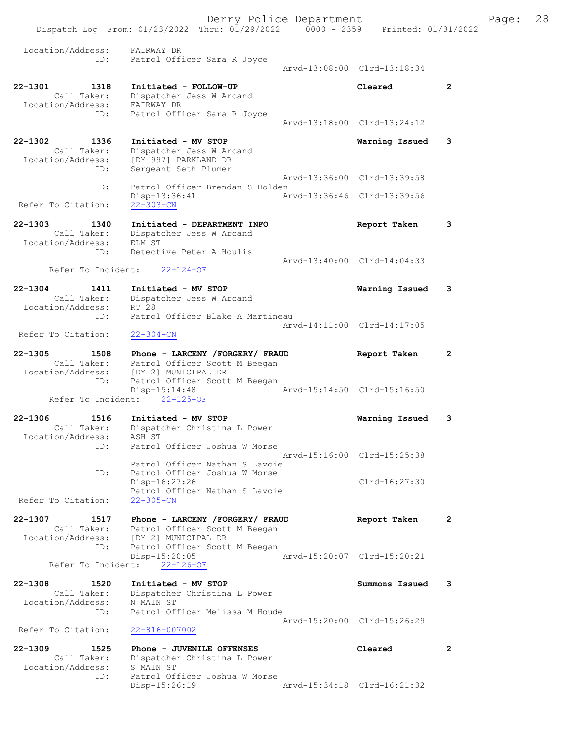|                                                                | Dispatch Log From: 01/23/2022 Thru: 01/29/2022 0000 - 2359                                          | Derry Police Department | Printed: 01/31/2022         |              | Page: | 28 |
|----------------------------------------------------------------|-----------------------------------------------------------------------------------------------------|-------------------------|-----------------------------|--------------|-------|----|
| Location/Address:<br>ID:                                       | FAIRWAY DR<br>Patrol Officer Sara R Joyce                                                           |                         | Arvd-13:08:00 Clrd-13:18:34 |              |       |    |
| $22 - 1301$<br>1318<br>Call Taker:<br>Location/Address:<br>ID: | Initiated - FOLLOW-UP<br>Dispatcher Jess W Arcand<br>FAIRWAY DR<br>Patrol Officer Sara R Joyce      |                         | Cleared                     | $\mathbf{2}$ |       |    |
|                                                                |                                                                                                     |                         | Arvd-13:18:00 Clrd-13:24:12 |              |       |    |
| $22 - 1302$<br>1336<br>Call Taker:<br>Location/Address:<br>ID: | Initiated - MV STOP<br>Dispatcher Jess W Arcand<br>[DY 997] PARKLAND DR<br>Sergeant Seth Plumer     |                         | Warning Issued              | 3            |       |    |
| ID:                                                            | Patrol Officer Brendan S Holden                                                                     |                         | Arvd-13:36:00 Clrd-13:39:58 |              |       |    |
| Refer To Citation:                                             | $Disp-13:36:41$<br>$22 - 303 - CN$                                                                  |                         | Arvd-13:36:46 Clrd-13:39:56 |              |       |    |
| $22 - 1303$<br>1340<br>Call Taker:<br>Location/Address:        | Initiated - DEPARTMENT INFO<br>Dispatcher Jess W Arcand<br>ELM ST                                   |                         | Report Taken                | 3            |       |    |
| ID:                                                            | Detective Peter A Houlis                                                                            |                         | Arvd-13:40:00 Clrd-14:04:33 |              |       |    |
| Refer To Incident:                                             | $22 - 124 - OF$                                                                                     |                         |                             |              |       |    |
| $22 - 1304$<br>1411<br>Call Taker:<br>Location/Address:<br>ID: | Initiated - MV STOP<br>Dispatcher Jess W Arcand<br>RT 28<br>Patrol Officer Blake A Martineau        |                         | Warning Issued              | 3            |       |    |
|                                                                |                                                                                                     |                         | Arvd-14:11:00 Clrd-14:17:05 |              |       |    |
| Refer To Citation:                                             | $22 - 304 - CN$                                                                                     |                         |                             |              |       |    |
| $22 - 1305$<br>1508<br>Call Taker:                             | Phone - LARCENY /FORGERY/ FRAUD<br>Patrol Officer Scott M Beegan                                    |                         | Report Taken                | 2            |       |    |
| Location/Address:<br>ID:                                       | [DY 2] MUNICIPAL DR<br>Patrol Officer Scott M Beegan<br>Disp-15:14:48                               |                         | Arvd-15:14:50 Clrd-15:16:50 |              |       |    |
| Refer To Incident:                                             | $22 - 125 - OF$                                                                                     |                         |                             |              |       |    |
| $22 - 1306$<br>1516<br>Call Taker:<br>Location/Address:        | Initiated - MV STOP<br>Dispatcher Christina L Power<br>ASH ST                                       |                         | Warning Issued              | 3            |       |    |
| ID:                                                            | Patrol Officer Joshua W Morse<br>Patrol Officer Nathan S Lavoie                                     |                         | Arvd-15:16:00 Clrd-15:25:38 |              |       |    |
| ID:<br>Refer To Citation:                                      | Patrol Officer Joshua W Morse<br>Disp-16:27:26<br>Patrol Officer Nathan S Lavoie<br>$22 - 305 - CN$ |                         | $Clrd-16:27:30$             |              |       |    |
| $22 - 1307$<br>1517                                            | Phone - LARCENY /FORGERY/ FRAUD                                                                     |                         | Report Taken                | 2            |       |    |
| Call Taker:<br>Location/Address:<br>ID:                        | Patrol Officer Scott M Beegan<br>[DY 2] MUNICIPAL DR<br>Patrol Officer Scott M Beegan               |                         |                             |              |       |    |
| Refer To Incident:                                             | $Disp-15:20:05$<br>$22 - 126 - OF$                                                                  |                         | Arvd-15:20:07 Clrd-15:20:21 |              |       |    |
| $22 - 1308$                                                    |                                                                                                     |                         |                             |              |       |    |
| 1520<br>Call Taker:<br>Location/Address:<br>ID:                | Initiated - MV STOP<br>Dispatcher Christina L Power<br>N MAIN ST<br>Patrol Officer Melissa M Houde  |                         | Summons Issued              | 3            |       |    |
| Refer To Citation:                                             | $22 - 816 - 007002$                                                                                 |                         | Arvd-15:20:00 Clrd-15:26:29 |              |       |    |
| $22 - 1309$<br>1525<br>Call Taker:<br>Location/Address:        | Phone - JUVENILE OFFENSES<br>Dispatcher Christina L Power<br>S MAIN ST                              |                         | Cleared                     | $\mathbf{2}$ |       |    |
| ID:                                                            | Patrol Officer Joshua W Morse<br>$Disp-15:26:19$                                                    |                         | Arvd-15:34:18 Clrd-16:21:32 |              |       |    |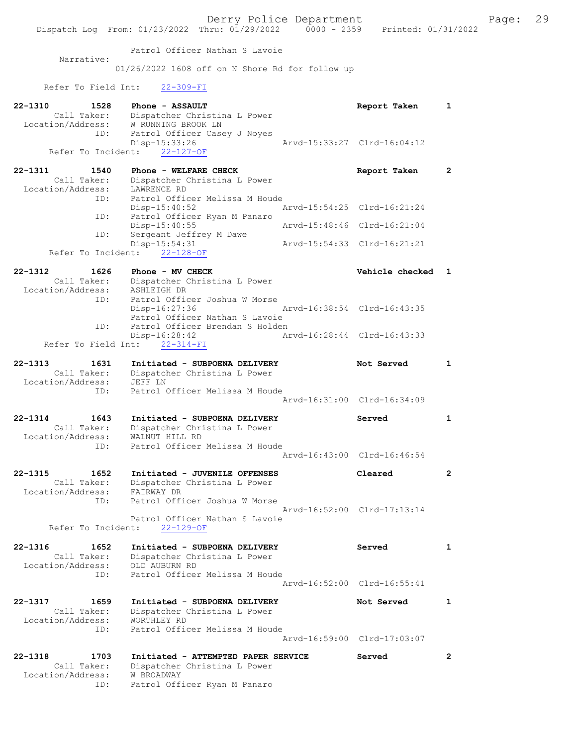Patrol Officer Nathan S Lavoie

Narrative:

01/26/2022 1608 off on N Shore Rd for follow up

## Refer To Field Int: 22-309-FI

ID: Patrol Officer Ryan M Panaro

| 22-1310<br>1528<br>Call Taker:<br>Location/Address: | Phone - ASSAULT<br>Dispatcher Christina L Power<br>W RUNNING BROOK LN               | Report Taken                | 1            |
|-----------------------------------------------------|-------------------------------------------------------------------------------------|-----------------------------|--------------|
| ID:<br>Refer To Incident:                           | Patrol Officer Casey J Noyes<br>Disp-15:33:26<br>$22 - 127 - OF$                    | Arvd-15:33:27 Clrd-16:04:12 |              |
| $22 - 1311$<br>1540                                 | Phone - WELFARE CHECK                                                               | Report Taken                | $\mathbf{2}$ |
| Call Taker:<br>Location/Address:<br>ID:             | Dispatcher Christina L Power<br>LAWRENCE RD<br>Patrol Officer Melissa M Houde       |                             |              |
| ID:                                                 | $Disp-15:40:52$<br>Patrol Officer Ryan M Panaro                                     | Arvd-15:54:25 Clrd-16:21:24 |              |
|                                                     | Disp-15:40:55                                                                       | Arvd-15:48:46 Clrd-16:21:04 |              |
| ID:                                                 | Sergeant Jeffrey M Dawe<br>Disp-15:54:31                                            | Arvd-15:54:33 Clrd-16:21:21 |              |
|                                                     | Refer To Incident: 22-128-OF                                                        |                             |              |
| 22-1312<br>1626<br>Call Taker:<br>Location/Address: | Phone - MV CHECK<br>Dispatcher Christina L Power<br>ASHLEIGH DR                     | Vehicle checked             | 1            |
| ID:                                                 | Patrol Officer Joshua W Morse<br>Disp-16:27:36<br>Patrol Officer Nathan S Lavoie    | Arvd-16:38:54 Clrd-16:43:35 |              |
| ID:                                                 | Patrol Officer Brendan S Holden<br>$Disp-16:28:42$<br>Refer To Field Int: 22-314-FI | Arvd-16:28:44 Clrd-16:43:33 |              |
| $22 - 1313$<br>1631                                 | Initiated - SUBPOENA DELIVERY                                                       | Not Served                  | $\mathbf{1}$ |
| Call Taker:                                         | Dispatcher Christina L Power                                                        |                             |              |
| Location/Address:<br>ID:                            | JEFF LN<br>Patrol Officer Melissa M Houde                                           |                             |              |
|                                                     |                                                                                     | Arvd-16:31:00 Clrd-16:34:09 |              |
| $22 - 1314$<br>1643                                 | Initiated - SUBPOENA DELIVERY                                                       | Served                      | $\mathbf{1}$ |
| Call Taker:<br>Location/Address:                    | Dispatcher Christina L Power<br>WALNUT HILL RD                                      |                             |              |
| ID:                                                 | Patrol Officer Melissa M Houde                                                      | Arvd-16:43:00 Clrd-16:46:54 |              |
| $22 - 1315$<br>1652                                 | Initiated - JUVENILE OFFENSES                                                       | Cleared                     | $\mathbf{2}$ |
| Call Taker:<br>Location/Address:                    | Dispatcher Christina L Power<br>FAIRWAY DR                                          |                             |              |
| ID:                                                 | Patrol Officer Joshua W Morse                                                       |                             |              |
| Refer To Incident:                                  | Patrol Officer Nathan S Lavoie<br>$22 - 129 - OF$                                   | Arvd-16:52:00 Clrd-17:13:14 |              |
| $22 - 1316$<br>1652                                 | Initiated - SUBPOENA DELIVERY                                                       | Served                      | $\mathbf{1}$ |
| Call Taker:<br>Location/Address:                    | Dispatcher Christina L Power<br>OLD AUBURN RD                                       |                             |              |
| ID:                                                 | Patrol Officer Melissa M Houde                                                      | Arvd-16:52:00 Clrd-16:55:41 |              |
| 22-1317<br>1659                                     | Initiated - SUBPOENA DELIVERY                                                       | Not Served                  | 1            |
| Call Taker:<br>Location/Address:                    | Dispatcher Christina L Power<br>WORTHLEY RD                                         |                             |              |
| ID:                                                 | Patrol Officer Melissa M Houde                                                      |                             |              |
|                                                     |                                                                                     | Arvd-16:59:00 Clrd-17:03:07 |              |
| 22-1318<br>1703<br>Call Taker:<br>Location/Address: | Initiated - ATTEMPTED PAPER SERVICE<br>Dispatcher Christina L Power<br>W BROADWAY   | Served                      | $\mathbf{2}$ |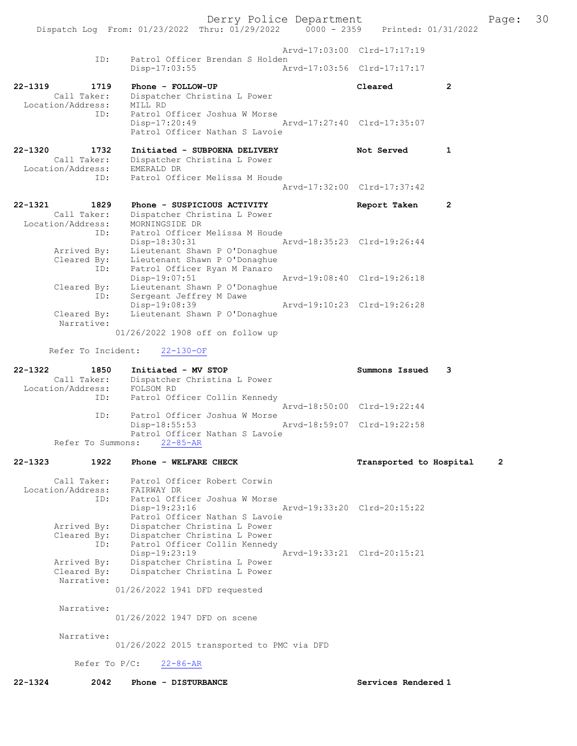Derry Police Department<br>Page: 30 Printed: 01/31/2022 0000 - 2359 Printed: 01/31/2022 Dispatch Log From:  $01/23/2022$  Thru:  $01/29/2022$  0000 - 2359 Arvd-17:03:00 Clrd-17:17:19 ID: Patrol Officer Brendan S Holden<br>Disp-17:03:55 Am Disp-17:03:55 Arvd-17:03:56 Clrd-17:17:17 22-1319 1719 Phone - FOLLOW-UP Cleared 2 Call Taker: Dispatcher Christina L Power<br>Cion/Address: MILL RD Location/Address:<br>ID: Patrol Officer Joshua W Morse Disp-17:20:49 Arvd-17:27:40 Clrd-17:35:07 Patrol Officer Nathan S Lavoie 22-1320 1732 Initiated - SUBPOENA DELIVERY Not Served 1 Call Taker: Dispatcher Christina L Power<br>tion/Address: EMERALD DR Location/Address: ID: Patrol Officer Melissa M Houde Arvd-17:32:00 Clrd-17:37:42 22-1321 1829 Phone - SUSPICIOUS ACTIVITY Report Taken 2 Call Taker: Dispatcher Christina L Power Location/Address: MORNINGSIDE DR ID: Norman Don Diversion Diversion Melissa M Houde<br>Disp-18:30:31 1 Disp-18:30:31 Arvd-18:35:23 Clrd-19:26:44 Arrived By: Lieutenant Shawn P O'Donaghue Cleared By: Lieutenant Shawn P O'Donaghue ID: Patrol Officer Ryan M Panaro Disp-19:07:51 Arvd-19:08:40 Clrd-19:26:18 Cleared By: Lieutenant Shawn P O'Donaghue ID: Sergeant Jeffrey M Dawe Disp-19:08:39 Arvd-19:10:23 Clrd-19:26:28<br>Cleared By: Lieutenant Shawn P O'Donaghue Lieutenant Shawn P O'Donaghue Narrative: 01/26/2022 1908 off on follow up Refer To Incident: 22-130-OF 22-1322 1850 Initiated - MV STOP Summons Issued 3 Call Taker: Dispatcher Christina L Power<br>ion/Address: FOLSOM RD Location/Address:<br>TD: Patrol Officer Collin Kennedy Arvd-18:50:00 Clrd-19:22:44<br>TD: Patrol Officer Joshua W Morse Patrol Officer Joshua W Morse<br>Disp-18:55:53 Arvd-18:59:07 Clrd-19:22:58 Patrol Officer Nathan S Lavoie Refer To Summons: 22-85-AR 22-1323 1922 Phone - WELFARE CHECK TRANSPORTED Transported to Hospital 2 Call Taker: Patrol Officer Robert Corwin Location/Address: FAIRWAY DR ID: Patrol Officer Joshua W Morse<br>Disp-19:23:16 Disp-19:23:16 Arvd-19:33:20 Clrd-20:15:22 Patrol Officer Nathan S Lavoie Arrived By: Dispatcher Christina L Power Cleared By: Dispatcher Christina L Power ID: Patrol Officer Collin Kennedy Disp-19:23:19 Arvd-19:33:21 Clrd-20:15:21<br>Arrived By: Dispatcher Christina L Power Arrived By: Dispatcher Christina L Power Cleared By: Dispatcher Christina L Power Narrative: 01/26/2022 1941 DFD requested Narrative: 01/26/2022 1947 DFD on scene Narrative: 01/26/2022 2015 transported to PMC via DFD Refer To P/C: 22-86-AR 22-1324 2042 Phone - DISTURBANCE Services Rendered 1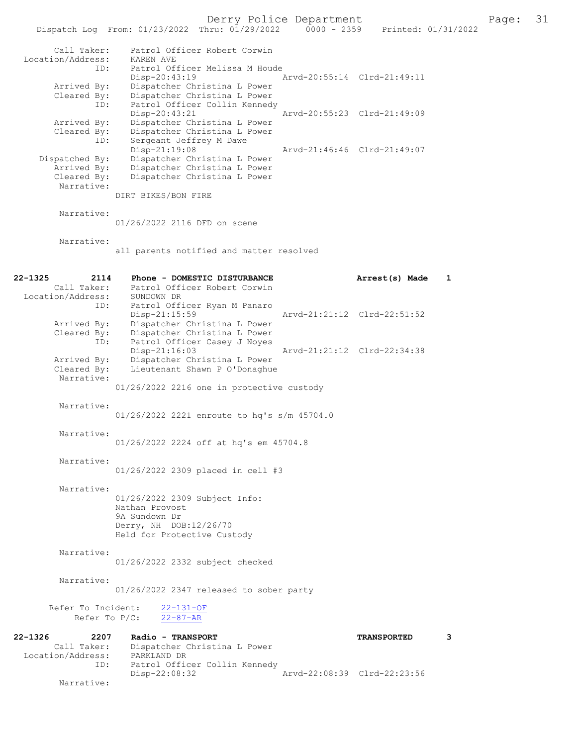Dispatch Log From: 01/23/2022 Thru: 01/29/2022 0000 - 2359 Printed: 01/31/2022 Call Taker: Patrol Officer Robert Corwin Location/Address: KAREN AVE ID: Patrol Officer Melissa M Houde Disp-20:43:19 Arvd-20:55:14 Clrd-21:49:11 Arrived By: Dispatcher Christina L Power Cleared By: Dispatcher Christina L Power ID: Patrol Officer Collin Kennedy Disp-20:43:21 Arvd-20:55:23 Clrd-21:49:09 Arrived By: Dispatcher Christina L Power Cleared By: Dispatcher Christina L Power ID: Sergeant Jeffrey M Dawe Disp-21:19:08 Arvd-21:46:46 Clrd-21:49:07 Dispatched By: Dispatcher Christina L Power Arrived By: Dispatcher Christina L Power Cleared By: Dispatcher Christina L Power Narrative: DIRT BIKES/BON FIRE Narrative: 01/26/2022 2116 DFD on scene Narrative: all parents notified and matter resolved 22-1325 2114 Phone - DOMESTIC DISTURBANCE Arrest(s) Made 1 Call Taker: Patrol Officer Robert Corwin Location/Address: SUNDOWN DR ID: Patrol Officer Ryan M Panaro Disp-21:15:59 Arvd-21:21:12 Clrd-22:51:52 Arrived By: Dispatcher Christina L Power Cleared By: Dispatcher Christina L Power ID: Patrol Officer Casey J Noyes Disp-21:16:03 <br>
Arvd-21:21:12 Clrd-22:34:38<br>
Arrived By: Dispatcher Christina L Power Arrived By: Dispatcher Christina L Power<br>Cleared By: Lieutenant Shawn P O'Donaghue Lieutenant Shawn P O'Donaghue Narrative: 01/26/2022 2216 one in protective custody Narrative: 01/26/2022 2221 enroute to hq's s/m 45704.0 Narrative: 01/26/2022 2224 off at hq's em 45704.8 Narrative: 01/26/2022 2309 placed in cell #3 Narrative: 01/26/2022 2309 Subject Info: Nathan Provost 9A Sundown Dr Derry, NH DOB:12/26/70 Held for Protective Custody Narrative: 01/26/2022 2332 subject checked Narrative: 01/26/2022 2347 released to sober party Refer To Incident:  $\frac{22-131-OF}{22-87-AR}$ Refer To P/C: 22-1326 2207 Radio - TRANSPORT CONSTRANSPORTED 3 Call Taker: Dispatcher Christina L Power Location/Address: PARKLAND DR ID: Patrol Officer Collin Kennedy<br>Disp-22:08:32 Disp-22:08:32 Arvd-22:08:39 Clrd-22:23:56

Narrative: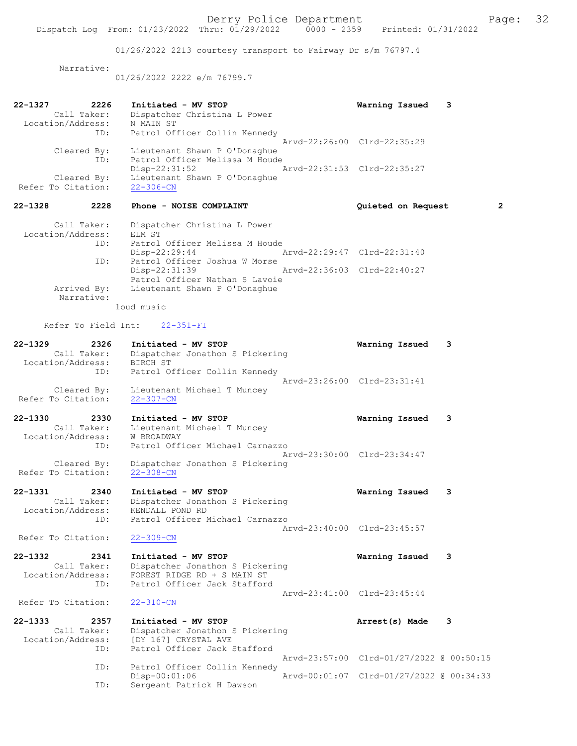01/26/2022 2213 courtesy transport to Fairway Dr s/m 76797.4

Narrative:

01/26/2022 2222 e/m 76799.7

| 22-1327     | 2226                         | Initiated - MV STOP                       | Warning Issued 3            |                |
|-------------|------------------------------|-------------------------------------------|-----------------------------|----------------|
|             | Call Taker:                  | Dispatcher Christina L Power              |                             |                |
|             | Location/Address:            | N MAIN ST                                 |                             |                |
|             |                              | ID: Patrol Officer Collin Kennedy         |                             |                |
|             |                              |                                           | Arvd-22:26:00 Clrd-22:35:29 |                |
|             | Cleared By:                  | Lieutenant Shawn P O'Donaghue             |                             |                |
|             | ID:                          | Patrol Officer Melissa M Houde            |                             |                |
|             |                              | Disp-22:31:52                             | Arvd-22:31:53 Clrd-22:35:27 |                |
|             | Cleared By:                  | Lieutenant Shawn P O'Donaghue             |                             |                |
|             | Refer To Citation: 22-306-CN |                                           |                             |                |
| 22-1328     | 2228                         | Phone - NOISE COMPLAINT                   | Quieted on Request          | $\overline{2}$ |
|             | Call Taker:                  | Dispatcher Christina L Power              |                             |                |
|             | Location/Address:            | ELM ST                                    |                             |                |
|             | ID:                          | Patrol Officer Melissa M Houde            |                             |                |
|             |                              | Disp-22:29:44 Arvd-22:29:47 Clrd-22:31:40 |                             |                |
|             | ID:                          | Patrol Officer Joshua W Morse             |                             |                |
|             |                              | Disp-22:31:39                             | Arvd-22:36:03 Clrd-22:40:27 |                |
|             |                              | Patrol Officer Nathan S Lavoie            |                             |                |
|             |                              | Arrived By: Lieutenant Shawn P O'Donaghue |                             |                |
|             | Narrative:                   |                                           |                             |                |
|             |                              | loud music                                |                             |                |
|             |                              | Refer To Field Int: 22-351-FI             |                             |                |
| $22 - 1329$ |                              | 2326 Initiated - MV STOP                  | Warning Issued              | 3              |
|             | Call Taker:                  | Dispatcher Jonathon S Pickering           |                             |                |
|             | Togetion (Addresse) DIDOU OF |                                           |                             |                |

| Location/Address:<br>ID: | BIRCH ST<br>Patrol Officer Collin Kennedy |                             |  |
|--------------------------|-------------------------------------------|-----------------------------|--|
|                          |                                           | Arvd-23:26:00 Clrd-23:31:41 |  |
| Cleared By:              | Lieutenant Michael T Muncey               |                             |  |
| Refer To Citation:       | $22 - 307 - CN$                           |                             |  |

| $22 - 1330$        | 2330 | Initiated - MV STOP             | Warning Issued 3 |  |
|--------------------|------|---------------------------------|------------------|--|
| Call Taker:        |      | Lieutenant Michael T Muncey     |                  |  |
| Location/Address:  |      | W BROADWAY                      |                  |  |
|                    | ID:  | Patrol Officer Michael Carnazzo |                  |  |
|                    |      | Arvd-23:30:00 Clrd-23:34:47     |                  |  |
| Cleared By:        |      | Dispatcher Jonathon S Pickering |                  |  |
| Refer To Citation: |      | $22 - 308 - CN$                 |                  |  |

22-1331 2340 Initiated - MV STOP Warning Issued 3 Call Taker: Dispatcher Jonathon S Pickering Location/Address: KENDALL POND RD ID: Patrol Officer Michael Carnazzo Arvd-23:40:00 Clrd-23:45:57<br>22-309-CN

Refer To Citation:

22-1332 2341 Initiated - MV STOP Warning Issued 3 Call Taker: Dispatcher Jonathon S Pickering Location/Address: FOREST RIDGE RD + S MAIN ST ID: Patrol Officer Jack Stafford Arvd-23:41:00 Clrd-23:45:44

|  | Refer To Citation: | $22 - 310 - CN$ |
|--|--------------------|-----------------|
|  |                    |                 |

| $22 - 1333$       | 2357        | Initiated - MV STOP             | Arrest(s) Made                           | 3 |
|-------------------|-------------|---------------------------------|------------------------------------------|---|
|                   | Call Taker: | Dispatcher Jonathon S Pickering |                                          |   |
| Location/Address: |             | [DY 167] CRYSTAL AVE            |                                          |   |
|                   | ID:         | Patrol Officer Jack Stafford    |                                          |   |
|                   |             |                                 | Arvd-23:57:00 Clrd-01/27/2022 @ 00:50:15 |   |
|                   | ID:         | Patrol Officer Collin Kennedy   |                                          |   |
|                   |             | Disp-00:01:06                   | Arvd-00:01:07 Clrd-01/27/2022 @ 00:34:33 |   |
|                   | ID:         | Sergeant Patrick H Dawson       |                                          |   |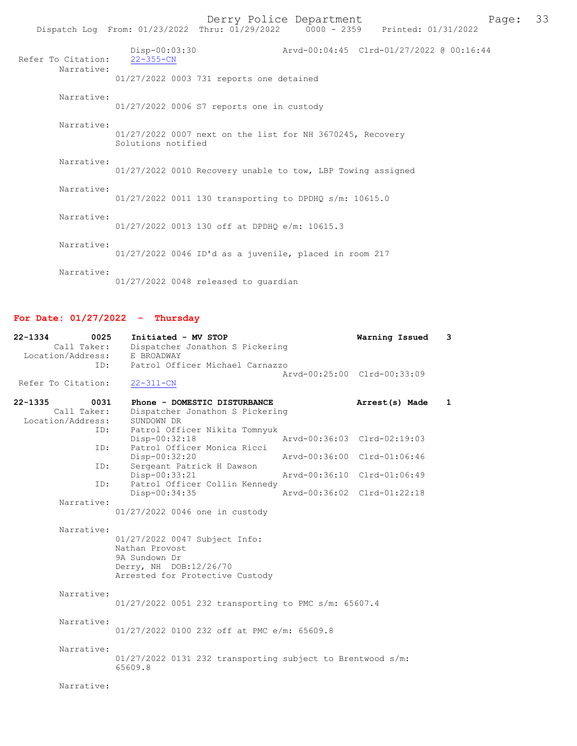|                    |                                  | Derry Police Department<br>Dispatch Log From: 01/23/2022 Thru: 01/29/2022 0000 - 2359 Printed: 01/31/2022 |                                          | Page: | 33 |
|--------------------|----------------------------------|-----------------------------------------------------------------------------------------------------------|------------------------------------------|-------|----|
| Refer To Citation: | Disp-00:03:30<br>$22 - 355 - CN$ |                                                                                                           | Arvd-00:04:45 Clrd-01/27/2022 @ 00:16:44 |       |    |
| Narrative:         |                                  | 01/27/2022 0003 731 reports one detained                                                                  |                                          |       |    |
| Narrative:         |                                  | 01/27/2022 0006 S7 reports one in custody                                                                 |                                          |       |    |
| Narrative:         | Solutions notified               | 01/27/2022 0007 next on the list for NH 3670245, Recovery                                                 |                                          |       |    |
| Narrative:         |                                  | 01/27/2022 0010 Recovery unable to tow, LBP Towing assigned                                               |                                          |       |    |
| Narrative:         |                                  | 01/27/2022 0011 130 transporting to DPDHQ s/m: 10615.0                                                    |                                          |       |    |
| Narrative:         |                                  | 01/27/2022 0013 130 off at DPDHO e/m: 10615.3                                                             |                                          |       |    |
| Narrative:         |                                  | 01/27/2022 0046 ID'd as a juvenile, placed in room 217                                                    |                                          |       |    |
| Narrative:         |                                  | $01/27/2022$ 0048 released to quardian                                                                    |                                          |       |    |

# For Date: 01/27/2022 - Thursday

| $22 - 1334$<br>0025<br>Call Taker:                      | Initiated - MV STOP<br>Dispatcher Jonathon S Pickering                                                                        | Warning Issued | 3            |
|---------------------------------------------------------|-------------------------------------------------------------------------------------------------------------------------------|----------------|--------------|
| Location/Address:<br>ID:                                | E BROADWAY<br>Patrol Officer Michael Carnazzo<br>Arvd-00:25:00 Clrd-00:33:09                                                  |                |              |
| Refer To Citation:                                      | $22 - 311 - CN$                                                                                                               |                |              |
| $22 - 1335$<br>0031<br>Call Taker:<br>Location/Address: | Phone - DOMESTIC DISTURBANCE<br>Dispatcher Jonathon S Pickering<br>SUNDOWN DR                                                 | Arrest(s) Made | $\mathbf{1}$ |
| ID:<br>ID:                                              | Patrol Officer Nikita Tomnyuk<br>Arvd-00:36:03 Clrd-02:19:03<br>$Disp-00:32:18$<br>Patrol Officer Monica Ricci                |                |              |
| ID:                                                     | Disp-00:32:20<br>Arvd-00:36:00 Clrd-01:06:46<br>Sergeant Patrick H Dawson                                                     |                |              |
| ID:                                                     | Disp-00:33:21<br>Arvd-00:36:10 Clrd-01:06:49<br>Patrol Officer Collin Kennedy                                                 |                |              |
| Narrative:                                              | Arvd-00:36:02 Clrd-01:22:18<br>Disp-00:34:35<br>01/27/2022 0046 one in custody                                                |                |              |
| Narrative:                                              | 01/27/2022 0047 Subject Info:<br>Nathan Provost<br>9A Sundown Dr<br>Derry, NH DOB:12/26/70<br>Arrested for Protective Custody |                |              |
| Narrative:                                              | 01/27/2022 0051 232 transporting to PMC s/m: 65607.4                                                                          |                |              |
| Narrative:                                              | 01/27/2022 0100 232 off at PMC e/m: 65609.8                                                                                   |                |              |
| Narrative:                                              | $01/27/2022$ 0131 232 transporting subject to Brentwood s/m:<br>65609.8                                                       |                |              |
| Narrative:                                              |                                                                                                                               |                |              |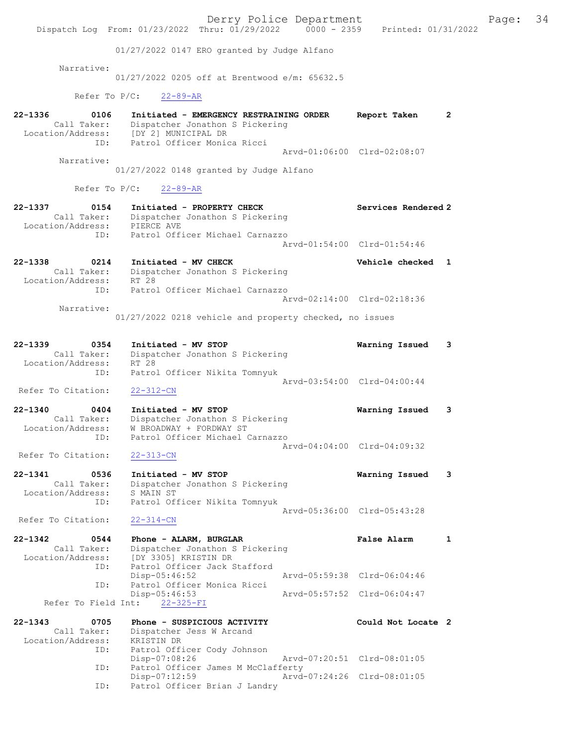|                                                                | Dispatch Log From: 01/23/2022 Thru: 01/29/2022 0000 - 2359 Printed: 01/31/2022                                                                     | Derry Police Department |                             |   | Page: | 34 |
|----------------------------------------------------------------|----------------------------------------------------------------------------------------------------------------------------------------------------|-------------------------|-----------------------------|---|-------|----|
|                                                                | 01/27/2022 0147 ERO granted by Judge Alfano                                                                                                        |                         |                             |   |       |    |
| Narrative:                                                     | $01/27/2022$ 0205 off at Brentwood e/m: 65632.5                                                                                                    |                         |                             |   |       |    |
| Refer To $P/C$ :                                               | $22 - 89 - AR$                                                                                                                                     |                         |                             |   |       |    |
| $22 - 1336$<br>0106<br>Call Taker:<br>ID:                      | Initiated - EMERGENCY RESTRAINING ORDER<br>Dispatcher Jonathon S Pickering<br>Location/Address: [DY 2] MUNICIPAL DR<br>Patrol Officer Monica Ricci |                         | Report Taken                | 2 |       |    |
| Narrative:                                                     |                                                                                                                                                    |                         | Arvd-01:06:00 Clrd-02:08:07 |   |       |    |
|                                                                | 01/27/2022 0148 granted by Judge Alfano                                                                                                            |                         |                             |   |       |    |
|                                                                | Refer To P/C:<br>$22 - 89 - AR$                                                                                                                    |                         |                             |   |       |    |
| 22-1337<br>0154<br>Location/Address: PIERCE AVE                | Initiated - PROPERTY CHECK<br>Call Taker: Dispatcher Jonathon S Pickering                                                                          |                         | Services Rendered 2         |   |       |    |
| ID:                                                            | Patrol Officer Michael Carnazzo                                                                                                                    |                         | Arvd-01:54:00 Clrd-01:54:46 |   |       |    |
| $22 - 1338$<br>0214<br>Call Taker:<br>Location/Address:        | Initiated - MV CHECK<br>Dispatcher Jonathon S Pickering<br>RT 28                                                                                   |                         | Vehicle checked 1           |   |       |    |
| ID:                                                            | Patrol Officer Michael Carnazzo                                                                                                                    |                         | Arvd-02:14:00 Clrd-02:18:36 |   |       |    |
| Narrative:                                                     | 01/27/2022 0218 vehicle and property checked, no issues                                                                                            |                         |                             |   |       |    |
| 22-1339<br>0354<br>Call Taker:<br>Location/Address:<br>ID:     | Initiated - MV STOP<br>Dispatcher Jonathon S Pickering<br>RT 28<br>Patrol Officer Nikita Tomnyuk                                                   |                         | Warning Issued              | 3 |       |    |
| Refer To Citation:                                             | $22 - 312 - CN$                                                                                                                                    |                         | Arvd-03:54:00 Clrd-04:00:44 |   |       |    |
| 22-1340<br>0404<br>Call Taker:<br>Location/Address:<br>ID:     | Initiated - MV STOP<br>Dispatcher Jonathon S Pickering<br>W BROADWAY + FORDWAY ST<br>Patrol Officer Michael Carnazzo                               |                         | Warning Issued              | 3 |       |    |
| Refer To Citation:                                             | $22 - 313 - CN$                                                                                                                                    |                         | Arvd-04:04:00 Clrd-04:09:32 |   |       |    |
| $22 - 1341$<br>0536<br>Call Taker:<br>Location/Address:<br>ID: | Initiated - MV STOP<br>Dispatcher Jonathon S Pickering<br>S MAIN ST<br>Patrol Officer Nikita Tomnyuk                                               |                         | Warning Issued              | 3 |       |    |
| Refer To Citation:                                             | $22 - 314 - CN$                                                                                                                                    |                         | Arvd-05:36:00 Clrd-05:43:28 |   |       |    |
| $22 - 1342$<br>0544<br>Call Taker:<br>Location/Address:        | Phone - ALARM, BURGLAR<br>Dispatcher Jonathon S Pickering<br>[DY 3305] KRISTIN DR                                                                  |                         | <b>False Alarm</b>          | 1 |       |    |
| ID:<br>ID:                                                     | Patrol Officer Jack Stafford<br>$Disp-05:46:52$<br>Patrol Officer Monica Ricci                                                                     |                         | Arvd-05:59:38 Clrd-06:04:46 |   |       |    |
| Refer To Field Int:                                            | $Disp-05:46:53$<br>$22 - 325 - FI$                                                                                                                 |                         | Arvd-05:57:52 Clrd-06:04:47 |   |       |    |
| $22 - 1343$<br>0705                                            | Phone - SUSPICIOUS ACTIVITY                                                                                                                        |                         | Could Not Locate 2          |   |       |    |
| Call Taker:<br>Location/Address:<br>ID:                        | Dispatcher Jess W Arcand<br>KRISTIN DR<br>Patrol Officer Cody Johnson                                                                              |                         |                             |   |       |    |
| ID:                                                            | Disp-07:08:26<br>Patrol Officer James M McClafferty                                                                                                |                         | Arvd-07:20:51 Clrd-08:01:05 |   |       |    |
| ID:                                                            | Disp-07:12:59<br>Patrol Officer Brian J Landry                                                                                                     |                         | Arvd-07:24:26 Clrd-08:01:05 |   |       |    |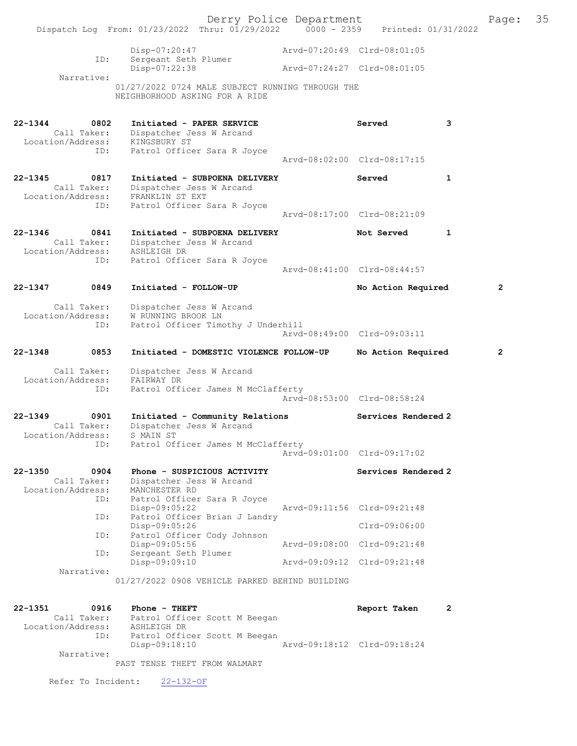|             |                                                 |                                                                                                                                    | Derry Police Department |                             |   | Page:          | 35 |
|-------------|-------------------------------------------------|------------------------------------------------------------------------------------------------------------------------------------|-------------------------|-----------------------------|---|----------------|----|
|             |                                                 | Dispatch Log From: 01/23/2022 Thru: 01/29/2022 0000 - 2359 Printed: 01/31/2022                                                     |                         |                             |   |                |    |
|             | ID:                                             | Disp-07:20:47<br>Sergeant Seth Plumer                                                                                              |                         | Arvd-07:20:49 Clrd-08:01:05 |   |                |    |
|             |                                                 | Disp-07:22:38                                                                                                                      |                         | Arvd-07:24:27 Clrd-08:01:05 |   |                |    |
|             | Narrative:                                      | 01/27/2022 0724 MALE SUBJECT RUNNING THROUGH THE<br>NEIGHBORHOOD ASKING FOR A RIDE                                                 |                         |                             |   |                |    |
| $22 - 1344$ | 0802<br>ID:                                     | Initiated - PAPER SERVICE<br>Call Taker: Dispatcher Jess W Arcand<br>Location/Address: KINGSBURY ST<br>Patrol Officer Sara R Joyce |                         | Served                      | 3 |                |    |
|             |                                                 |                                                                                                                                    |                         | Arvd-08:02:00 Clrd-08:17:15 |   |                |    |
| $22 - 1345$ | 0817<br>Call Taker:                             | Initiated - SUBPOENA DELIVERY<br>Dispatcher Jess W Arcand<br>Location/Address: FRANKLIN ST EXT                                     |                         | Served                      | 1 |                |    |
|             | ID:                                             | Patrol Officer Sara R Joyce                                                                                                        |                         | Arvd-08:17:00 Clrd-08:21:09 |   |                |    |
| $22 - 1346$ | 0841<br>Call Taker:<br>Location/Address:        | Initiated - SUBPOENA DELIVERY<br>Dispatcher Jess W Arcand<br>ASHLEIGH DR                                                           |                         | Not Served                  | 1 |                |    |
|             | ID:                                             | Patrol Officer Sara R Joyce                                                                                                        |                         | Arvd-08:41:00 Clrd-08:44:57 |   |                |    |
| $22 - 1347$ | 0849                                            | Initiated - FOLLOW-UP                                                                                                              |                         | No Action Required          |   | $\mathbf{2}$   |    |
|             | Call Taker:<br>Location/Address:<br>ID:         | Dispatcher Jess W Arcand<br>W RUNNING BROOK LN<br>Patrol Officer Timothy J Underhill                                               |                         |                             |   |                |    |
|             |                                                 |                                                                                                                                    |                         | Arvd-08:49:00 Clrd-09:03:11 |   |                |    |
| $22 - 1348$ | 0853                                            | Initiated - DOMESTIC VIOLENCE FOLLOW-UP                                                                                            |                         | No Action Required          |   | $\overline{2}$ |    |
|             | Call Taker:<br>Location/Address:                | Dispatcher Jess W Arcand<br>FAIRWAY DR                                                                                             |                         |                             |   |                |    |
|             | ID:                                             | Patrol Officer James M McClafferty                                                                                                 |                         | Arvd-08:53:00 Clrd-08:58:24 |   |                |    |
| $22 - 1349$ | 0901<br>Call Taker:<br>Location/Address:        | Initiated - Community Relations<br>Dispatcher Jess W Arcand<br>S MAIN ST                                                           |                         | Services Rendered 2         |   |                |    |
|             | ID:                                             | Patrol Officer James M McClafferty                                                                                                 |                         | Arvd-09:01:00 Clrd-09:17:02 |   |                |    |
| $22 - 1350$ | 0904<br>Call Taker:<br>Location/Address:<br>ID: | Phone - SUSPICIOUS ACTIVITY<br>Dispatcher Jess W Arcand<br>MANCHESTER RD                                                           |                         | Services Rendered 2         |   |                |    |
|             | ID:                                             | Patrol Officer Sara R Joyce<br>Disp-09:05:22<br>Patrol Officer Brian J Landry                                                      |                         | Arvd-09:11:56 Clrd-09:21:48 |   |                |    |
|             | ID:                                             | Disp-09:05:26<br>Patrol Officer Cody Johnson                                                                                       |                         | Clrd-09:06:00               |   |                |    |
|             | ID:                                             | Disp-09:05:56<br>Sergeant Seth Plumer                                                                                              |                         | Aryd-09:08:00 Clrd-09:21:48 |   |                |    |
|             | Narrative:                                      | Disp-09:09:10                                                                                                                      |                         | Arvd-09:09:12 Clrd-09:21:48 |   |                |    |
|             |                                                 | 01/27/2022 0908 VEHICLE PARKED BEHIND BUILDING                                                                                     |                         |                             |   |                |    |
| $22 - 1351$ | 0916                                            | Phone - THEFT                                                                                                                      |                         | Report Taken                | 2 |                |    |
|             | Call Taker:<br>Location/Address:                | Patrol Officer Scott M Beegan<br>ASHLEIGH DR                                                                                       |                         |                             |   |                |    |
|             | ID:                                             | Patrol Officer Scott M Beegan<br>Disp-09:18:10                                                                                     |                         | Arvd-09:18:12 Clrd-09:18:24 |   |                |    |

Narrative:

PAST TENSE THEFT FROM WALMART

Refer To Incident: 22-132-OF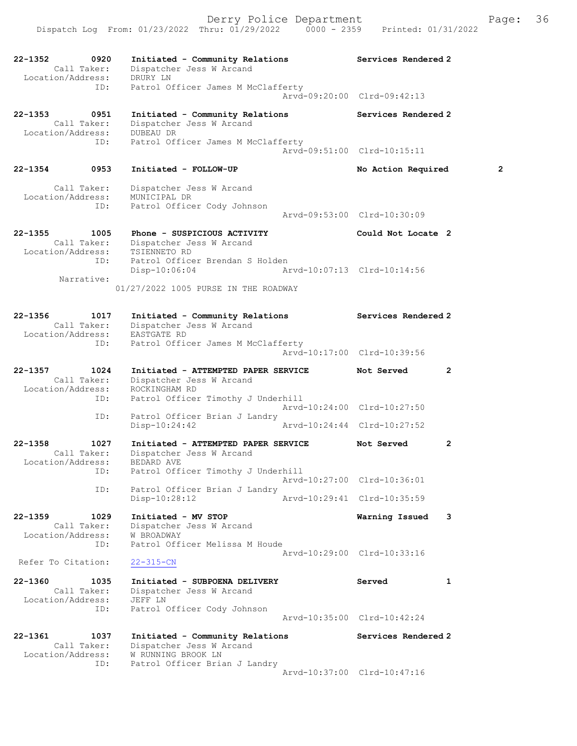22-1352 0920 Initiated - Community Relations Services Rendered 2 Call Taker: Dispatcher Jess W Arcand Location/Address: DRURY LN ID: Patrol Officer James M McClafferty Arvd-09:20:00 Clrd-09:42:13 22-1353 0951 Initiated - Community Relations Services Rendered 2 Call Taker: Dispatcher Jess W Arcand Location/Address: DUBEAU DR ID: Patrol Officer James M McClafferty Arvd-09:51:00 Clrd-10:15:11 22-1354 0953 Initiated - FOLLOW-UP No Action Required 2 Call Taker: Dispatcher Jess W Arcand Location/Address: MUNICIPAL DR ID: Patrol Officer Cody Johnson Arvd-09:53:00 Clrd-10:30:09 22-1355 1005 Phone - SUSPICIOUS ACTIVITY Could Not Locate 2 Call Taker: Dispatcher Jess W Arcand Location/Address: TSIENNETO RD ID: Patrol Officer Brendan S Holden Disp-10:06:04 Arvd-10:07:13 Clrd-10:14:56 Narrative: 01/27/2022 1005 PURSE IN THE ROADWAY 22-1356 1017 Initiated - Community Relations Services Rendered 2 Call Taker: Dispatcher Jess W Arcand Location/Address: EASTGATE RD ID: Patrol Officer James M McClafferty Arvd-10:17:00 Clrd-10:39:56 22-1357 1024 Initiated - ATTEMPTED PAPER SERVICE Not Served 2 Call Taker: Dispatcher Jess W Arcand Location/Address: ROCKINGHAM RD ID: Patrol Officer Timothy J Underhill Arvd-10:24:00 Clrd-10:27:50 ID: Patrol Officer Brian J Landry<br>Disp-10:24:42 Arvd-10:24:44 Clrd-10:27:52  $Disp-10:24:42$ 22-1358 1027 Initiated - ATTEMPTED PAPER SERVICE Not Served 2 Call Taker: Dispatcher Jess W Arcand Location/Address: BEDARD AVE ID: Patrol Officer Timothy J Underhill Arvd-10:27:00 Clrd-10:36:01 ID: Patrol Officer Brian J Landry Disp-10:28:12 Arvd-10:29:41 Clrd-10:35:59 22-1359 1029 Initiated - MV STOP Warning Issued 3 Call Taker: Dispatcher Jess W Arcand Location/Address: W BROADWAY ID: Patrol Officer Melissa M Houde Arvd-10:29:00 Clrd-10:33:16 Refer To Citation: 22-315-CN 22-1360 1035 Initiated - SUBPOENA DELIVERY Served 51 Call Taker: Dispatcher Jess W Arcand Location/Address: JEFF LN ID: Patrol Officer Cody Johnson Arvd-10:35:00 Clrd-10:42:24 22-1361 1037 Initiated - Community Relations Services Rendered 2 Call Taker: Dispatcher Jess W Arcand Location/Address: W RUNNING BROOK LN ID: Patrol Officer Brian J Landry

Arvd-10:37:00 Clrd-10:47:16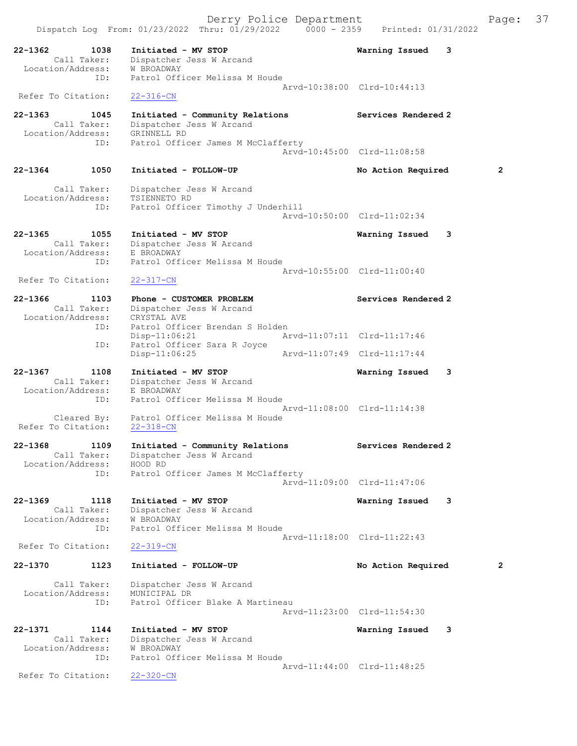Derry Police Department Fage: 37 Dispatch Log From:  $01/23/2022$  Thru:  $01/29/2022$  0000 - 2359 Printed:  $01/31/2022$ 22-1362 1038 Initiated - MV STOP Warning Issued 3 Call Taker: Dispatcher Jess W Arcand Call Taker: Dispatcher<br>Location/Address: W BROADWAY ID: Patrol Officer Melissa M Houde Arvd-10:38:00 Clrd-10:44:13 Refer To Citation: 22-316-CN 22-1363 1045 Initiated - Community Relations Services Rendered 2 Call Taker: Dispatcher Jess W Arcand Location/Address: GRINNELL RD ID: Patrol Officer James M McClafferty Arvd-10:45:00 Clrd-11:08:58 22-1364 1050 Initiated - FOLLOW-UP No Action Required 2 Call Taker: Dispatcher Jess W Arcand Location/Address: TSIENNETO RD ID: Patrol Officer Timothy J Underhill Arvd-10:50:00 Clrd-11:02:34 22-1365 1055 Initiated - MV STOP Warning Issued 3 Call Taker: Dispatcher Jess W Arcand Location/Address: E BROADWAY ID: Patrol Officer Melissa M Houde Arvd-10:55:00 Clrd-11:00:40<br>22-317-CN Refer To Citation: 22-1366 1103 Phone - CUSTOMER PROBLEM North Services Rendered 2 Call Taker: Dispatcher Jess W Arcand Location/Address: CRYSTAL AVE ID: Patrol Officer Brendan S Holden<br>Disp-11:06:21 Ar Disp-11:06:21 Arvd-11:07:11 Clrd-11:17:46 ID: Patrol Officer Sara R Joyce<br>Disp-11:06:25 Disp-11:06:25 Arvd-11:07:49 Clrd-11:17:44 22-1367 1108 Initiated - MV STOP Warning Issued 3 Call Taker: Dispatcher Jess W Arcand Location/Address: E BROADWAY ID: Patrol Officer Melissa M Houde Arvd-11:08:00 Clrd-11:14:38 Cleared By: Patrol Officer Melissa M Houde Refer To Citation: 22-318-CN 22-1368 1109 Initiated - Community Relations Services Rendered 2 Call Taker: Dispatcher Jess W Arcand Location/Address: HOOD RD ID: Patrol Officer James M McClafferty Arvd-11:09:00 Clrd-11:47:06 22-1369 1118 Initiated - MV STOP Warning Issued 3 Call Taker: Dispatcher Jess W Arcand Location/Address: W BROADWAY ID: Patrol Officer Melissa M Houde Arvd-11:18:00 Clrd-11:22:43<br>22-319-CN Refer To Citation: 22-1370 1123 Initiated - FOLLOW-UP No Action Required 2 Call Taker: Dispatcher Jess W Arcand Location/Address: MUNICIPAL DR Patrol Officer Blake A Martineau Arvd-11:23:00 Clrd-11:54:30 22-1371 1144 Initiated - MV STOP Warning Issued 3 Call Taker: Dispatcher Jess W Arcand

 Location/Address: W BROADWAY ID: Patrol Officer Melissa M Houde Arvd-11:44:00 Clrd-11:48:25<br>22-320-CN

Refer To Citation: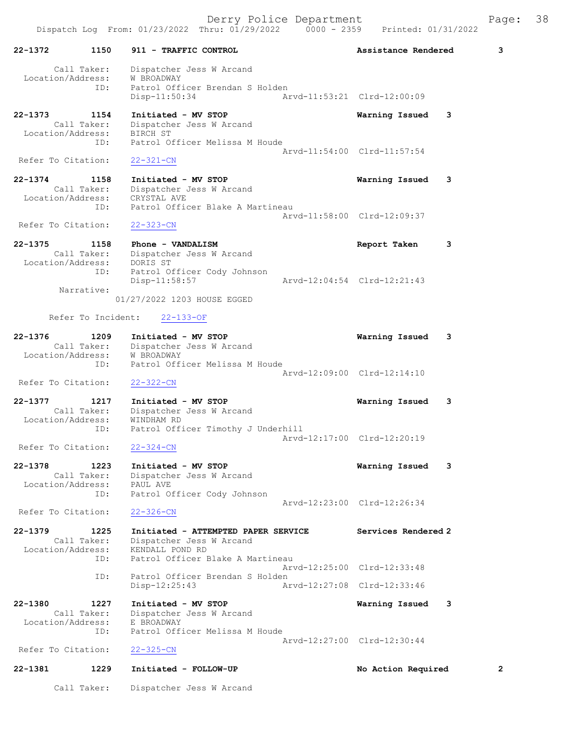22-1372 1150 911 - TRAFFIC CONTROL Assistance Rendered 3 Call Taker: Dispatcher Jess W Arcand Location/Address: W BROADWAY ID: Patrol Officer Brendan S Holden Disp-11:50:34 Arvd-11:53:21 Clrd-12:00:09 22-1373 1154 Initiated - MV STOP Warning Issued 3 Call Taker: Dispatcher Jess W Arcand Location/Address: BIRCH ST ID: Patrol Officer Melissa M Houde Arvd-11:54:00 Clrd-11:57:54 Refer To Citation: 22-321-CN 22-1374 1158 Initiated - MV STOP Warning Issued 3 Call Taker: Dispatcher Jess W Arcand Location/Address: CRYSTAL AVE ID: Patrol Officer Blake A Martineau Arvd-11:58:00 Clrd-12:09:37 Refer To Citation: 22-323-CN 22-1375 1158 Phone - VANDALISM Report Taken 3 Call Taker: Dispatcher Jess W Arcand Location/Address: DORIS ST ID: Patrol Officer Cody Johnson Disp-11:58:57 Arvd-12:04:54 Clrd-12:21:43 Narrative: 01/27/2022 1203 HOUSE EGGED Refer To Incident: 22-133-OF 22-1376 1209 Initiated - MV STOP Warning Issued 3 Call Taker: Dispatcher Jess W Arcand Location/Address: W BROADWAY ID: Patrol Officer Melissa M Houde Arvd-12:09:00 Clrd-12:14:10 Refer To Citation: 22-322-CN 22-1377 1217 Initiated - MV STOP Warning Issued 3 Call Taker: Dispatcher Jess W Arcand Location/Address: WINDHAM RD ID: Patrol Officer Timothy J Underhill Arvd-12:17:00 Clrd-12:20:19 Refer To Citation: 22-1378 1223 Initiated - MV STOP Warning Issued 3 Call Taker: Dispatcher Jess W Arcand Location/Address: PAUL AVE ID: Patrol Officer Cody Johnson Arvd-12:23:00 Clrd-12:26:34 Refer To Citation: 22-326-CN 22-1379 1225 Initiated - ATTEMPTED PAPER SERVICE Services Rendered 2 Call Taker: Dispatcher Jess W Arcand Location/Address: KENDALL POND RD ID: Patrol Officer Blake A Martineau Arvd-12:25:00 Clrd-12:33:48<br>ID: Patrol Officer Brendan S Holden Patrol Officer Brendan S Holden Disp-12:25:43 Arvd-12:27:08 Clrd-12:33:46 22-1380 1227 Initiated - MV STOP Warning Issued 3 Call Taker: Dispatcher Jess W Arcand Location/Address: E BROADWAY ID: Patrol Officer Melissa M Houde Arvd-12:27:00 Clrd-12:30:44 Refer To Citation: 22-325-CN 22-1381 1229 Initiated - FOLLOW-UP No Action Required 2

Call Taker: Dispatcher Jess W Arcand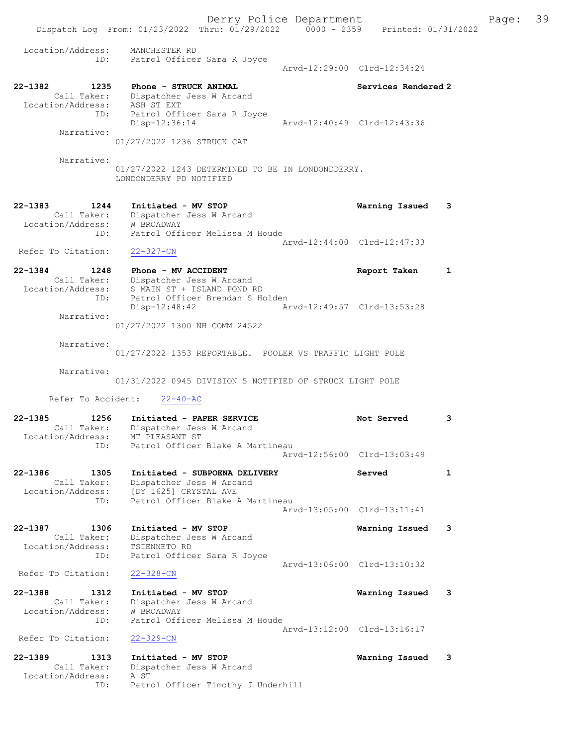Derry Police Department Fage: 39 Dispatch Log From: 01/23/2022 Thru: 01/29/2022 0000 - 2359 Printed: 01/31/2022 Location/Address: MANCHESTER RD ID: Patrol Officer Sara R Joyce Arvd-12:29:00 Clrd-12:34:24 22-1382 1235 Phone - STRUCK ANIMAL 22-1382 Services Rendered 2 Call Taker: Dispatcher Jess W Arcand Location/Address: ASH ST EXT ID: Patrol Officer Sara R Joyce Disp-12:36:14 Arvd-12:40:49 Clrd-12:43:36 Narrative: 01/27/2022 1236 STRUCK CAT Narrative: 01/27/2022 1243 DETERMINED TO BE IN LONDONDDERRY. LONDONDERRY PD NOTIFIED 22-1383 1244 Initiated - MV STOP Warning Issued 3 Call Taker: Dispatcher Jess W Arcand Location/Address: W BROADWAY ID: Patrol Officer Melissa M Houde Arvd-12:44:00 Clrd-12:47:33 Refer To Citation: 22-327-CN 22-1384 1248 Phone - MV ACCIDENT Report Taken 1 Call Taker: Dispatcher Jess W Arcand Location/Address: S MAIN ST + ISLAND POND RD<br>ID: Patrol Officer Brendan S Ho<br>Disp-12:48:42 Patrol Officer Brendan S Holden Disp-12:48:42 Arvd-12:49:57 Clrd-13:53:28 Narrative: 01/27/2022 1300 NH COMM 24522 Narrative: 01/27/2022 1353 REPORTABLE. POOLER VS TRAFFIC LIGHT POLE Narrative: 01/31/2022 0945 DIVISION 5 NOTIFIED OF STRUCK LIGHT POLE Refer To Accident: 22-40-AC 22-1385 1256 Initiated - PAPER SERVICE 1988 Not Served 3 Call Taker: Dispatcher Jess W Arcand Location/Address: MT PLEASANT ST ID: Patrol Officer Blake A Martineau Arvd-12:56:00 Clrd-13:03:49 22-1386 1305 Initiated - SUBPOENA DELIVERY Served 1 Call Taker: Dispatcher Jess W Arcand Location/Address: [DY 1625] CRYSTAL AVE ID: Patrol Officer Blake A Martineau Arvd-13:05:00 Clrd-13:11:41 22-1387 1306 Initiated - MV STOP Warning Issued 3 Call Taker: Dispatcher Jess W Arcand Location/Address: TSIENNETO RD ID: Patrol Officer Sara R Joyce Arvd-13:06:00 Clrd-13:10:32 Refer To Citation: 22-328-CN 22-1388 1312 Initiated - MV STOP Warning Issued 3 Call Taker: Dispatcher Jess W Arcand Location/Address: W BROADWAY ID: Patrol Officer Melissa M Houde Arvd-13:12:00 Clrd-13:16:17 Refer To Citation: 22-329-CN 22-1389 1313 Initiated - MV STOP Warning Issued 3 Call Taker: Dispatcher Jess W Arcand Location/Address: A ST

ID: Patrol Officer Timothy J Underhill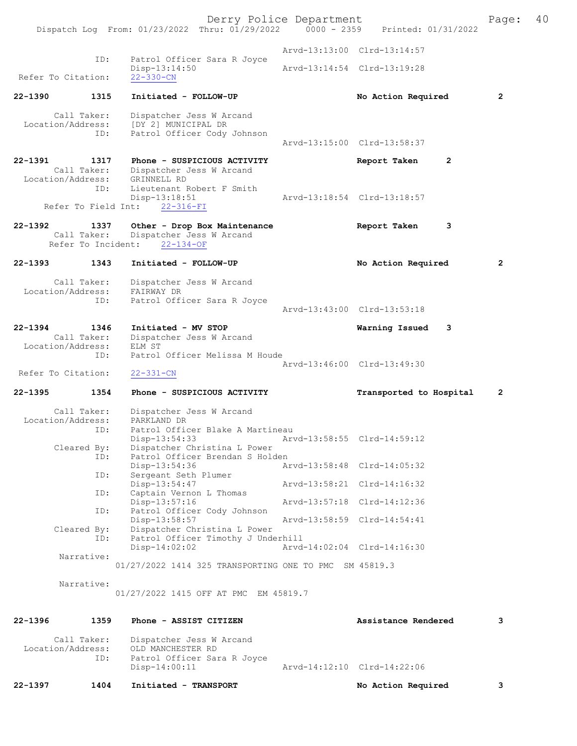Derry Police Department [1991] Page: 40<br>Phru: 01/29/2022 | 0000 - 2359 | Printed: 01/31/2022 Dispatch Log From:  $01/23/2022$  Thru:  $01/29/2022$  0000 - 2359 Arvd-13:13:00 Clrd-13:14:57 ID: Patrol Officer Sara R Joyce<br>Disp-13:14:50 Disp-13:14:50 Arvd-13:14:54 Clrd-13:19:28 Refer To Citation: 22-1390 1315 Initiated - FOLLOW-UP No Action Required 2 Call Taker: Dispatcher Jess W Arcand<br>Location/Address: [DY 2] MUNICIPAL DR Location USS W Aless: [DY 2] MUNICIPAL DR<br>TD: Patrol Officer Cody Patrol Officer Cody Johnson Arvd-13:15:00 Clrd-13:58:37 22-1391 1317 Phone - SUSPICIOUS ACTIVITY 1317 Report Taken 2 Call Taker: Dispatcher Jess W Arcand Location/Address: GRINNELL RD ID: Lieutenant Robert F Smith<br>Disp-13:18:51 Disp-13:18:51 Arvd-13:18:54 Clrd-13:18:57 Refer To Field Int: 22-316-FI 22-1392 1337 Other - Drop Box Maintenance Report Taken 3<br>Call Taker: Dispatcher Jess W Arcand Dispatcher Jess W Arcand<br>ent: 22-134-OF Refer To Incident: 22-1393 1343 Initiated - FOLLOW-UP No Action Required 2 Call Taker: Dispatcher Jess W Arcand Location/Address: FAIRWAY DR ID: Patrol Officer Sara R Joyce Arvd-13:43:00 Clrd-13:53:18 22-1394 1346 Initiated - MV STOP 1394 Warning Issued 3<br>Call Taker: Dispatcher Jess W Arcand Dispatcher Jess W Arcand<br>ELM ST Location/Address: ID: Patrol Officer Melissa M Houde Arvd-13:46:00 Clrd-13:49:30<br>
22-331-CN Refer To Citation: 22-1395 1354 Phone - SUSPICIOUS ACTIVITY Transported to Hospital 2 Call Taker: Dispatcher Jess W Arcand Location/Address: PARKLAND DR Patrol Officer Blake A Martineau<br>Disp-13:54:33 Ary Disp-13:54:33 Arvd-13:58:55 Clrd-14:59:12<br>Cleared By: Dispatcher Christina L Power Dispatcher Christina L Power ID: Patrol Officer Brendan S Holden<br>Disp-13:54:36 Ar Disp-13:54:36 Arvd-13:58:48 Clrd-14:05:32<br>TD: Sergeant Seth Plumer Sergeant Seth Plumer<br>Disp-13:54:47 Disp-13:54:47 Arvd-13:58:21 Clrd-14:16:32<br>ID: Captain Vernon L Thomas Captain Vernon L Thomas<br>Disp-13:57:16 Disp-13:57:16 Arvd-13:57:18 Clrd-14:12:36<br>TD: Patrol Officer Cody Johnson Patrol Officer Cody Johnson<br>Disp-13:58:57 Disp-13:58:57 Arvd-13:58:59 Clrd-14:54:41<br>Cleared By: Dispatcher Christina L Power By: Dispatcher Christina L Power<br>ID: Patrol Officer Timothy J Unde Patrol Officer Timothy J Underhill<br>Disp-14:02:02 Arvd Disp-14:02:02 Arvd-14:02:04 Clrd-14:16:30 Narrative: 01/27/2022 1414 325 TRANSPORTING ONE TO PMC SM 45819.3 Narrative: 01/27/2022 1415 OFF AT PMC EM 45819.7 22-1396 1359 Phone - ASSIST CITIZEN Assistance Rendered 3 Call Taker: Dispatcher Jess W Arcand<br>Location/Address: OLD MANCHESTER RD ess: OLD MANCHESTER RD<br>ID: Patrol Officer Sara Patrol Officer Sara R Joyce<br>Disp-14:00:11

Arvd-14:12:10 Clrd-14:22:06

22-1397 1404 Initiated - TRANSPORT 120-1397 No Action Required 3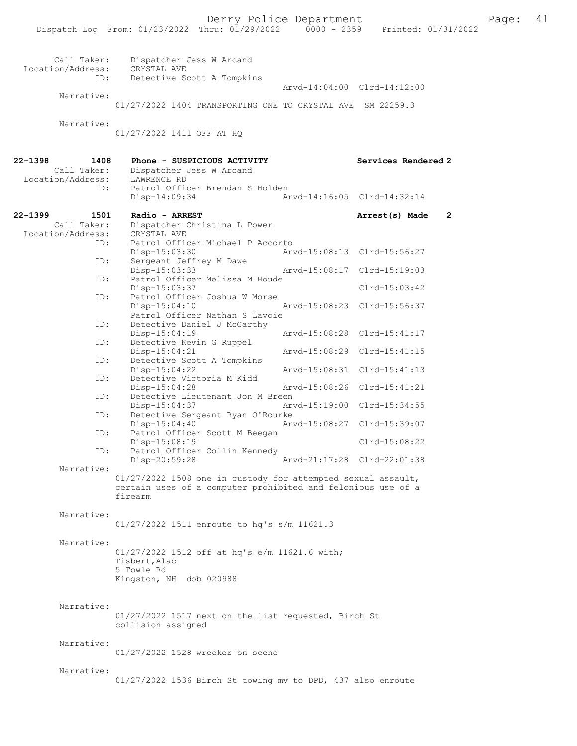| aqe: |  | 41 |
|------|--|----|
|      |  |    |

| Call Taker:<br>Location/Address: | Dispatcher Jess W Arcand<br>CRYSTAL AVE                                    |               |                             |                |
|----------------------------------|----------------------------------------------------------------------------|---------------|-----------------------------|----------------|
| ID:                              | Detective Scott A Tompkins                                                 |               | Arvd-14:04:00 Clrd-14:12:00 |                |
| Narrative:                       | 01/27/2022 1404 TRANSPORTING ONE TO CRYSTAL AVE SM 22259.3                 |               |                             |                |
| Narrative:                       | 01/27/2022 1411 OFF AT HO                                                  |               |                             |                |
| 22-1398<br>1408<br>Call Taker:   | Phone - SUSPICIOUS ACTIVITY<br>Dispatcher Jess W Arcand                    |               | Services Rendered 2         |                |
| Location/Address:<br>ID:         | LAWRENCE RD<br>Patrol Officer Brendan S Holden<br>Disp-14:09:34            |               | Arvd-14:16:05 Clrd-14:32:14 |                |
| 22-1399<br>1501                  | Radio - ARREST                                                             |               | Arrest(s) Made              | $\overline{2}$ |
| Call Taker:                      | Dispatcher Christina L Power                                               |               |                             |                |
| Location/Address:<br>ID:         | CRYSTAL AVE<br>Patrol Officer Michael P Accorto                            |               |                             |                |
|                                  | Disp-15:03:30                                                              |               | Arvd-15:08:13 Clrd-15:56:27 |                |
| ID:                              | Sergeant Jeffrey M Dawe<br>Disp-15:03:33                                   | Arvd-15:08:17 | Clrd-15:19:03               |                |
| ID:                              | Patrol Officer Melissa M Houde<br>Disp-15:03:37                            |               | $Clrd-15:03:42$             |                |
| ID:                              | Patrol Officer Joshua W Morse<br>Disp-15:04:10                             | Arvd-15:08:23 | Clrd-15:56:37               |                |
| ID:                              | Patrol Officer Nathan S Lavoie<br>Detective Daniel J McCarthy              |               |                             |                |
|                                  | $Disp-15:04:19$                                                            |               | Arvd-15:08:28 Clrd-15:41:17 |                |
| ID:                              | Detective Kevin G Ruppel<br>Disp-15:04:21                                  | Arvd-15:08:29 | $Clrd-15:41:15$             |                |
| ID:                              | Detective Scott A Tompkins<br>$Disp-15:04:22$                              | Arvd-15:08:31 | $Clrd-15:41:13$             |                |
| ID:                              | Detective Victoria M Kidd                                                  |               |                             |                |
| ID:                              | Disp-15:04:28<br>Detective Lieutenant Jon M Breen                          | Arvd-15:08:26 | $Clrd-15:41:21$             |                |
| ID:                              | Disp-15:04:37<br>Detective Sergeant Ryan O'Rourke                          | Arvd-15:19:00 | Clrd-15:34:55               |                |
| ID:                              | $Disp-15:04:40$<br>Patrol Officer Scott M Beegan                           | Arvd-15:08:27 | Clrd-15:39:07               |                |
|                                  | Disp-15:08:19                                                              |               | $Clrd-15:08:22$             |                |
| ID:                              | Patrol Officer Collin Kennedy<br>$Disp-20:59:28$                           |               | Arvd-21:17:28 Clrd-22:01:38 |                |
| Narrative:                       | 01/27/2022 1508 one in custody for attempted sexual assault,               |               |                             |                |
|                                  | certain uses of a computer prohibited and felonious use of a<br>firearm    |               |                             |                |
| Narrative:                       |                                                                            |               |                             |                |
|                                  | 01/27/2022 1511 enroute to hq's s/m 11621.3                                |               |                             |                |
| Narrative:                       | 01/27/2022 1512 off at hq's e/m 11621.6 with;                              |               |                             |                |
|                                  | Tisbert, Alac                                                              |               |                             |                |
|                                  | 5 Towle Rd<br>Kingston, NH dob 020988                                      |               |                             |                |
|                                  |                                                                            |               |                             |                |
| Narrative:                       |                                                                            |               |                             |                |
|                                  | 01/27/2022 1517 next on the list requested, Birch St<br>collision assigned |               |                             |                |
| Narrative:                       |                                                                            |               |                             |                |
|                                  | 01/27/2022 1528 wrecker on scene                                           |               |                             |                |
| Narrative:                       |                                                                            |               |                             |                |
|                                  | 01/27/2022 1536 Birch St towing mv to DPD, 437 also enroute                |               |                             |                |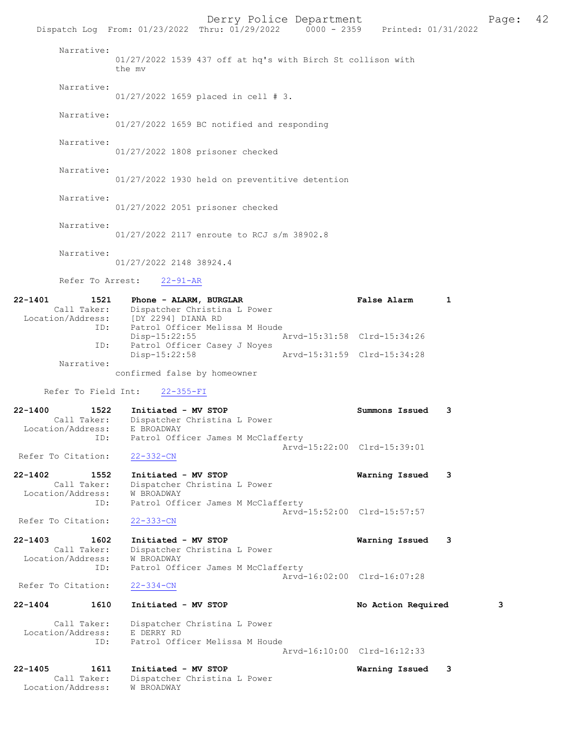|                                                                | Dispatch Log From: 01/23/2022 Thru: 01/29/2022 0000 - 2359 Printed: 01/31/2022                                 | Derry Police Department |                             | 42<br>Page:  |
|----------------------------------------------------------------|----------------------------------------------------------------------------------------------------------------|-------------------------|-----------------------------|--------------|
| Narrative:                                                     | 01/27/2022 1539 437 off at hq's with Birch St collison with<br>the mv                                          |                         |                             |              |
| Narrative:                                                     | 01/27/2022 1659 placed in cell # 3.                                                                            |                         |                             |              |
| Narrative:                                                     | 01/27/2022 1659 BC notified and responding                                                                     |                         |                             |              |
| Narrative:                                                     | 01/27/2022 1808 prisoner checked                                                                               |                         |                             |              |
| Narrative:                                                     | 01/27/2022 1930 held on preventitive detention                                                                 |                         |                             |              |
| Narrative:                                                     | 01/27/2022 2051 prisoner checked                                                                               |                         |                             |              |
| Narrative:                                                     | 01/27/2022 2117 enroute to RCJ s/m 38902.8                                                                     |                         |                             |              |
| Narrative:                                                     | 01/27/2022 2148 38924.4                                                                                        |                         |                             |              |
| Refer To Arrest:                                               | $22 - 91 - AR$                                                                                                 |                         |                             |              |
| $22 - 1401$<br>1521                                            | Phone - ALARM, BURGLAR<br>Call Taker: Dispatcher Christina L Power<br>Location/Address: [DY 2294] DIANA RD     |                         | <b>False Alarm</b>          | $\mathbf{1}$ |
| ID:                                                            | Patrol Officer Melissa M Houde<br>Disp-15:22:55                                                                |                         | Arvd-15:31:58 Clrd-15:34:26 |              |
| ID:                                                            | Patrol Officer Casey J Noyes<br>Disp-15:22:58                                                                  |                         | Arvd-15:31:59 Clrd-15:34:28 |              |
| Narrative:                                                     | confirmed false by homeowner                                                                                   |                         |                             |              |
| Refer To Field Int:                                            | $22 - 355 - FI$                                                                                                |                         |                             |              |
| $22 - 1400$<br>1522<br>Call Taker:<br>Location/Address:<br>ID: | Initiated - MV STOP<br>Dispatcher Christina L Power<br>E BROADWAY<br>Patrol Officer James M McClafferty        |                         | Summons Issued              | 3            |
| Refer To Citation:                                             | $22 - 332 - CN$                                                                                                |                         | Arvd-15:22:00 Clrd-15:39:01 |              |
| $22 - 1402$<br>1552<br>Call Taker:<br>Location/Address:<br>ID: | Initiated - MV STOP<br>Dispatcher Christina L Power<br><b>W BROADWAY</b><br>Patrol Officer James M McClafferty |                         | Warning Issued              | - 3          |
| Refer To Citation:                                             | $22 - 333 - CN$                                                                                                |                         | Arvd-15:52:00 Clrd-15:57:57 |              |
| $22 - 1403$<br>1602                                            | Initiated - MV STOP                                                                                            |                         | Warning Issued              | 3            |
| Call Taker:<br>Location/Address:                               | Dispatcher Christina L Power<br><b>W BROADWAY</b>                                                              |                         |                             |              |
| ID:                                                            | Patrol Officer James M McClafferty                                                                             |                         | Arvd-16:02:00 Clrd-16:07:28 |              |
| Refer To Citation:                                             | $22 - 334 - CN$                                                                                                |                         |                             |              |
| $22 - 1404$<br>1610                                            | Initiated - MV STOP                                                                                            |                         | No Action Required          | 3            |
| Call Taker:<br>Location/Address:                               | Dispatcher Christina L Power<br>E DERRY RD                                                                     |                         |                             |              |
| ID:                                                            | Patrol Officer Melissa M Houde                                                                                 |                         | Arvd-16:10:00 Clrd-16:12:33 |              |
| 22-1405<br>1611<br>Call Taker:<br>Location/Address:            | Initiated - MV STOP<br>Dispatcher Christina L Power<br>W BROADWAY                                              |                         | Warning Issued              | 3            |
|                                                                |                                                                                                                |                         |                             |              |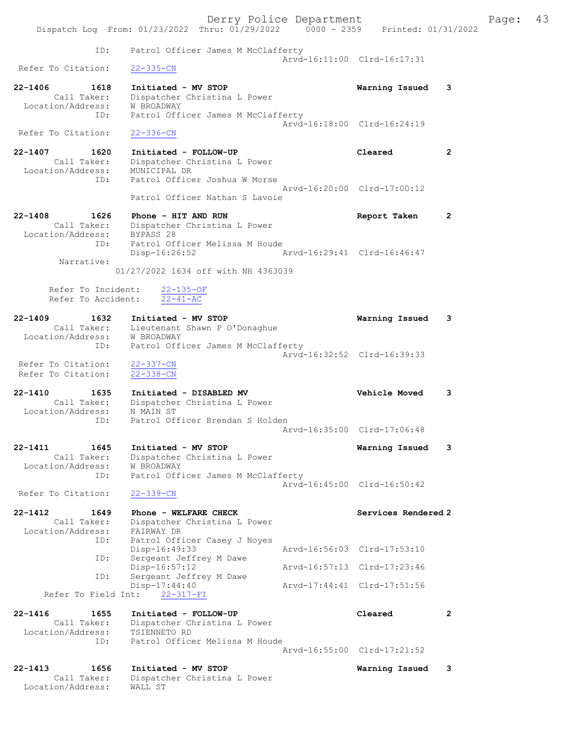|                                                                          | Derry Police Department<br>Dispatch Log From: 01/23/2022 Thru: 01/29/2022 0000 - 2359                                | Printed: 01/31/2022         |              | Page: | 43 |
|--------------------------------------------------------------------------|----------------------------------------------------------------------------------------------------------------------|-----------------------------|--------------|-------|----|
| ID:                                                                      | Patrol Officer James M McClafferty                                                                                   |                             |              |       |    |
| Refer To Citation:                                                       | $22 - 335 - CN$                                                                                                      | Arvd-16:11:00 Clrd-16:17:31 |              |       |    |
| 22-1406<br>1618<br>Call Taker:<br>Location/Address:<br>ID:               | Initiated - MV STOP<br>Dispatcher Christina L Power<br>W BROADWAY<br>Patrol Officer James M McClafferty              | Warning Issued              | 3            |       |    |
| Refer To Citation:                                                       | $22 - 336 - CN$                                                                                                      | Arvd-16:18:00 Clrd-16:24:19 |              |       |    |
| $22 - 1407$<br>1620<br>Call Taker:<br>Location/Address:<br>ID:           | Initiated - FOLLOW-UP<br>Dispatcher Christina L Power<br>MUNICIPAL DR<br>Patrol Officer Joshua W Morse               | Cleared                     | $\mathbf{2}$ |       |    |
|                                                                          | Patrol Officer Nathan S Lavoie                                                                                       | Arvd-16:20:00 Clrd-17:00:12 |              |       |    |
| $22 - 1408$<br>1626<br>Call Taker:<br>Location/Address: BYPASS 28<br>ID: | Phone - HIT AND RUN<br>Dispatcher Christina L Power<br>Patrol Officer Melissa M Houde                                | Report Taken                | $\mathbf{2}$ |       |    |
| Narrative:                                                               | Disp-16:26:52<br>01/27/2022 1634 off with NH 4363039                                                                 | Arvd-16:29:41 Clrd-16:46:47 |              |       |    |
| Refer To Incident:<br>Refer To Accident:                                 | $22 - 135 - OF$<br>$22 - 41 - AC$                                                                                    |                             |              |       |    |
| $22 - 1409$<br>1632<br>Location/Address:<br>ID:                          | Initiated - MV STOP<br>Call Taker: Lieutenant Shawn P O'Donaghue<br>W BROADWAY<br>Patrol Officer James M McClafferty | Warning Issued              | 3            |       |    |
| Refer To Citation:<br>Refer To Citation:                                 | $22 - 337 - CN$<br>$22 - 338 - CN$                                                                                   | Arvd-16:32:52 Clrd-16:39:33 |              |       |    |
| $22 - 1410$<br>1635<br>Call Taker:<br>Location/Address:<br>ID:           | Initiated - DISABLED MV<br>Dispatcher Christina L Power<br>N MAIN ST<br>Patrol Officer Brendan S Holden              | <b>Vehicle Moved</b>        | 3            |       |    |
|                                                                          |                                                                                                                      | Arvd-16:35:00 Clrd-17:06:48 |              |       |    |
| 22-1411<br>1645<br>Call Taker:<br>Location/Address:<br>ID:               | Initiated - MV STOP<br>Dispatcher Christina L Power<br>W BROADWAY<br>Patrol Officer James M McClafferty              | Warning Issued              | 3            |       |    |
| Refer To Citation:                                                       | $22 - 339 - CN$                                                                                                      | Arvd-16:45:00 Clrd-16:50:42 |              |       |    |
| 22-1412<br>1649<br>Call Taker:                                           | Phone - WELFARE CHECK<br>Dispatcher Christina L Power                                                                | Services Rendered 2         |              |       |    |
| Location/Address:<br>ID:                                                 | FAIRWAY DR<br>Patrol Officer Casey J Noyes<br>Disp-16:49:33                                                          | Arvd-16:56:03 Clrd-17:53:10 |              |       |    |
| ID:                                                                      | Sergeant Jeffrey M Dawe<br>$Disp-16:57:12$                                                                           | Arvd-16:57:13 Clrd-17:23:46 |              |       |    |
| ID:<br>Refer To Field Int:                                               | Sergeant Jeffrey M Dawe<br>Disp-17:44:40<br>$22 - 317 - FI$                                                          | Arvd-17:44:41 Clrd-17:51:56 |              |       |    |
| $22 - 1416$<br>1655<br>Call Taker:                                       | Initiated - FOLLOW-UP<br>Dispatcher Christina L Power                                                                | Cleared                     | $\mathbf{2}$ |       |    |
| Location/Address:<br>ID:                                                 | TSIENNETO RD<br>Patrol Officer Melissa M Houde                                                                       | Arvd-16:55:00 Clrd-17:21:52 |              |       |    |
| 22-1413<br>1656                                                          | Initiated - MV STOP                                                                                                  |                             | 3            |       |    |
| Call Taker:<br>Location/Address:                                         | Dispatcher Christina L Power<br>WALL ST                                                                              | Warning Issued              |              |       |    |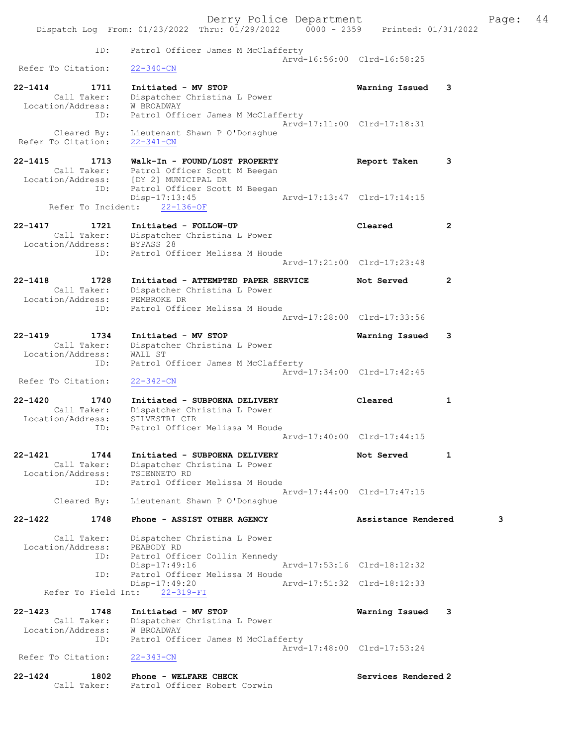|                                              | Derry Police Department                                                            |                             |              | Page: | 44 |
|----------------------------------------------|------------------------------------------------------------------------------------|-----------------------------|--------------|-------|----|
|                                              | Dispatch Log From: 01/23/2022 Thru: 01/29/2022 0000 - 2359 Printed: 01/31/2022     |                             |              |       |    |
| ID:                                          | Patrol Officer James M McClafferty                                                 |                             |              |       |    |
| Refer To Citation:                           | $22 - 340 - CN$                                                                    | Arvd-16:56:00 Clrd-16:58:25 |              |       |    |
| $22 - 1414$<br>1711                          | Initiated - MV STOP                                                                | Warning Issued              | 3            |       |    |
| Call Taker:                                  | Dispatcher Christina L Power                                                       |                             |              |       |    |
| Location/Address:<br>ID:                     | W BROADWAY<br>Patrol Officer James M McClafferty                                   |                             |              |       |    |
|                                              |                                                                                    | Arvd-17:11:00 Clrd-17:18:31 |              |       |    |
| Cleared By:<br>Refer To Citation:            | Lieutenant Shawn P O'Donaghue<br>$22 - 341 - CN$                                   |                             |              |       |    |
| $22 - 1415$<br>1713                          | Walk-In - FOUND/LOST PROPERTY                                                      | Report Taken                | 3            |       |    |
|                                              | Call Taker: Patrol Officer Scott M Beegan<br>Location/Address: [DY 2] MUNICIPAL DR |                             |              |       |    |
| ID:                                          | Patrol Officer Scott M Beegan                                                      |                             |              |       |    |
|                                              | Disp-17:13:45                                                                      | Arvd-17:13:47 Clrd-17:14:15 |              |       |    |
| Refer To Incident:                           | $22 - 136 - OF$                                                                    |                             |              |       |    |
| $22 - 1417$<br>1721                          | Initiated - FOLLOW-UP                                                              | Cleared                     | $\mathbf{2}$ |       |    |
|                                              | Call Taker: Dispatcher Christina L Power<br>Location/Address: BYPASS 28            |                             |              |       |    |
| ID:                                          | Patrol Officer Melissa M Houde                                                     |                             |              |       |    |
|                                              |                                                                                    | Arvd-17:21:00 Clrd-17:23:48 |              |       |    |
| 1728<br>$22 - 1418$                          | Initiated - ATTEMPTED PAPER SERVICE                                                | Not Served                  | 2            |       |    |
| Call Taker:<br>Location/Address: PEMBROKE DR | Dispatcher Christina L Power                                                       |                             |              |       |    |
| ID:                                          | Patrol Officer Melissa M Houde                                                     |                             |              |       |    |
|                                              |                                                                                    | Arvd-17:28:00 Clrd-17:33:56 |              |       |    |
| $22 - 1419$<br>1734                          | Initiated - MV STOP                                                                | Warning Issued              | 3            |       |    |
| Call Taker:                                  | Dispatcher Christina L Power                                                       |                             |              |       |    |
| Location/Address:<br>ID:                     | WALL ST<br>Patrol Officer James M McClafferty                                      |                             |              |       |    |
|                                              |                                                                                    | Arvd-17:34:00 Clrd-17:42:45 |              |       |    |
| Refer To Citation:                           | $22 - 342 - CN$                                                                    |                             |              |       |    |
| 22-1420<br>1740                              | Initiated - SUBPOENA DELIVERY                                                      | Cleared                     | 1            |       |    |
| Call Taker:<br>Location/Address:             | Dispatcher Christina L Power<br>SILVESTRI CIR                                      |                             |              |       |    |
| ID:                                          | Patrol Officer Melissa M Houde                                                     |                             |              |       |    |
|                                              |                                                                                    | Arvd-17:40:00 Clrd-17:44:15 |              |       |    |
| $22 - 1421$<br>1744                          | Initiated - SUBPOENA DELIVERY                                                      | Not Served                  | 1            |       |    |
| Call Taker:                                  | Dispatcher Christina L Power                                                       |                             |              |       |    |
| Location/Address:<br>ID:                     | TSIENNETO RD<br>Patrol Officer Melissa M Houde                                     |                             |              |       |    |
|                                              |                                                                                    | Arvd-17:44:00 Clrd-17:47:15 |              |       |    |
| Cleared By:                                  | Lieutenant Shawn P O'Donaghue                                                      |                             |              |       |    |
| 1748<br>22-1422                              | Phone - ASSIST OTHER AGENCY                                                        | Assistance Rendered         |              | 3     |    |
| Call Taker:                                  | Dispatcher Christina L Power                                                       |                             |              |       |    |
| Location/Address:<br>ID:                     | PEABODY RD<br>Patrol Officer Collin Kennedy                                        |                             |              |       |    |
|                                              | Disp-17:49:16                                                                      | Arvd-17:53:16 Clrd-18:12:32 |              |       |    |
| ID:                                          | Patrol Officer Melissa M Houde<br>Disp-17:49:20                                    | Arvd-17:51:32 Clrd-18:12:33 |              |       |    |
|                                              | Refer To Field Int: 22-319-FI                                                      |                             |              |       |    |
| $22 - 1423$<br>1748                          |                                                                                    |                             |              |       |    |
| Call Taker:                                  | Initiated - MV STOP<br>Dispatcher Christina L Power                                | Warning Issued              | 3            |       |    |
| Location/Address:                            | W BROADWAY                                                                         |                             |              |       |    |
| ID:                                          | Patrol Officer James M McClafferty                                                 | Arvd-17:48:00 Clrd-17:53:24 |              |       |    |
| Refer To Citation:                           | $22 - 343 - CN$                                                                    |                             |              |       |    |
| $22 - 1424$<br>1802                          | Phone - WELFARE CHECK                                                              | Services Rendered 2         |              |       |    |
|                                              | Call Taker: Patrol Officer Robert Corwin                                           |                             |              |       |    |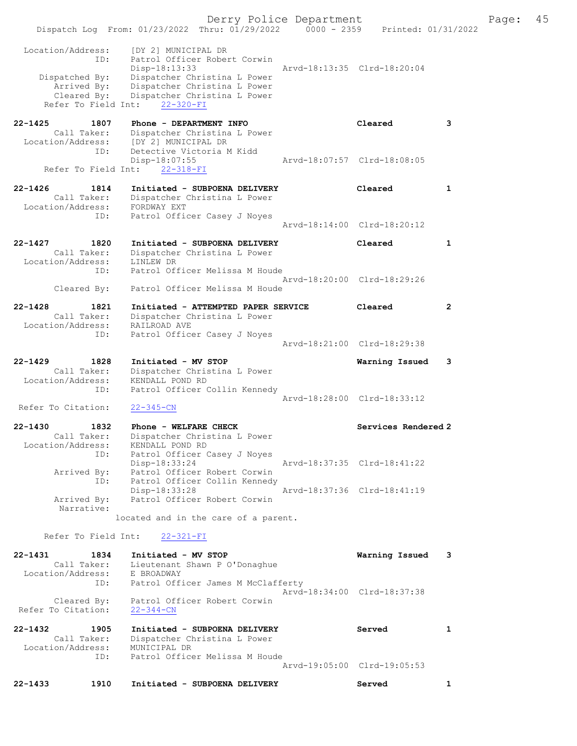| Refer To Citation:<br>1905<br>Call Taker:<br>Location/Address:<br>ID: | Cleared By: Patrol Officer Robert Corwin<br>$22 - 344 - CN$<br>Initiated - SUBPOENA DELIVERY<br>Dispatcher Christina L Power<br>MUNICIPAL DR<br>Patrol Officer Melissa M Houde | Arvd-19:05:00 Clrd-19:05:53                                                                                                                                                                                                                                                                                                                                                                                                                                                                                                                                                                                                                                                                                                                                                                                                                                                                                                                                                                                                                | Served                                                                                                                                                                                                                                                                                                               | 1                                                                                                                                                                                                                                                                                                 |                                                                                                                   |
|-----------------------------------------------------------------------|--------------------------------------------------------------------------------------------------------------------------------------------------------------------------------|--------------------------------------------------------------------------------------------------------------------------------------------------------------------------------------------------------------------------------------------------------------------------------------------------------------------------------------------------------------------------------------------------------------------------------------------------------------------------------------------------------------------------------------------------------------------------------------------------------------------------------------------------------------------------------------------------------------------------------------------------------------------------------------------------------------------------------------------------------------------------------------------------------------------------------------------------------------------------------------------------------------------------------------------|----------------------------------------------------------------------------------------------------------------------------------------------------------------------------------------------------------------------------------------------------------------------------------------------------------------------|---------------------------------------------------------------------------------------------------------------------------------------------------------------------------------------------------------------------------------------------------------------------------------------------------|-------------------------------------------------------------------------------------------------------------------|
|                                                                       |                                                                                                                                                                                |                                                                                                                                                                                                                                                                                                                                                                                                                                                                                                                                                                                                                                                                                                                                                                                                                                                                                                                                                                                                                                            |                                                                                                                                                                                                                                                                                                                      |                                                                                                                                                                                                                                                                                                   |                                                                                                                   |
|                                                                       |                                                                                                                                                                                |                                                                                                                                                                                                                                                                                                                                                                                                                                                                                                                                                                                                                                                                                                                                                                                                                                                                                                                                                                                                                                            |                                                                                                                                                                                                                                                                                                                      |                                                                                                                                                                                                                                                                                                   |                                                                                                                   |
|                                                                       |                                                                                                                                                                                |                                                                                                                                                                                                                                                                                                                                                                                                                                                                                                                                                                                                                                                                                                                                                                                                                                                                                                                                                                                                                                            |                                                                                                                                                                                                                                                                                                                      |                                                                                                                                                                                                                                                                                                   |                                                                                                                   |
| ID:                                                                   | Patrol Officer James M McClafferty                                                                                                                                             | Arvd-18:34:00 Clrd-18:37:38                                                                                                                                                                                                                                                                                                                                                                                                                                                                                                                                                                                                                                                                                                                                                                                                                                                                                                                                                                                                                |                                                                                                                                                                                                                                                                                                                      |                                                                                                                                                                                                                                                                                                   |                                                                                                                   |
| 1834<br>Call Taker:                                                   |                                                                                                                                                                                |                                                                                                                                                                                                                                                                                                                                                                                                                                                                                                                                                                                                                                                                                                                                                                                                                                                                                                                                                                                                                                            | Warning Issued                                                                                                                                                                                                                                                                                                       | 3                                                                                                                                                                                                                                                                                                 |                                                                                                                   |
|                                                                       | $22 - 321 - FI$                                                                                                                                                                |                                                                                                                                                                                                                                                                                                                                                                                                                                                                                                                                                                                                                                                                                                                                                                                                                                                                                                                                                                                                                                            |                                                                                                                                                                                                                                                                                                                      |                                                                                                                                                                                                                                                                                                   |                                                                                                                   |
|                                                                       |                                                                                                                                                                                |                                                                                                                                                                                                                                                                                                                                                                                                                                                                                                                                                                                                                                                                                                                                                                                                                                                                                                                                                                                                                                            |                                                                                                                                                                                                                                                                                                                      |                                                                                                                                                                                                                                                                                                   |                                                                                                                   |
| Narrative:                                                            |                                                                                                                                                                                |                                                                                                                                                                                                                                                                                                                                                                                                                                                                                                                                                                                                                                                                                                                                                                                                                                                                                                                                                                                                                                            |                                                                                                                                                                                                                                                                                                                      |                                                                                                                                                                                                                                                                                                   |                                                                                                                   |
| ID:                                                                   |                                                                                                                                                                                |                                                                                                                                                                                                                                                                                                                                                                                                                                                                                                                                                                                                                                                                                                                                                                                                                                                                                                                                                                                                                                            |                                                                                                                                                                                                                                                                                                                      |                                                                                                                                                                                                                                                                                                   |                                                                                                                   |
| ID:                                                                   |                                                                                                                                                                                |                                                                                                                                                                                                                                                                                                                                                                                                                                                                                                                                                                                                                                                                                                                                                                                                                                                                                                                                                                                                                                            |                                                                                                                                                                                                                                                                                                                      |                                                                                                                                                                                                                                                                                                   |                                                                                                                   |
| Call Taker:                                                           |                                                                                                                                                                                |                                                                                                                                                                                                                                                                                                                                                                                                                                                                                                                                                                                                                                                                                                                                                                                                                                                                                                                                                                                                                                            |                                                                                                                                                                                                                                                                                                                      |                                                                                                                                                                                                                                                                                                   |                                                                                                                   |
| Refer To Citation:                                                    |                                                                                                                                                                                |                                                                                                                                                                                                                                                                                                                                                                                                                                                                                                                                                                                                                                                                                                                                                                                                                                                                                                                                                                                                                                            |                                                                                                                                                                                                                                                                                                                      |                                                                                                                                                                                                                                                                                                   |                                                                                                                   |
| ID:                                                                   |                                                                                                                                                                                |                                                                                                                                                                                                                                                                                                                                                                                                                                                                                                                                                                                                                                                                                                                                                                                                                                                                                                                                                                                                                                            |                                                                                                                                                                                                                                                                                                                      |                                                                                                                                                                                                                                                                                                   |                                                                                                                   |
| Call Taker:                                                           |                                                                                                                                                                                |                                                                                                                                                                                                                                                                                                                                                                                                                                                                                                                                                                                                                                                                                                                                                                                                                                                                                                                                                                                                                                            |                                                                                                                                                                                                                                                                                                                      |                                                                                                                                                                                                                                                                                                   |                                                                                                                   |
| 1828                                                                  |                                                                                                                                                                                |                                                                                                                                                                                                                                                                                                                                                                                                                                                                                                                                                                                                                                                                                                                                                                                                                                                                                                                                                                                                                                            |                                                                                                                                                                                                                                                                                                                      | 3                                                                                                                                                                                                                                                                                                 |                                                                                                                   |
| ID:                                                                   |                                                                                                                                                                                |                                                                                                                                                                                                                                                                                                                                                                                                                                                                                                                                                                                                                                                                                                                                                                                                                                                                                                                                                                                                                                            |                                                                                                                                                                                                                                                                                                                      |                                                                                                                                                                                                                                                                                                   |                                                                                                                   |
| Location/Address:                                                     |                                                                                                                                                                                |                                                                                                                                                                                                                                                                                                                                                                                                                                                                                                                                                                                                                                                                                                                                                                                                                                                                                                                                                                                                                                            |                                                                                                                                                                                                                                                                                                                      |                                                                                                                                                                                                                                                                                                   |                                                                                                                   |
| 1821                                                                  |                                                                                                                                                                                |                                                                                                                                                                                                                                                                                                                                                                                                                                                                                                                                                                                                                                                                                                                                                                                                                                                                                                                                                                                                                                            | Cleared                                                                                                                                                                                                                                                                                                              | $\overline{2}$                                                                                                                                                                                                                                                                                    |                                                                                                                   |
| Cleared By:                                                           |                                                                                                                                                                                |                                                                                                                                                                                                                                                                                                                                                                                                                                                                                                                                                                                                                                                                                                                                                                                                                                                                                                                                                                                                                                            |                                                                                                                                                                                                                                                                                                                      |                                                                                                                                                                                                                                                                                                   |                                                                                                                   |
| Location/Address:<br>ID:                                              |                                                                                                                                                                                |                                                                                                                                                                                                                                                                                                                                                                                                                                                                                                                                                                                                                                                                                                                                                                                                                                                                                                                                                                                                                                            |                                                                                                                                                                                                                                                                                                                      |                                                                                                                                                                                                                                                                                                   |                                                                                                                   |
| 1820                                                                  |                                                                                                                                                                                |                                                                                                                                                                                                                                                                                                                                                                                                                                                                                                                                                                                                                                                                                                                                                                                                                                                                                                                                                                                                                                            | Cleared                                                                                                                                                                                                                                                                                                              | 1                                                                                                                                                                                                                                                                                                 |                                                                                                                   |
| ID:                                                                   |                                                                                                                                                                                |                                                                                                                                                                                                                                                                                                                                                                                                                                                                                                                                                                                                                                                                                                                                                                                                                                                                                                                                                                                                                                            |                                                                                                                                                                                                                                                                                                                      |                                                                                                                                                                                                                                                                                                   |                                                                                                                   |
| 1814                                                                  |                                                                                                                                                                                |                                                                                                                                                                                                                                                                                                                                                                                                                                                                                                                                                                                                                                                                                                                                                                                                                                                                                                                                                                                                                                            | Cleared                                                                                                                                                                                                                                                                                                              | $\mathbf{1}$                                                                                                                                                                                                                                                                                      |                                                                                                                   |
|                                                                       |                                                                                                                                                                                |                                                                                                                                                                                                                                                                                                                                                                                                                                                                                                                                                                                                                                                                                                                                                                                                                                                                                                                                                                                                                                            |                                                                                                                                                                                                                                                                                                                      |                                                                                                                                                                                                                                                                                                   |                                                                                                                   |
| ID:                                                                   |                                                                                                                                                                                |                                                                                                                                                                                                                                                                                                                                                                                                                                                                                                                                                                                                                                                                                                                                                                                                                                                                                                                                                                                                                                            |                                                                                                                                                                                                                                                                                                                      |                                                                                                                                                                                                                                                                                                   |                                                                                                                   |
| 1807                                                                  |                                                                                                                                                                                |                                                                                                                                                                                                                                                                                                                                                                                                                                                                                                                                                                                                                                                                                                                                                                                                                                                                                                                                                                                                                                            | Cleared                                                                                                                                                                                                                                                                                                              | 3                                                                                                                                                                                                                                                                                                 |                                                                                                                   |
|                                                                       | $22 - 320 - FI$                                                                                                                                                                |                                                                                                                                                                                                                                                                                                                                                                                                                                                                                                                                                                                                                                                                                                                                                                                                                                                                                                                                                                                                                                            |                                                                                                                                                                                                                                                                                                                      |                                                                                                                                                                                                                                                                                                   |                                                                                                                   |
|                                                                       |                                                                                                                                                                                |                                                                                                                                                                                                                                                                                                                                                                                                                                                                                                                                                                                                                                                                                                                                                                                                                                                                                                                                                                                                                                            |                                                                                                                                                                                                                                                                                                                      |                                                                                                                                                                                                                                                                                                   |                                                                                                                   |
| ID:                                                                   |                                                                                                                                                                                |                                                                                                                                                                                                                                                                                                                                                                                                                                                                                                                                                                                                                                                                                                                                                                                                                                                                                                                                                                                                                                            |                                                                                                                                                                                                                                                                                                                      |                                                                                                                                                                                                                                                                                                   |                                                                                                                   |
|                                                                       |                                                                                                                                                                                |                                                                                                                                                                                                                                                                                                                                                                                                                                                                                                                                                                                                                                                                                                                                                                                                                                                                                                                                                                                                                                            |                                                                                                                                                                                                                                                                                                                      |                                                                                                                                                                                                                                                                                                   |                                                                                                                   |
|                                                                       | Location/Address:<br>Dispatched By:<br>Call Taker:<br>Call Taker:<br>Location/Address:<br>Location/Address:<br>Arrived By:<br>Arrived By:<br>Location/Address:                 | [DY 2] MUNICIPAL DR<br>Patrol Officer Robert Corwin<br>$Disp-18:13:33$<br>Dispatcher Christina L Power<br>Arrived By: Dispatcher Christina L Power<br>Cleared By: Dispatcher Christina L Power<br>Refer To Field Int:<br>Phone - DEPARTMENT INFO<br>Call Taker: Dispatcher Christina L Power<br>Location/Address: [DY 2] MUNICIPAL DR<br>Detective Victoria M Kidd<br>Disp-18:07:55<br>Refer To Field Int: 22-318-FI<br>Call Taker: Dispatcher Christina L Power<br>Location/Address: FORDWAY EXT<br>Patrol Officer Casey J Noyes<br>Dispatcher Christina L Power<br>LINLEW DR<br>Dispatcher Christina L Power<br>RAILROAD AVE<br>Patrol Officer Casey J Noyes<br>Initiated - MV STOP<br>Dispatcher Christina L Power<br>KENDALL POND RD<br>$22 - 345 - CN$<br>1832 Phone - WELFARE CHECK<br>Dispatcher Christina L Power<br>KENDALL POND RD<br>Patrol Officer Casey J Noyes<br>Disp-18:33:24<br>Patrol Officer Robert Corwin<br>Disp-18:33:28<br>Patrol Officer Robert Corwin<br>Refer To Field Int:<br>Initiated - MV STOP<br>E BROADWAY | Initiated - SUBPOENA DELIVERY<br>Initiated - SUBPOENA DELIVERY<br>Patrol Officer Melissa M Houde<br>Patrol Officer Melissa M Houde<br>Initiated - ATTEMPTED PAPER SERVICE<br>Patrol Officer Collin Kennedy<br>Patrol Officer Collin Kennedy<br>located and in the care of a parent.<br>Lieutenant Shawn P O'Donaghue | Derry Police Department<br>Arvd-18:13:35 Clrd-18:20:04<br>Arvd-18:07:57 Clrd-18:08:05<br>Arvd-18:14:00 Clrd-18:20:12<br>Arvd-18:20:00 Clrd-18:29:26<br>Arvd-18:21:00 Clrd-18:29:38<br>Warning Issued<br>Arvd-18:28:00 Clrd-18:33:12<br>Arvd-18:37:35 Clrd-18:41:22<br>Arvd-18:37:36 Clrd-18:41:19 | Page: 45<br>Dispatch Log From: 01/23/2022 Thru: 01/29/2022 0000 - 2359 Printed: 01/31/2022<br>Services Rendered 2 |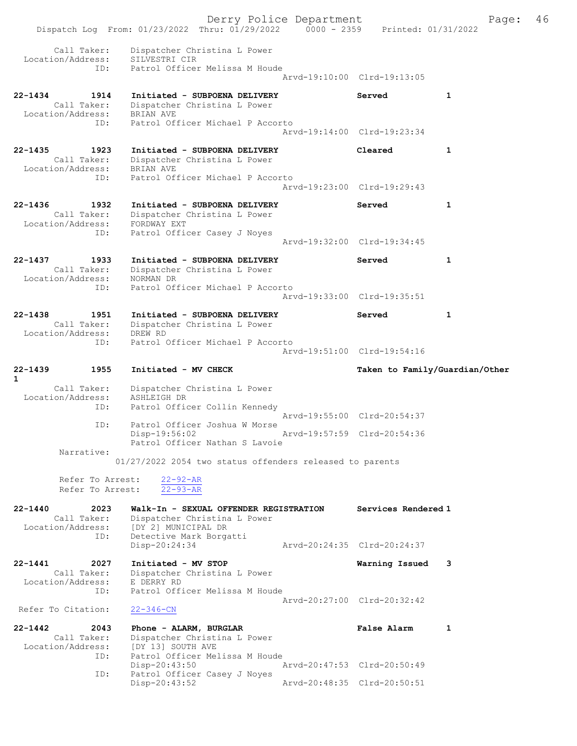Derry Police Department Fage: 46 Dispatch Log From: 01/23/2022 Thru: 01/29/2022 0000 - 2359 Printed: 01/31/2022 Call Taker: Dispatcher Christina L Power Location/Address: SILVESTRI CIR ID: Patrol Officer Melissa M Houde Arvd-19:10:00 Clrd-19:13:05 22-1434 1914 Initiated - SUBPOENA DELIVERY Served 1 Call Taker: Dispatcher Christina L Power Location/Address: BRIAN AVE ID: Patrol Officer Michael P Accorto Arvd-19:14:00 Clrd-19:23:34 22-1435 1923 Initiated - SUBPOENA DELIVERY Cleared 1 Call Taker: Dispatcher Christina L Power Location/Address: BRIAN AVE ID: Patrol Officer Michael P Accorto Arvd-19:23:00 Clrd-19:29:43 22-1436 1932 Initiated - SUBPOENA DELIVERY Served 1 Call Taker: Dispatcher Christina L Power Location/Address: FORDWAY EXT ID: Patrol Officer Casey J Noyes Arvd-19:32:00 Clrd-19:34:45 22-1437 1933 Initiated - SUBPOENA DELIVERY Served 1 Call Taker: Dispatcher Christina L Power Location/Address: NORMAN DR ID: Patrol Officer Michael P Accorto Arvd-19:33:00 Clrd-19:35:51 22-1438 1951 Initiated - SUBPOENA DELIVERY Served 1 Call Taker: Dispatcher Christina L Power Location/Address: DREW RD ID: Patrol Officer Michael P Accorto Arvd-19:51:00 Clrd-19:54:16 22-1439 1955 Initiated - MV CHECK Taken to Family/Guardian/Other 1 Call Taker: Dispatcher Christina L Power Location/Address: ASHLEIGH DR ID: Patrol Officer Collin Kennedy Arvd-19:55:00 Clrd-20:54:37 ID: Patrol Officer Joshua W Morse<br>Disp-19:56:02 Arvd-19:57:59 Clrd-20:54:36 Patrol Officer Nathan S Lavoie Narrative: 01/27/2022 2054 two status offenders released to parents Refer To Arrest: 22-92-AR Refer To Arrest: 22-93-AR 22-1440 2023 Walk-In - SEXUAL OFFENDER REGISTRATION Services Rendered 1 Call Taker: Dispatcher Christina L Power Location/Address: [DY 2] MUNICIPAL DR ID: Detective Mark Borgatti [DY 2] MUNICILED 2.<br>Detective Mark Borgatti<br>- 20:24:35 Clrd-20:24:37 22-1441 2027 Initiated - MV STOP Warning Issued 3 Call Taker: Dispatcher Christina L Power Location/Address: E DERRY RD ID: Patrol Officer Melissa M Houde Arvd-20:27:00 Clrd-20:32:42 Refer To Citation: 22-346-CN 22-1442 2043 Phone - ALARM, BURGLAR False Alarm 1 Call Taker: Dispatcher Christina L Power Location/Address: [DY 13] SOUTH AVE ID: Patrol Officer Melissa M Houde Disp-20:43:50 Arvd-20:47:53 Clrd-20:50:49 ID: Patrol Officer Casey J Noyes Disp-20:43:52 Arvd-20:48:35 Clrd-20:50:51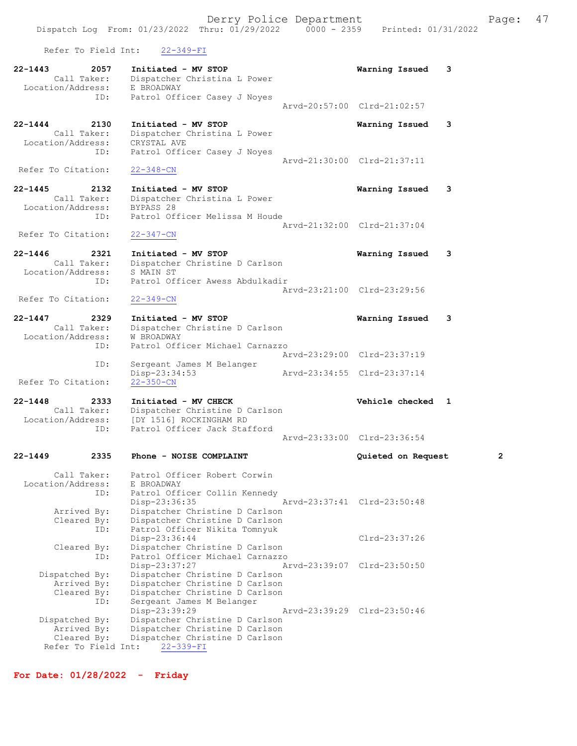Refer To Field Int: 22-349-FI

| 22-1443<br>2057                    | Initiated - MV STOP                                              | Warning Issued<br>з         |
|------------------------------------|------------------------------------------------------------------|-----------------------------|
| Call Taker:                        | Dispatcher Christina L Power                                     |                             |
| Location/Address:                  | E BROADWAY                                                       |                             |
| ID:                                | Patrol Officer Casey J Noyes                                     | Aryd-20:57:00 Clrd-21:02:57 |
|                                    |                                                                  |                             |
| $22 - 1444$<br>2130<br>Call Taker: | Initiated - MV STOP<br>Dispatcher Christina L Power              | Warning Issued<br>3         |
| Location/Address:                  | CRYSTAL AVE                                                      |                             |
| ID:                                | Patrol Officer Casey J Noyes                                     | Arvd-21:30:00 Clrd-21:37:11 |
| Refer To Citation:                 | $22 - 348 - CN$                                                  |                             |
| 2132                               |                                                                  |                             |
| $22 - 1445$<br>Call Taker:         | Initiated - MV STOP<br>Dispatcher Christina L Power              | Warning Issued<br>3         |
| Location/Address:                  | BYPASS 28                                                        |                             |
| ID:                                | Patrol Officer Melissa M Houde                                   |                             |
| Refer To Citation:                 |                                                                  | Arvd-21:32:00 Clrd-21:37:04 |
|                                    | $22 - 347 - CN$                                                  |                             |
| $22 - 1446$<br>2321                | Initiated - MV STOP                                              | 3<br>Warning Issued         |
| Call Taker:<br>Location/Address:   | Dispatcher Christine D Carlson<br>S MAIN ST                      |                             |
| ID:                                | Patrol Officer Awess Abdulkadir                                  |                             |
|                                    |                                                                  | Arvd-23:21:00 Clrd-23:29:56 |
| Refer To Citation:                 | $22 - 349 - CN$                                                  |                             |
| $22 - 1447$<br>2329                | Initiated - MV STOP                                              | Warning Issued<br>3         |
| Call Taker:                        | Dispatcher Christine D Carlson                                   |                             |
| Location/Address:                  | W BROADWAY                                                       |                             |
| ID:                                | Patrol Officer Michael Carnazzo                                  | Arvd-23:29:00 Clrd-23:37:19 |
| ID:                                | Sergeant James M Belanger                                        |                             |
| Refer To Citation:                 | Disp-23:34:53                                                    | Arvd-23:34:55 Clrd-23:37:14 |
|                                    | $22 - 350 - CN$                                                  |                             |
| $22 - 1448$<br>2333                | Initiated - MV CHECK                                             | Vehicle checked 1           |
| Call Taker:<br>Location/Address:   | Dispatcher Christine D Carlson<br>[DY 1516] ROCKINGHAM RD        |                             |
| ID:                                | Patrol Officer Jack Stafford                                     |                             |
|                                    |                                                                  | Arvd-23:33:00 Clrd-23:36:54 |
| $22 - 1449$<br>2335                | Phone - NOISE COMPLAINT                                          | 2<br>Quieted on Request     |
| Call Taker:                        | Patrol Officer Robert Corwin                                     |                             |
| Location/Address:                  | E BROADWAY                                                       |                             |
| ID:                                | Patrol Officer Collin Kennedy                                    |                             |
|                                    | Disp-23:36:35                                                    | Arvd-23:37:41 Clrd-23:50:48 |
| Arrived By:<br>Cleared By:         | Dispatcher Christine D Carlson<br>Dispatcher Christine D Carlson |                             |
| ID:                                | Patrol Officer Nikita Tomnyuk                                    |                             |
|                                    | Disp-23:36:44                                                    | $Clrd-23:37:26$             |
| Cleared By:                        | Dispatcher Christine D Carlson                                   |                             |
| ID:                                | Patrol Officer Michael Carnazzo<br>Disp-23:37:27                 | Arvd-23:39:07 Clrd-23:50:50 |
| Dispatched By:                     |                                                                  |                             |
|                                    | Dispatcher Christine D Carlson                                   |                             |
| Arrived By:                        | Dispatcher Christine D Carlson                                   |                             |
| Cleared By:                        | Dispatcher Christine D Carlson                                   |                             |
| ID:                                | Sergeant James M Belanger                                        | Arvd-23:39:29 Clrd-23:50:46 |
| Dispatched By:                     | Disp-23:39:29<br>Dispatcher Christine D Carlson                  |                             |
| Arrived By:                        | Dispatcher Christine D Carlson                                   |                             |
| Cleared By:<br>Refer To Field Int: | Dispatcher Christine D Carlson<br>$22 - 339 - FI$                |                             |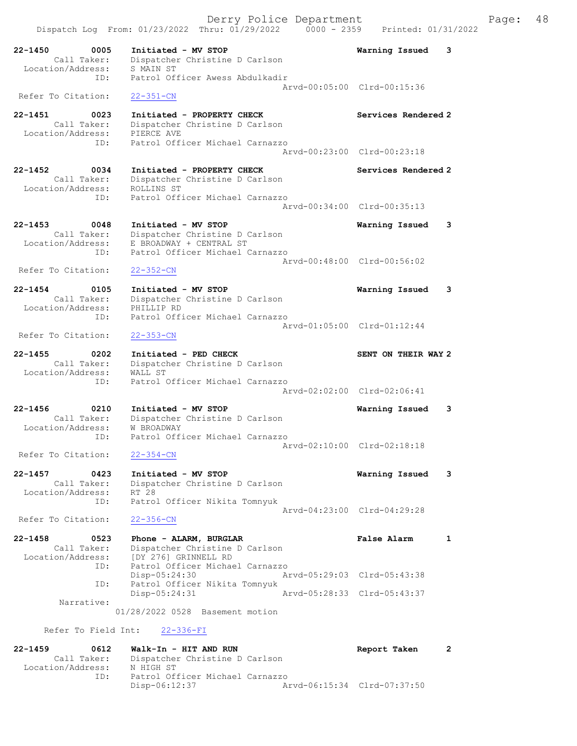Derry Police Department Fage: 48 Dispatch Log From:  $01/23/2022$  Thru:  $01/29/2022$  0000 - 2359 Printed:  $01/31/2022$ 22-1450 0005 Initiated - MV STOP Warning Issued 3 Call Taker: Dispatcher Christine D Carlson Location/Address: S MAIN ST ess. Simin Si<br>ID: Patrol Officer Awess Abdulkadir Arvd-00:05:00 Clrd-00:15:36 Refer To Citation: 22-351-CN 22-1451 0023 Initiated - PROPERTY CHECK Services Rendered 2 Call Taker: Dispatcher Christine D Carlson Location/Address: PIERCE AVE ID: Patrol Officer Michael Carnazzo Arvd-00:23:00 Clrd-00:23:18 22-1452 0034 Initiated - PROPERTY CHECK Services Rendered 2 Call Taker: Dispatcher Christine D Carlson Location/Address: ROLLINS ST ID: Patrol Officer Michael Carnazzo Arvd-00:34:00 Clrd-00:35:13 22-1453 0048 Initiated - MV STOP Warning Issued 3 Call Taker: Dispatcher Christine D Carlson Location/Address: E BROADWAY + CENTRAL ST ID: Patrol Officer Michael Carnazzo Arvd-00:48:00 Clrd-00:56:02 Refer To Citation: 22-352-CN 22-1454 0105 Initiated - MV STOP Warning Issued 3 Call Taker: Dispatcher Christine D Carlson Location/Address: PHILLIP RD ID: Patrol Officer Michael Carnazzo Arvd-01:05:00 Clrd-01:12:44 Refer To Citation: 22-353-CN 22-1455 0202 Initiated - PED CHECK SENT ON THEIR WAY 2 Call Taker: Dispatcher Christine D Carlson Location/Address: WALL ST ID: Patrol Officer Michael Carnazzo Arvd-02:02:00 Clrd-02:06:41 22-1456 0210 Initiated - MV STOP Warning Issued 3 Call Taker: Dispatcher Christine D Carlson Location/Address: W BROADWAY ID: Patrol Officer Michael Carnazzo Arvd-02:10:00 Clrd-02:18:18 Refer To Citation: 22-354-CN 22-1457 0423 Initiated - MV STOP Warning Issued 3 Call Taker: Dispatcher Christine D Carlson Location/Address: RT 28 ID: Patrol Officer Nikita Tomnyuk Arvd-04:23:00 Clrd-04:29:28 Refer To Citation: 22-356-CN 22-1458 0523 Phone - ALARM, BURGLAR False Alarm 1 Call Taker: Dispatcher Christine D Carlson Location/Address: [DY 276] GRINNELL RD ID: Patrol Officer Michael Carnazzo Disp-05:24:30 Arvd-05:29:03 Clrd-05:43:38 ID: Patrol Officer Nikita Tomnyuk Disp-05:24:31 Arvd-05:28:33 Clrd-05:43:37 Narrative: 01/28/2022 0528 Basement motion Refer To Field Int: 22-336-FI 22-1459 0612 Walk-In - HIT AND RUN Report Taken 2 Call Taker: Dispatcher Christine D Carlson Location/Address: N HIGH ST<br>ID: Patrol Off

Patrol Officer Michael Carnazzo<br>Disp-06:12:37 Ar

Disp-06:12:37 Arvd-06:15:34 Clrd-07:37:50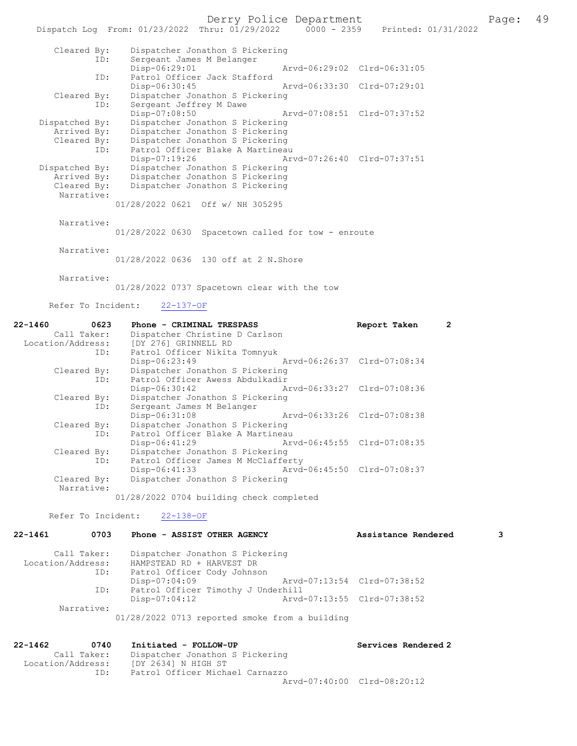Derry Police Department Fage: 49

|                | Dispatch Log From: 01/23/2022 Thru: 01/29/2022<br>$0000 - 2359$ Printed: $01/31/2022$ |
|----------------|---------------------------------------------------------------------------------------|
| Cleared By:    | Dispatcher Jonathon S Pickering                                                       |
| ID:            | Sergeant James M Belanger                                                             |
|                | Disp-06:29:01<br>Arvd-06:29:02 Clrd-06:31:05                                          |
| ID:            | Patrol Officer Jack Stafford                                                          |
|                | Arvd-06:33:30 Clrd-07:29:01<br>$Disp-06:30:45$                                        |
| Cleared By:    | Dispatcher Jonathon S Pickering                                                       |
| ID:            | Sergeant Jeffrey M Dawe                                                               |
|                | Disp-07:08:50                                                                         |
| Dispatched By: | Dispatcher Jonathon S Pickering                                                       |
| Arrived By:    | Dispatcher Jonathon S Pickering                                                       |
| Cleared By:    | Dispatcher Jonathon S Pickering                                                       |
| ID:            | Patrol Officer Blake A Martineau                                                      |
|                | Disp-07:19:26<br>Arvd-07:26:40 Clrd-07:37:51                                          |
| Dispatched By: | Dispatcher Jonathon S Pickering                                                       |
| Arrived By:    | Dispatcher Jonathon S Pickering                                                       |
| Cleared By:    | Dispatcher Jonathon S Pickering                                                       |
| Narrative:     |                                                                                       |
|                | 01/28/2022 0621 Off w/ NH 305295                                                      |
| Narrative:     |                                                                                       |
|                | 01/28/2022 0630 Spacetown called for tow - enroute                                    |

Narrative:

01/28/2022 0636 130 off at 2 N.Shore

 Narrative: 01/28/2022 0737 Spacetown clear with the tow

Refer To Incident: 22-137-OF

| 22-1460 0623<br>Call Taker:<br>Location/Address: | <b>Phone - CRIMINAL TRESPASS</b><br>Dispatcher Christine D Carlson<br>[DY 276] GRINNELL RD<br>ID: Patrol Officer Nikita Tomnyuk |                             | Report Taken | 2 |
|--------------------------------------------------|---------------------------------------------------------------------------------------------------------------------------------|-----------------------------|--------------|---|
| Cleared By:                                      | Disp-06:23:49<br>Dispatcher Jonathon S Pickering                                                                                | Arvd-06:26:37 Clrd-07:08:34 |              |   |
| ID:                                              | Patrol Officer Awess Abdulkadir                                                                                                 |                             |              |   |
| Cleared By:<br>ID:                               | $Disp-06:30:42$<br>Dispatcher Jonathon S Pickering<br>Sergeant James M Belanger                                                 | Arvd-06:33:27 Clrd-07:08:36 |              |   |
|                                                  | $Disp-06:31:08$                                                                                                                 | Arvd-06:33:26 Clrd-07:08:38 |              |   |
| Cleared By:<br>ID:                               | Dispatcher Jonathon S Pickering<br>Patrol Officer Blake A Martineau                                                             |                             |              |   |
| Cleared By:                                      | Disp-06:41:29<br>Dispatcher Jonathon S Pickering                                                                                |                             |              |   |
| ID:                                              | Patrol Officer James M McClafferty                                                                                              |                             |              |   |
| Cleared By:<br>Narrative:                        | $Disp-06:41:33$<br>Dispatcher Jonathon S Pickering                                                                              | Arvd-06:45:50 Clrd-07:08:37 |              |   |

01/28/2022 0704 building check completed

Refer To Incident: 22-138-OF

| $22 - 1461$<br>0703 | Phone - ASSIST OTHER AGENCY                    | Assistance Rendered         | 3 |
|---------------------|------------------------------------------------|-----------------------------|---|
| Call Taker:         | Dispatcher Jonathon S Pickering                |                             |   |
| Location/Address:   | HAMPSTEAD RD + HARVEST DR                      |                             |   |
| ID:                 | Patrol Officer Cody Johnson                    |                             |   |
|                     | $Disp-07:04:09$                                | Arvd-07:13:54 Clrd-07:38:52 |   |
| ID:                 | Patrol Officer Timothy J Underhill             |                             |   |
|                     | Disp-07:04:12                                  | Arvd-07:13:55 Clrd-07:38:52 |   |
| Narrative:          |                                                |                             |   |
|                     | 01/28/2022 0713 reported smoke from a building |                             |   |

| 22-1462           | 0740        | Initiated - FOLLOW-UP           | Services Rendered 2 |
|-------------------|-------------|---------------------------------|---------------------|
|                   | Call Taker: | Dispatcher Jonathon S Pickering |                     |
| Location/Address: |             | IDY 26341 N HIGH ST             |                     |
|                   | ID:         | Patrol Officer Michael Carnazzo |                     |
|                   |             | Arvd-07:40:00 Clrd-08:20:12     |                     |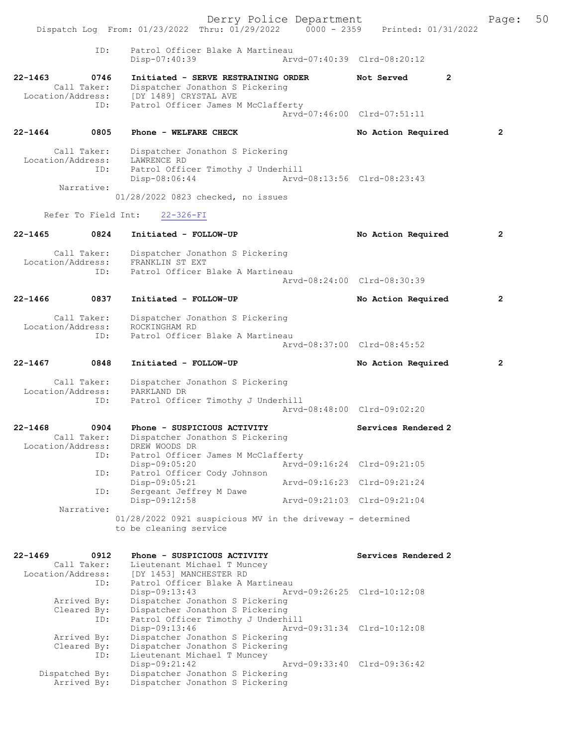|                                  |                                   | Dispatch Log From: 01/23/2022 Thru: 01/29/2022 0000 - 2359 Printed: 01/31/2022                                          | Derry Police Department |                             | Page:        | 50 |
|----------------------------------|-----------------------------------|-------------------------------------------------------------------------------------------------------------------------|-------------------------|-----------------------------|--------------|----|
|                                  | ID:                               | Patrol Officer Blake A Martineau<br>Disp-07:40:39                                                                       |                         | Arvd-07:40:39 Clrd-08:20:12 |              |    |
| $22 - 1463$                      | 0746<br>Call Taker:               | Initiated - SERVE RESTRAINING ORDER<br>Dispatcher Jonathon S Pickering                                                  |                         | Not Served<br>2             |              |    |
|                                  | ID:                               | Location/Address: [DY 1489] CRYSTAL AVE<br>Patrol Officer James M McClafferty                                           |                         | Arvd-07:46:00 Clrd-07:51:11 |              |    |
| $22 - 1464$                      | 0805                              | Phone - WELFARE CHECK                                                                                                   |                         | No Action Required          | 2            |    |
|                                  | Call Taker:                       | Dispatcher Jonathon S Pickering                                                                                         |                         |                             |              |    |
| Location/Address:                | ID:                               | LAWRENCE RD<br>Patrol Officer Timothy J Underhill<br>Disp-08:06:44                                                      |                         | Arvd-08:13:56 Clrd-08:23:43 |              |    |
|                                  | Narrative:                        | 01/28/2022 0823 checked, no issues                                                                                      |                         |                             |              |    |
|                                  | Refer To Field Int:               |                                                                                                                         |                         |                             |              |    |
|                                  |                                   | $22 - 326 - FI$                                                                                                         |                         |                             |              |    |
| $22 - 1465$                      | 0824                              | Initiated - FOLLOW-UP                                                                                                   |                         | No Action Required          | 2            |    |
| Location/Address:                | Call Taker:                       | Dispatcher Jonathon S Pickering<br>FRANKLIN ST EXT                                                                      |                         |                             |              |    |
|                                  | ID:                               | Patrol Officer Blake A Martineau                                                                                        |                         | Arvd-08:24:00 Clrd-08:30:39 |              |    |
| $22 - 1466$                      | 0837                              | Initiated - FOLLOW-UP                                                                                                   |                         | No Action Required          | $\mathbf{2}$ |    |
| Location/Address:                | Call Taker:                       | Dispatcher Jonathon S Pickering<br>ROCKINGHAM RD                                                                        |                         |                             |              |    |
|                                  | ID:                               | Patrol Officer Blake A Martineau                                                                                        |                         | Arvd-08:37:00 Clrd-08:45:52 |              |    |
| $22 - 1467$                      | 0848                              | Initiated - FOLLOW-UP                                                                                                   |                         | No Action Required          | $\mathbf{2}$ |    |
|                                  | Call Taker:                       | Dispatcher Jonathon S Pickering                                                                                         |                         |                             |              |    |
| Location/Address:                | ID:                               | PARKLAND DR<br>Patrol Officer Timothy J Underhill                                                                       |                         |                             |              |    |
|                                  |                                   |                                                                                                                         |                         | Arvd-08:48:00 Clrd-09:02:20 |              |    |
| $22 - 1468$                      | 0904<br>Call Taker:               | Phone - SUSPICIOUS ACTIVITY<br>Dispatcher Jonathon S Pickering                                                          |                         | Services Rendered 2         |              |    |
| Location/Address:                | ID:                               | DREW WOODS DR<br>Patrol Officer James M McClafferty                                                                     |                         |                             |              |    |
|                                  |                                   | Disp-09:05:20                                                                                                           |                         | Arvd-09:16:24 Clrd-09:21:05 |              |    |
|                                  | ID:                               | Patrol Officer Cody Johnson<br>Disp-09:05:21                                                                            |                         | Arvd-09:16:23 Clrd-09:21:24 |              |    |
|                                  | ID:                               | Sergeant Jeffrey M Dawe<br>Disp-09:12:58                                                                                |                         | Arvd-09:21:03 Clrd-09:21:04 |              |    |
|                                  | Narrative:                        | 01/28/2022 0921 suspicious MV in the driveway - determined<br>to be cleaning service                                    |                         |                             |              |    |
| $22 - 1469$<br>Location/Address: | 0912<br>Call Taker:               | Phone - SUSPICIOUS ACTIVITY<br>Lieutenant Michael T Muncey<br>[DY 1453] MANCHESTER RD                                   |                         | Services Rendered 2         |              |    |
|                                  | ID:<br>Arrived By:<br>Cleared By: | Patrol Officer Blake A Martineau<br>Disp-09:13:43<br>Dispatcher Jonathon S Pickering<br>Dispatcher Jonathon S Pickering |                         | Arvd-09:26:25 Clrd-10:12:08 |              |    |
|                                  | ID:<br>Arrived By:                | Patrol Officer Timothy J Underhill<br>Disp-09:13:46<br>Dispatcher Jonathon S Pickering                                  |                         | Arvd-09:31:34 Clrd-10:12:08 |              |    |
|                                  | Cleared By:<br>ID:                | Dispatcher Jonathon S Pickering<br>Lieutenant Michael T Muncey<br>Disp-09:21:42                                         |                         | Arvd-09:33:40 Clrd-09:36:42 |              |    |
|                                  | Dispatched By:<br>Arrived By:     | Dispatcher Jonathon S Pickering<br>Dispatcher Jonathon S Pickering                                                      |                         |                             |              |    |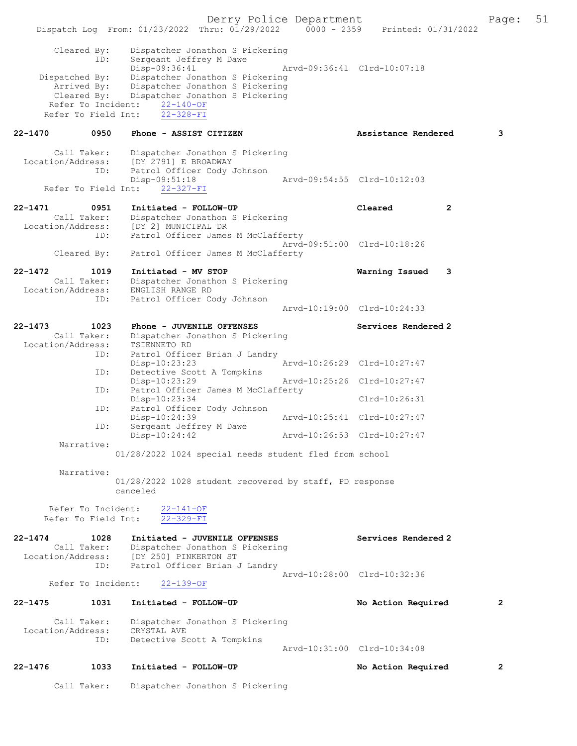Derry Police Department The Page: 51 Dispatch Log From: 01/23/2022 Thru: 01/29/2022 0000 - 2359 Printed: 01/31/2022 Cleared By: Dispatcher Jonathon S Pickering<br>ID: Sergeant Jeffrey M Dawe Sergeant Jeffrey M Dawe Disp-09:36:41 Arvd-09:36:41 Clrd-10:07:18 Dispatched By: Dispatcher Jonathon S Pickering Arrived By: Dispatcher Jonathon S Pickering Cleared By: Dispatcher Jonathon S Pickering Refer To Incident:  $\frac{22-140-OF}{22-328-FI}$ Refer To Field Int: 22-1470 0950 Phone - ASSIST CITIZEN Assistance Rendered 3 Call Taker: Dispatcher Jonathon S Pickering<br>Location/Address: [DY 2791] E BROADWAY ress: [DY 2791] E BROADWAY<br>ID: Patrol Officer Cody J Patrol Officer Cody Johnson<br>Disp-09:51:18 -09:51:18 <br>22-327-FI <br>22-327-FI Refer To Field Int: 22-1471 0951 Initiated - FOLLOW-UP Cleared 2 Call Taker: Dispatcher Jonathon S Pickering Location/Address: [DY 2] MUNICIPAL DR ID: Patrol Officer James M McClafferty Arvd-09:51:00 Clrd-10:18:26 Cleared By: Patrol Officer James M McClafferty 22-1472 1019 Initiated - MV STOP Warning Issued 3 Call Taker: Dispatcher Jonathon S Pickering<br>ion/Address: ENGLISH RANGE RD Location/Address: ID: Patrol Officer Cody Johnson Arvd-10:19:00 Clrd-10:24:33 22-1473 1023 Phone - JUVENILE OFFENSES Services Rendered 2 Call Taker: Dispatcher Jonathon S Pickering Location/Address: TSIENNETO RD ID: Patrol Officer Brian J Landry Disp-10:23:23 Arvd-10:26:29 Clrd-10:27:47 ID: Detective Scott A Tompkins<br>Disp-10:23:29 Disp-10:23:29 Arvd-10:25:26 Clrd-10:27:47 ID: Patrol Officer James M McClafferty Disp-10:23:34 Clrd-10:26:31<br>ID: Patrol Officer Cody Johnson Patrol Officer Cody Johnson Disp-10:24:39 Arvd-10:25:41 Clrd-10:27:47<br>TD: Sergeant Jeffrey M Dawe Sergeant Jeffrey M Dawe<br>Disp-10:24:42 Disp-10:24:42 Arvd-10:26:53 Clrd-10:27:47 Narrative: 01/28/2022 1024 special needs student fled from school Narrative: 01/28/2022 1028 student recovered by staff, PD response canceled Refer To Incident: 22-141-OF Refer To Field Int: 22-329-FI 22-1474 1028 Initiated - JUVENILE OFFENSES Services Rendered 2 Call Taker: Dispatcher Jonathon S Pickering Location/Address: [DY 250] PINKERTON ST ID: Patrol Officer Brian J Landry Arvd-10:28:00 Clrd-10:32:36<br>22-139-OF Refer To Incident: 22-1475 1031 Initiated - FOLLOW-UP No Action Required 2 Call Taker: Dispatcher Jonathon S Pickering<br>ion/Address: CRYSTAL AVE Location/Address:<br>ID: Detective Scott A Tompkins Arvd-10:31:00 Clrd-10:34:08 22-1476 1033 Initiated - FOLLOW-UP No Action Required 2 Call Taker: Dispatcher Jonathon S Pickering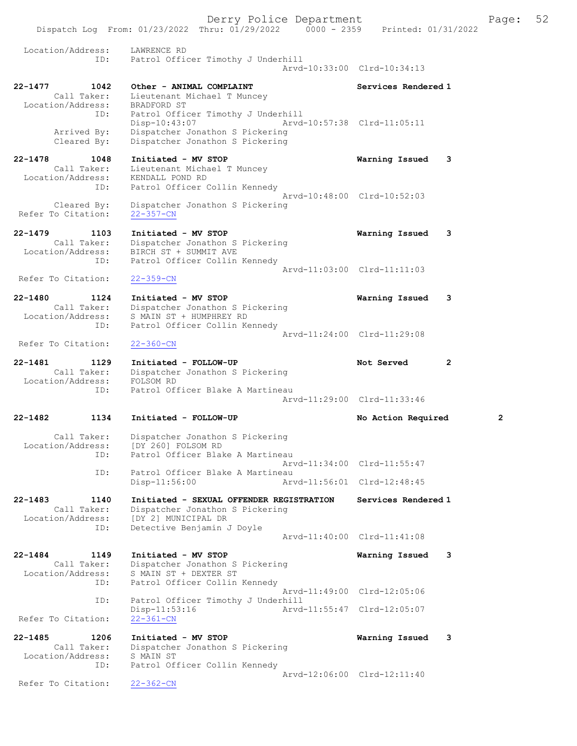Dispatch Log From: 01/23/2022 Thru: 01/29/2022 0000 - 2359 Printed: 01/31/2022 Location/Address: LAWRENCE RD<br>ID: Patrol Offic ID: Patrol Officer Timothy J Underhill Arvd-10:33:00 Clrd-10:34:13 22-1477 1042 Other - ANIMAL COMPLAINT Services Rendered 1 Call Taker: Lieutenant Michael T Muncey Location/Address: BRADFORD ST ID: Patrol Officer Timothy J Underhill Disp-10:43:07 Arvd-10:57:38 Clrd-11:05:11 Arrived By: Dispatcher Jonathon S Pickering Cleared By: Dispatcher Jonathon S Pickering 22-1478 1048 Initiated - MV STOP Warning Issued 3 Call Taker: Lieutenant Michael T Muncey Location/Address: KENDALL POND RD ID: Patrol Officer Collin Kennedy Arvd-10:48:00 Clrd-10:52:03 Cleared By: Dispatcher Jonathon S Pickering Refer To Citation: 22-357-CN 22-1479 1103 Initiated - MV STOP Warning Issued 3 Call Taker: Dispatcher Jonathon S Pickering Location/Address: BIRCH ST + SUMMIT AVE ID: Patrol Officer Collin Kennedy Arvd-11:03:00 Clrd-11:11:03<br>22-359-CN Refer To Citation: 22-1480 1124 Initiated - MV STOP Warning Issued 3 Call Taker: Dispatcher Jonathon S Pickering Location/Address: S MAIN ST + HUMPHREY RD ID: Patrol Officer Collin Kennedy Arvd-11:24:00 Clrd-11:29:08 Refer To Citation: 22-360-CN 22-1481 1129 Initiated - FOLLOW-UP Not Served 2 Call Taker: Dispatcher Jonathon S Pickering Location/Address: FOLSOM RD ID: Patrol Officer Blake A Martineau Arvd-11:29:00 Clrd-11:33:46 22-1482 1134 Initiated - FOLLOW-UP No Action Required 2 Call Taker: Dispatcher Jonathon S Pickering Location/Address: [DY 260] FOLSOM RD ID: Patrol Officer Blake A Martineau Arvd-11:34:00 Clrd-11:55:47<br>TD: Patrol Officer Blake A Martineau Patrol Officer Blake A Martineau<br>Disp-11:56:00 Arw Arvd-11:56:01 Clrd-12:48:45 22-1483 1140 Initiated - SEXUAL OFFENDER REGISTRATION Services Rendered 1 Call Taker: Dispatcher Jonathon S Pickering Location/Address: [DY 2] MUNICIPAL DR ID: Detective Benjamin J Doyle Arvd-11:40:00 Clrd-11:41:08 22-1484 1149 Initiated - MV STOP Warning Issued 3 Call Taker: Dispatcher Jonathon S Pickering Location/Address: S MAIN ST + DEXTER ST ID: Patrol Officer Collin Kennedy Arvd-11:49:00 Clrd-12:05:06 ID: Patrol Officer Timothy J Underhill Disp-11:53:16 Arvd-11:55:47 Clrd-12:05:07 Refer To Citation: 22-1485 1206 Initiated - MV STOP Warning Issued 3 Call Taker: Dispatcher Jonathon S Pickering Location/Address: S MAIN ST ID: Patrol Officer Collin Kennedy Arvd-12:06:00 Clrd-12:11:40<br>22-362-CN

Refer To Citation:

Derry Police Department The Page: 52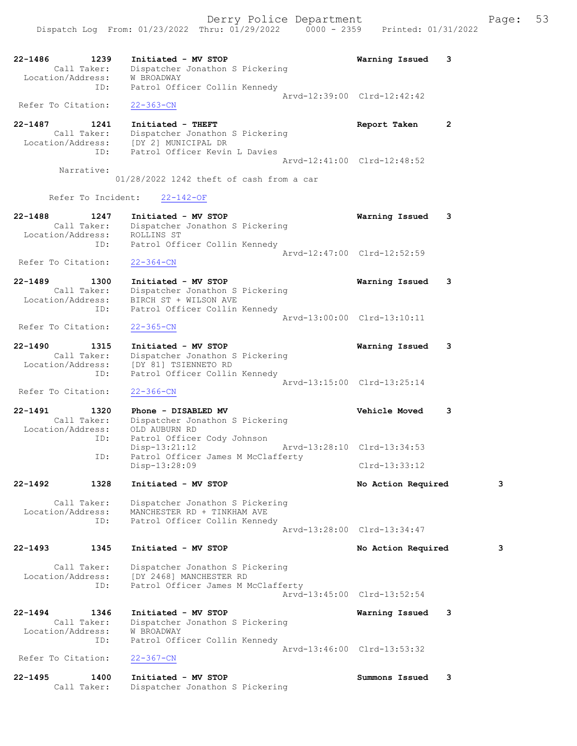Dispatch Log From: 01/23/2022 Thru: 01/29/2022 0000 - 2359 Printed: 01/31/2022

| 22-1486<br>1239<br>Call Taker:          | Initiated - MV STOP<br>Dispatcher Jonathon S Pickering                                  | Warning Issued<br>3            |   |
|-----------------------------------------|-----------------------------------------------------------------------------------------|--------------------------------|---|
| Location/Address:<br>ID:                | W BROADWAY<br>Patrol Officer Collin Kennedy                                             |                                |   |
| Refer To Citation:                      | $22 - 363 - CN$                                                                         | Arvd-12:39:00 Clrd-12:42:42    |   |
| 22-1487<br>1241                         | Initiated - THEFT                                                                       | $\overline{2}$<br>Report Taken |   |
| Call Taker:<br>Location/Address:<br>ID: | Dispatcher Jonathon S Pickering<br>[DY 2] MUNICIPAL DR<br>Patrol Officer Kevin L Davies |                                |   |
|                                         |                                                                                         | Arvd-12:41:00 Clrd-12:48:52    |   |
| Narrative:                              | 01/28/2022 1242 theft of cash from a car                                                |                                |   |
| Refer To Incident:                      | $22 - 142 - OF$                                                                         |                                |   |
| $22 - 1488$<br>1247                     | Initiated - MV STOP                                                                     | Warning Issued<br>3            |   |
| Call Taker:<br>Location/Address:        | Dispatcher Jonathon S Pickering<br>ROLLINS ST                                           |                                |   |
| ID:                                     | Patrol Officer Collin Kennedy                                                           |                                |   |
|                                         |                                                                                         | Arvd-12:47:00 Clrd-12:52:59    |   |
| Refer To Citation:                      | $22 - 364 - CN$                                                                         |                                |   |
| $22 - 1489$<br>1300                     | Initiated - MV STOP                                                                     | Warning Issued<br>3            |   |
| Call Taker:<br>Location/Address:        | Dispatcher Jonathon S Pickering<br>BIRCH ST + WILSON AVE                                |                                |   |
| ID:                                     | Patrol Officer Collin Kennedy                                                           |                                |   |
|                                         |                                                                                         | Arvd-13:00:00 Clrd-13:10:11    |   |
| Refer To Citation:                      | $22 - 365 - CN$                                                                         |                                |   |
| $22 - 1490$<br>1315                     | Initiated - MV STOP                                                                     | Warning Issued<br>3            |   |
| Call Taker:                             | Dispatcher Jonathon S Pickering                                                         |                                |   |
| Location/Address:<br>ID:                | [DY 81] TSIENNETO RD<br>Patrol Officer Collin Kennedy                                   |                                |   |
|                                         |                                                                                         | Arvd-13:15:00 Clrd-13:25:14    |   |
| Refer To Citation:                      | $22 - 366 - CN$                                                                         |                                |   |
| 22-1491<br>1320                         | Phone - DISABLED MV                                                                     | <b>Vehicle Moved</b><br>3      |   |
| Call Taker:<br>Location/Address:        | Dispatcher Jonathon S Pickering                                                         |                                |   |
| ID:                                     | OLD AUBURN RD<br>Patrol Officer Cody Johnson                                            |                                |   |
|                                         | $Disp-13:21:12$                                                                         | Arvd-13:28:10 Clrd-13:34:53    |   |
| ID:                                     | Patrol Officer James M McClafferty<br>Disp-13:28:09                                     | $Clrd-13:33:12$                |   |
|                                         |                                                                                         |                                |   |
| 22-1492<br>1328                         | Initiated - MV STOP                                                                     | No Action Required             | 3 |
| Call Taker:<br>Location/Address:        | Dispatcher Jonathon S Pickering<br>MANCHESTER RD + TINKHAM AVE                          |                                |   |
| ID:                                     | Patrol Officer Collin Kennedy                                                           |                                |   |
|                                         |                                                                                         | Arvd-13:28:00 Clrd-13:34:47    |   |
| 1345<br>$22 - 1493$                     | Initiated - MV STOP                                                                     | No Action Required             | 3 |
| Call Taker:                             | Dispatcher Jonathon S Pickering                                                         |                                |   |
| Location/Address:                       | [DY 2468] MANCHESTER RD                                                                 |                                |   |
| ID:                                     | Patrol Officer James M McClafferty                                                      | Arvd-13:45:00 Clrd-13:52:54    |   |
|                                         |                                                                                         |                                |   |
| $22 - 1494$<br>1346<br>Call Taker:      | Initiated - MV STOP<br>Dispatcher Jonathon S Pickering                                  | Warning Issued<br>3            |   |
| Location/Address:                       | W BROADWAY                                                                              |                                |   |
| ID:                                     | Patrol Officer Collin Kennedy                                                           |                                |   |
| Refer To Citation:                      | $22 - 367 - CN$                                                                         | Arvd-13:46:00 Clrd-13:53:32    |   |
| $22 - 1495$<br>1400                     | Initiated - MV STOP                                                                     | 3<br>Summons Issued            |   |
| Call Taker:                             | Dispatcher Jonathon S Pickering                                                         |                                |   |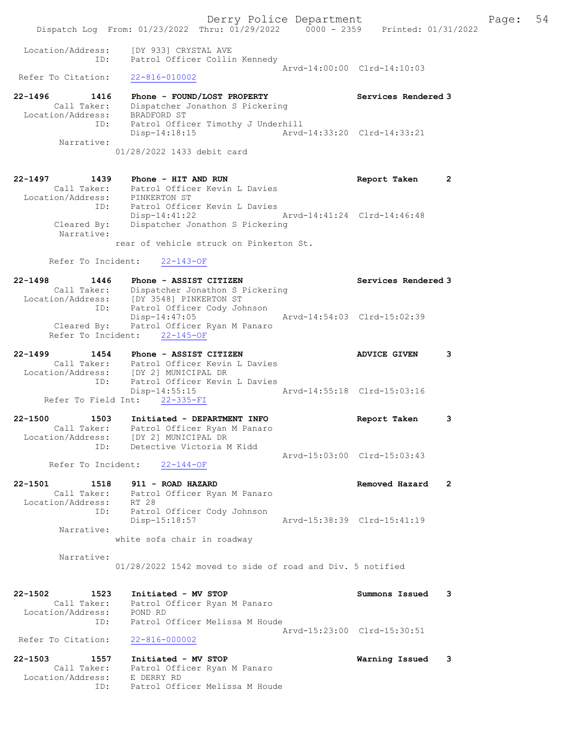|                                                                    | Dispatch Log From: 01/23/2022 Thru: 01/29/2022 0000 - 2359 Printed: 01/31/2022                                                                   |                                  |
|--------------------------------------------------------------------|--------------------------------------------------------------------------------------------------------------------------------------------------|----------------------------------|
| Location/Address:<br>ID:                                           | [DY 933] CRYSTAL AVE<br>Patrol Officer Collin Kennedy                                                                                            | Arvd-14:00:00 Clrd-14:10:03      |
| Refer To Citation:                                                 | $22 - 816 - 010002$                                                                                                                              |                                  |
| $22 - 1496$<br>1416<br>Location/Address:                           | Phone - FOUND/LOST PROPERTY<br>Call Taker: Dispatcher Jonathon S Pickering<br>BRADFORD ST                                                        | Services Rendered 3              |
| ID:<br>Narrative:                                                  | Patrol Officer Timothy J Underhill<br>$Disp-14:18:15$<br>01/28/2022 1433 debit card                                                              | Arvd-14:33:20 Clrd-14:33:21      |
| 22-1497<br>1439                                                    | Phone - HIT AND RUN<br>Call Taker: Patrol Officer Kevin L Davies                                                                                 | $\mathbf{2}$<br>Report Taken     |
| Location/Address: PINKERTON ST<br>ID:<br>Cleared By:<br>Narrative: | Patrol Officer Kevin L Davies<br>Disp-14:41:22<br>Dispatcher Jonathon S Pickering                                                                | Arvd-14:41:24 Clrd-14:46:48      |
|                                                                    | rear of vehicle struck on Pinkerton St.                                                                                                          |                                  |
| Refer To Incident:                                                 | $22 - 143 - OF$                                                                                                                                  |                                  |
| 22-1498<br>1446<br>ID:                                             | Phone - ASSIST CITIZEN<br>Call Taker: Dispatcher Jonathon S Pickering<br>Location/Address: [DY 3548] PINKERTON ST<br>Patrol Officer Cody Johnson | Services Rendered 3              |
|                                                                    | $Disp-14:47:05$<br>Cleared By: Patrol Officer Ryan M Panaro<br>Refer To Incident: 22-145-OF                                                      | Arvd-14:54:03 Clrd-15:02:39      |
| 22-1499<br>1454                                                    | Phone - ASSIST CITIZEN<br>Call Taker: Patrol Officer Kevin L Davies<br>Location/Address: [DY 2] MUNICIPAL DR                                     | <b>ADVICE GIVEN</b><br>3         |
| ID:                                                                | Patrol Officer Kevin L Davies<br>Disp-14:55:15<br>Refer To Field Int: 22-335-FI                                                                  | Arvd-14:55:18 Clrd-15:03:16      |
| $22 - 1500$<br>1503<br>Location/Address:                           | Initiated - DEPARTMENT INFO<br>Call Taker: Patrol Officer Ryan M Panaro<br>[DY 2] MUNICIPAL DR                                                   | 3<br>Report Taken                |
| ID:<br>Refer To Incident:                                          | Detective Victoria M Kidd<br>$22 - 144 - OF$                                                                                                     | Arvd-15:03:00 Clrd-15:03:43      |
| $22 - 1501$<br>1518<br>Call Taker:<br>Location/Address:            | 911 - ROAD HAZARD<br>Patrol Officer Ryan M Panaro<br>RT 28                                                                                       | Removed Hazard<br>$\overline{2}$ |
| ID:<br>Narrative:                                                  | Patrol Officer Cody Johnson<br>Disp-15:18:57<br>white sofa chair in roadway                                                                      | Arvd-15:38:39 Clrd-15:41:19      |
| Narrative:                                                         | 01/28/2022 1542 moved to side of road and Div. 5 notified                                                                                        |                                  |
| $22 - 1502$<br>1523<br>Call Taker:<br>Location/Address:            | Initiated - MV STOP<br>Patrol Officer Ryan M Panaro<br>POND RD                                                                                   | Summons Issued<br>3              |
| ID:<br>Refer To Citation:                                          | Patrol Officer Melissa M Houde<br>$22 - 816 - 000002$                                                                                            | Arvd-15:23:00 Clrd-15:30:51      |
| $22 - 1503$<br>1557<br>Call Taker:<br>Location/Address:<br>ID:     | Initiated - MV STOP<br>Patrol Officer Ryan M Panaro<br>E DERRY RD<br>Patrol Officer Melissa M Houde                                              | Warning Issued<br>3              |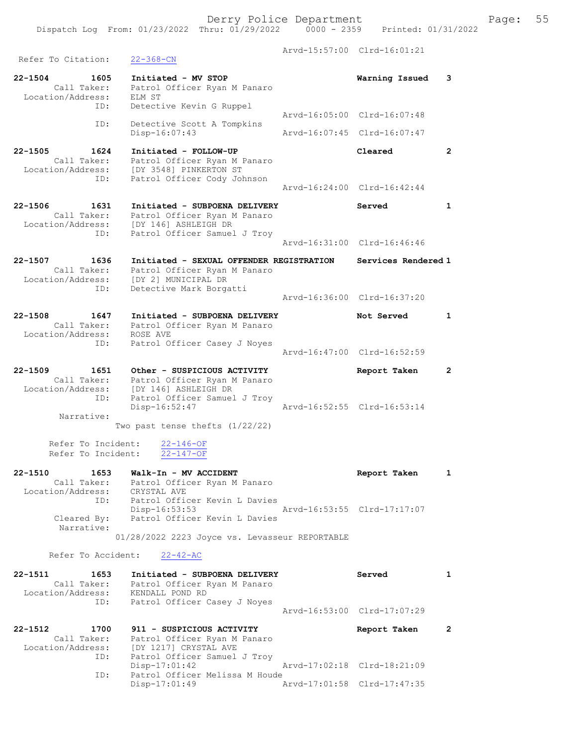Derry Police Department Fage: 55 Dispatch Log From: 01/23/2022 Thru: 01/29/2022 0000 - 2359 Printed: 01/31/2022 Arvd-15:57:00 Clrd-16:01:21 Refer To Citation: 22-368-CN 22-1504 1605 Initiated - MV STOP Warning Issued 3 Call Taker: Patrol Officer Ryan M Panaro Location/Address: ELM ST ID: Detective Kevin G Ruppel Arvd-16:05:00 Clrd-16:07:48 ID: Detective Scott A Tompkins<br>Disp-16:07:43 Disp-16:07:43 Arvd-16:07:45 Clrd-16:07:47 22-1505 1624 Initiated - FOLLOW-UP Cleared 2 Call Taker: Patrol Officer Ryan M Panaro Location/Address: [DY 3548] PINKERTON ST ID: Patrol Officer Cody Johnson Arvd-16:24:00 Clrd-16:42:44 22-1506 1631 Initiated - SUBPOENA DELIVERY Served 1 Call Taker: Patrol Officer Ryan M Panaro Location/Address: [DY 146] ASHLEIGH DR ID: Patrol Officer Samuel J Troy Arvd-16:31:00 Clrd-16:46:46 22-1507 1636 Initiated - SEXUAL OFFENDER REGISTRATION Services Rendered 1 Call Taker: Patrol Officer Ryan M Panaro Location/Address: [DY 2] MUNICIPAL DR ID: Detective Mark Borgatti Arvd-16:36:00 Clrd-16:37:20 22-1508 1647 Initiated - SUBPOENA DELIVERY Not Served 1 Call Taker: Patrol Officer Ryan M Panaro Location/Address: ROSE AVE ID: Patrol Officer Casey J Noyes Arvd-16:47:00 Clrd-16:52:59 22-1509 1651 Other - SUSPICIOUS ACTIVITY Report Taken 2 Call Taker: Patrol Officer Ryan M Panaro Location/Address: [DY 146] ASHLEIGH DR ID: Patrol Officer Samuel J Troy Disp-16:52:47 Arvd-16:52:55 Clrd-16:53:14 Narrative: Two past tense thefts (1/22/22) Refer To Incident:  $\frac{22-146-OF}{22-147-OF}$ Refer To Incident: 22-1510 1653 Walk-In - MV ACCIDENT Report Taken 1 Call Taker: Patrol Officer Ryan M Panaro Location/Address: CRYSTAL AVE ID: Patrol Officer Kevin L Davies Disp-16:53:53 Arvd-16:53:55 Clrd-17:17:07 Cleared By: Patrol Officer Kevin L Davies Narrative: 01/28/2022 2223 Joyce vs. Levasseur REPORTABLE

Refer To Accident: 22-42-AC

| $22 - 1511$<br>Location/Address: | 1653<br>Call Taker:<br>ID: | Initiated - SUBPOENA DELIVERY<br>Patrol Officer Ryan M Panaro<br>KENDALL POND RD<br>Patrol Officer Casey J Noyes | Served                      |  |
|----------------------------------|----------------------------|------------------------------------------------------------------------------------------------------------------|-----------------------------|--|
|                                  |                            |                                                                                                                  | Arvd-16:53:00 Clrd-17:07:29 |  |
| $22 - 1512$<br>Location/Address: | 1700<br>Call Taker:        | 911 - SUSPICIOUS ACTIVITY<br>Patrol Officer Ryan M Panaro<br>IDY 12171 CRYSTAL AVE                               | Report Taken                |  |

| Location/Address: | [DY 1217] CRYSTAL AVE          |                             |  |
|-------------------|--------------------------------|-----------------------------|--|
| ID:               | Patrol Officer Samuel J Troy   |                             |  |
|                   | Disp-17:01:42                  | Arvd-17:02:18 Clrd-18:21:09 |  |
| ID:               | Patrol Officer Melissa M Houde |                             |  |
|                   | Disp-17:01:49                  | Arvd-17:01:58 Clrd-17:47:35 |  |
|                   |                                |                             |  |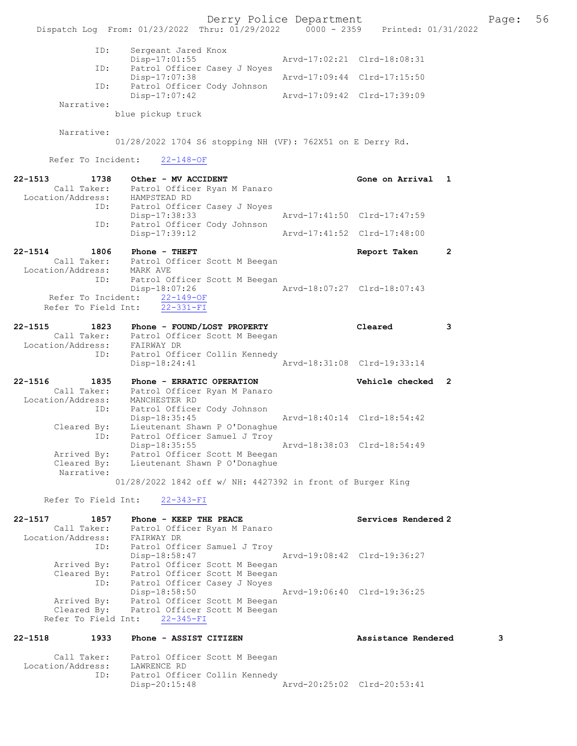Derry Police Department Fage: 56 Dispatch Log From: 01/23/2022 Thru: 01/29/2022 0000 - 2359 Printed: 01/31/2022 ID: Sergeant Jared Knox<br>Disp-17:01:55 Disp-17:01:55 Arvd-17:02:21 Clrd-18:08:31<br>TD: Patrol Officer Casey J Noves Patrol Officer Casey J Noyes<br>Disp-17:07:38 Disp-17:07:38 Arvd-17:09:44 Clrd-17:15:50 ID: Patrol Officer Cody Johnson Disp-17:07:42 Arvd-17:09:42 Clrd-17:39:09 Narrative: blue pickup truck Narrative: 01/28/2022 1704 S6 stopping NH (VF): 762X51 on E Derry Rd. Refer To Incident: 22-148-OF 22-1513 1738 Other - MV ACCIDENT 1992 Cone on Arrival 1 Call Taker: Patrol Officer Ryan M Panaro Location/Address: HAMPSTEAD RD ID: Patrol Officer Casey J Noyes<br>Disp-17:38:33 Disp-17:38:33 Arvd-17:41:50 Clrd-17:47:59 ID: Patrol Officer Cody Johnson<br>Disp-17:39:12 Disp-17:39:12 Arvd-17:41:52 Clrd-17:48:00 22-1514 1806 Phone - THEFT 2 Call Taker: Patrol Officer Scott M Beegan Location/Address: MARK AVE ID: Patrol Officer Scott M Beegan<br>Disp-18:07:26 Disp-18:07:26 Arvd-18:07:27 Clrd-18:07:43 Refer To Incident: 22-149-OF Refer To Field Int: 22-331-FI 22-1515 1823 Phone - FOUND/LOST PROPERTY Cleared 3 Call Taker: Patrol Officer Scott M Beegan Location/Address: FAIRWAY DR ID: Patrol Officer Collin Kennedy Disp-18:24:41 Arvd-18:31:08 Clrd-19:33:14 22-1516 1835 Phone - ERRATIC OPERATION Vehicle checked 2 Call Taker: Patrol Officer Ryan M Panaro Location/Address: MANCHESTER RD ID: Patrol Officer Cody Johnson Disp-18:35:45 Arvd-18:40:14 Clrd-18:54:42 Cleared By: Lieutenant Shawn P O'Donaghue ID: Patrol Officer Samuel J Troy Disp-18:35:55 Arvd-18:38:03 Clrd-18:54:49 Arrived By: Patrol Officer Scott M Beegan Cleared By: Lieutenant Shawn P O'Donaghue Narrative: 01/28/2022 1842 off w/ NH: 4427392 in front of Burger King

Refer To Field Int: 22-343-FI

| $22 - 1517$<br>1857 | Phone - KEEP THE PEACE        | Services Rendered 2         |
|---------------------|-------------------------------|-----------------------------|
| Call Taker:         | Patrol Officer Ryan M Panaro  |                             |
| Location/Address:   | FAIRWAY DR                    |                             |
| ID:                 | Patrol Officer Samuel J Troy  |                             |
|                     | Disp-18:58:47                 | Arvd-19:08:42 Clrd-19:36:27 |
| Arrived By:         | Patrol Officer Scott M Beegan |                             |
| Cleared By:         | Patrol Officer Scott M Beegan |                             |
| ID:                 | Patrol Officer Casey J Noyes  |                             |
|                     | Disp-18:58:50                 | Arvd-19:06:40 Clrd-19:36:25 |
| Arrived By:         | Patrol Officer Scott M Beegan |                             |
| Cleared By:         | Patrol Officer Scott M Beegan |                             |
| Refer To Field Int: | 22-345-FI                     |                             |

#### 22-1518 1933 Phone - ASSIST CITIZEN Assistance Rendered 3

| Call Taker:       | Patrol Officer Scott M Beegan |                             |  |
|-------------------|-------------------------------|-----------------------------|--|
| Location/Address: | LAWRENCE RD                   |                             |  |
| ID:               | Patrol Officer Collin Kennedy |                             |  |
|                   | Disp-20:15:48                 | Arvd-20:25:02 Clrd-20:53:41 |  |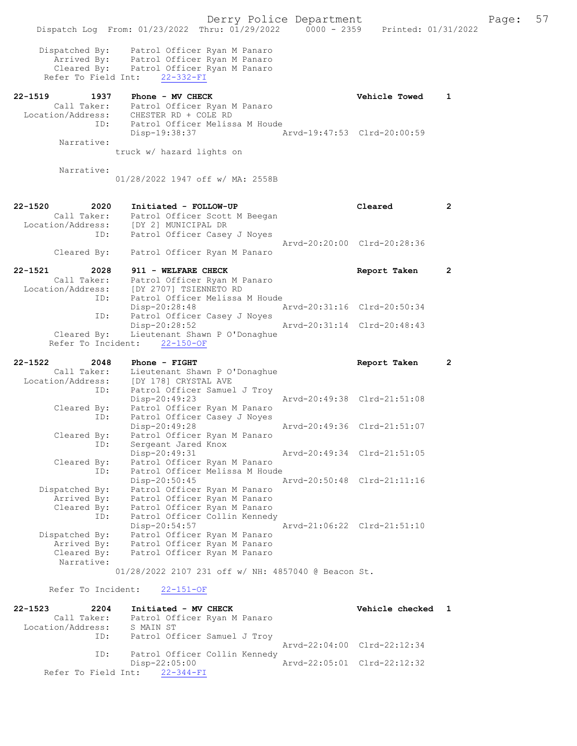|                                                      |                           |                                                                                                          | Derry Police Department |                             |                     |
|------------------------------------------------------|---------------------------|----------------------------------------------------------------------------------------------------------|-------------------------|-----------------------------|---------------------|
| Dispatch Log From: 01/23/2022 Thru: 01/29/2022       |                           |                                                                                                          | $0000 - 2359$           |                             | Printed: 01/31/2022 |
| Dispatched By:<br>Arrived By:<br>Refer To Field Int: | $22 - 332 - FI$           | Patrol Officer Ryan M Panaro<br>Patrol Officer Ryan M Panaro<br>Cleared By: Patrol Officer Ryan M Panaro |                         |                             |                     |
| $22 - 1519$<br>1937                                  | Phone - MV CHECK          |                                                                                                          |                         | <b>Vehicle Towed</b>        | 1                   |
| Location/Address:<br>ID:                             | CHESTER RD + COLE RD      | Call Taker: Patrol Officer Ryan M Panaro<br>Patrol Officer Melissa M Houde                               |                         |                             |                     |
| Narrative:                                           | Disp-19:38:37             |                                                                                                          |                         | Arvd-19:47:53 Clrd-20:00:59 |                     |
|                                                      | truck w/ hazard lights on |                                                                                                          |                         |                             |                     |
| Narrative:                                           |                           |                                                                                                          |                         |                             |                     |
|                                                      |                           | 01/28/2022 1947 off w/ MA: 2558B                                                                         |                         |                             |                     |
| $22 - 1520$<br>2020                                  | Initiated - FOLLOW-UP     |                                                                                                          |                         | Cleared                     | $\overline{2}$      |
| Call Taker:                                          |                           | Patrol Officer Scott M Beegan                                                                            |                         |                             |                     |
| Location/Address:<br>ID:                             | [DY 2] MUNICIPAL DR       | Patrol Officer Casey J Noyes                                                                             |                         |                             |                     |
|                                                      |                           |                                                                                                          |                         | Arvd-20:20:00 Clrd-20:28:36 |                     |
| Cleared By:                                          |                           | Patrol Officer Ryan M Panaro                                                                             |                         |                             |                     |
| $22 - 1521$<br>2028                                  | 911 - WELFARE CHECK       |                                                                                                          |                         | Report Taken                | $\mathbf{2}$        |
| Call Taker:<br>Location/Address:                     | [DY 2707] TSIENNETO RD    | Patrol Officer Ryan M Panaro                                                                             |                         |                             |                     |
| ID:                                                  |                           | Patrol Officer Melissa M Houde                                                                           |                         |                             |                     |
| ID:                                                  | $Disp-20:28:48$           | Patrol Officer Casey J Noyes                                                                             |                         | Arvd-20:31:16 Clrd-20:50:34 |                     |
|                                                      | Disp-20:28:52             |                                                                                                          |                         | Arvd-20:31:14 Clrd-20:48:43 |                     |
| Cleared By:<br>Refer To Incident:                    | $22 - 150 - OF$           | Lieutenant Shawn P O'Donaghue                                                                            |                         |                             |                     |
|                                                      |                           |                                                                                                          |                         |                             |                     |
| 22-1522<br>2048                                      | Phone - FIGHT             |                                                                                                          |                         | Report Taken                | $\mathbf{2}$        |
| Call Taker:<br>Location/Address:                     | [DY 178] CRYSTAL AVE      | Lieutenant Shawn P O'Donaghue                                                                            |                         |                             |                     |
| ID:                                                  |                           | Patrol Officer Samuel J Troy                                                                             |                         |                             |                     |
| Cleared By:                                          | $Disp-20:49:23$           | Patrol Officer Ryan M Panaro                                                                             |                         | Arvd-20:49:38 Clrd-21:51:08 |                     |
| ID:                                                  |                           | Patrol Officer Casey J Noyes                                                                             |                         |                             |                     |
| Cleared By:                                          | Disp-20:49:28             | Patrol Officer Ryan M Panaro                                                                             |                         | Arvd-20:49:36 Clrd-21:51:07 |                     |
| ID:                                                  | Sergeant Jared Knox       |                                                                                                          |                         |                             |                     |
| Cleared By:                                          | Disp-20:49:31             | Patrol Officer Ryan M Panaro                                                                             |                         | Arvd-20:49:34 Clrd-21:51:05 |                     |
| ID:                                                  |                           | Patrol Officer Melissa M Houde                                                                           |                         |                             |                     |
|                                                      | Disp-20:50:45             |                                                                                                          |                         | Arvd-20:50:48 Clrd-21:11:16 |                     |
| Dispatched By:<br>Arrived By:                        |                           | Patrol Officer Ryan M Panaro<br>Patrol Officer Ryan M Panaro                                             |                         |                             |                     |
| Cleared By:                                          |                           | Patrol Officer Ryan M Panaro                                                                             |                         |                             |                     |
| ID:                                                  | Disp-20:54:57             | Patrol Officer Collin Kennedy                                                                            |                         | Arvd-21:06:22 Clrd-21:51:10 |                     |
| Dispatched By:                                       |                           | Patrol Officer Ryan M Panaro                                                                             |                         |                             |                     |
| Arrived By:                                          |                           | Patrol Officer Ryan M Panaro                                                                             |                         |                             |                     |
| Cleared By:<br>Narrative:                            |                           | Patrol Officer Ryan M Panaro                                                                             |                         |                             |                     |
|                                                      |                           | 01/28/2022 2107 231 off w/ NH: 4857040 @ Beacon St.                                                      |                         |                             |                     |
| Refer To Incident:                                   | $22 - 151 - OF$           |                                                                                                          |                         |                             |                     |
|                                                      |                           |                                                                                                          |                         |                             |                     |

| $22 - 1523$                   | 2204 |           | Initiated - MV CHECK          |  | Vehicle checked 1           |  |
|-------------------------------|------|-----------|-------------------------------|--|-----------------------------|--|
| Call Taker:                   |      |           | Patrol Officer Ryan M Panaro  |  |                             |  |
| Location/Address:             |      | S MAIN ST |                               |  |                             |  |
|                               | ID:  |           | Patrol Officer Samuel J Troy  |  |                             |  |
|                               |      |           |                               |  | Aryd-22:04:00 Clrd-22:12:34 |  |
|                               | ID:  |           | Patrol Officer Collin Kennedy |  |                             |  |
|                               |      |           | $Disp-22:05:00$               |  | Arvd-22:05:01 Clrd-22:12:32 |  |
| Refer To Field Int: 22-344-FI |      |           |                               |  |                             |  |

Page: 57<br>2022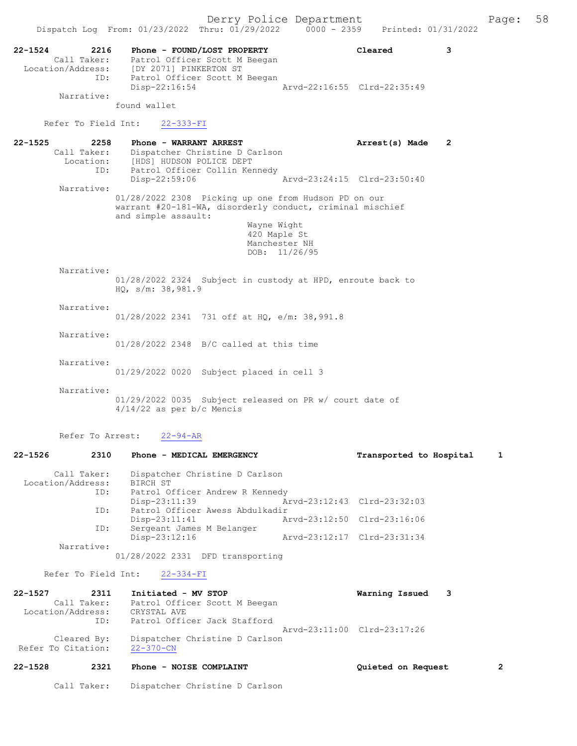|                                          | Dispatch Log From: 01/23/2022 Thru: 01/29/2022 0000 - 2359                                                                                                               |                                | Printed: 01/31/2022                         |   |
|------------------------------------------|--------------------------------------------------------------------------------------------------------------------------------------------------------------------------|--------------------------------|---------------------------------------------|---|
| $22 - 1524$<br>2216<br>ID:<br>Narrative: | Phone - FOUND/LOST PROPERTY<br>Call Taker: Patrol Officer Scott M Beegan<br>Location/Address: [DY 2071] PINKERTON ST<br>Patrol Officer Scott M Beegan<br>$Disp-22:16:54$ |                                | Cleared<br>3<br>Arvd-22:16:55 Clrd-22:35:49 |   |
|                                          | found wallet                                                                                                                                                             |                                |                                             |   |
| Refer To Field Int:                      | 22-333-FI                                                                                                                                                                |                                |                                             |   |
| $22 - 1525$                              | 2258<br>Phone - WARRANT ARREST                                                                                                                                           |                                | Arrest(s) Made<br>$\mathbf{2}$              |   |
| Location:<br>ID:                         | Call Taker: Dispatcher Christine D Carlson<br>[HDS] HUDSON POLICE DEPT<br>Patrol Officer Collin Kennedy<br>Disp-22:59:06                                                 |                                | Arvd-23:24:15 Clrd-23:50:40                 |   |
| Narrative:                               |                                                                                                                                                                          |                                |                                             |   |
|                                          | 01/28/2022 2308 Picking up one from Hudson PD on our<br>warrant #20-181-WA, disorderly conduct, criminal mischief<br>and simple assault:                                 |                                |                                             |   |
|                                          |                                                                                                                                                                          | Wayne Wight<br>420 Maple St    |                                             |   |
|                                          |                                                                                                                                                                          | Manchester NH<br>DOB: 11/26/95 |                                             |   |
| Narrative:                               |                                                                                                                                                                          |                                |                                             |   |
|                                          | 01/28/2022 2324 Subject in custody at HPD, enroute back to<br>HQ, s/m: 38,981.9                                                                                          |                                |                                             |   |
| Narrative:                               | 01/28/2022 2341 731 off at HQ, e/m: 38,991.8                                                                                                                             |                                |                                             |   |
| Narrative:                               | $01/28/2022$ 2348 B/C called at this time                                                                                                                                |                                |                                             |   |
| Narrative:                               | 01/29/2022 0020 Subject placed in cell 3                                                                                                                                 |                                |                                             |   |
| Narrative:                               | 01/29/2022 0035 Subject released on PR w/ court date of<br>$4/14/22$ as per b/c Mencis                                                                                   |                                |                                             |   |
| Refer To Arrest:                         | $22 - 94 - AR$                                                                                                                                                           |                                |                                             |   |
| 2310<br>22-1526                          | Phone - MEDICAL EMERGENCY                                                                                                                                                |                                | Transported to Hospital                     | 1 |
| Call Taker:<br>Location/Address:<br>ID:  | Dispatcher Christine D Carlson<br>BIRCH ST<br>Patrol Officer Andrew R Kennedy                                                                                            |                                |                                             |   |
|                                          | $Disp-23:11:39$                                                                                                                                                          |                                | Arvd-23:12:43 Clrd-23:32:03                 |   |
| ID:                                      | Patrol Officer Awess Abdulkadir<br>$Disp-23:11:41$                                                                                                                       |                                | Arvd-23:12:50 Clrd-23:16:06                 |   |
| ID:                                      | Sergeant James M Belanger<br>Disp-23:12:16                                                                                                                               |                                | Arvd-23:12:17 Clrd-23:31:34                 |   |
| Narrative:                               | 01/28/2022 2331 DFD transporting                                                                                                                                         |                                |                                             |   |
| Refer To Field Int:                      | $22 - 334 - FI$                                                                                                                                                          |                                |                                             |   |
| 22-1527<br>2311                          | Initiated - MV STOP                                                                                                                                                      |                                | Warning Issued<br>3                         |   |
| Call Taker:<br>Location/Address:         | Patrol Officer Scott M Beegan<br>CRYSTAL AVE                                                                                                                             |                                |                                             |   |
| ID:                                      | Patrol Officer Jack Stafford                                                                                                                                             |                                |                                             |   |
| Cleared By:<br>Refer To Citation:        | Dispatcher Christine D Carlson<br>$22 - 370 - CN$                                                                                                                        |                                | Arvd-23:11:00 Clrd-23:17:26                 |   |
| $22 - 1528$<br>2321                      | Phone - NOISE COMPLAINT                                                                                                                                                  |                                | Quieted on Request                          | 2 |

Call Taker: Dispatcher Christine D Carlson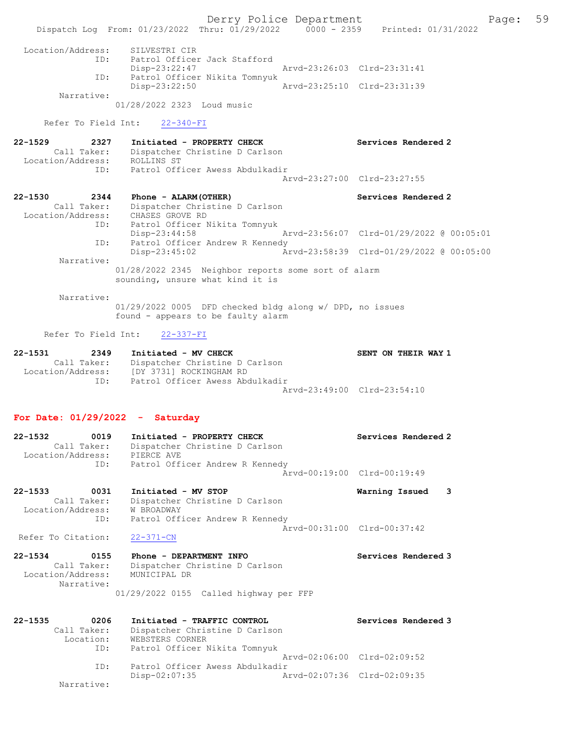Derry Police Department Fage: 59 Dispatch Log From: 01/23/2022 Thru: 01/29/2022 0000 - 2359 Printed: 01/31/2022 Location/Address: SILVESTRI CIR ID: Patrol Officer Jack Stafford Disp-23:22:47 Arvd-23:26:03 Clrd-23:31:41 ID: Patrol Officer Nikita Tomnyuk<br>Disp-23:22:50 Mrvd-23:25:10 Clrd-23:31:39 Disp-23:22:50 Narrative: 01/28/2022 2323 Loud music Refer To Field Int: 22-340-FI 22-1529 2327 Initiated - PROPERTY CHECK Services Rendered 2 Call Taker: Dispatcher Christine D Carlson Location/Address: ROLLINS ST ID: Patrol Officer Awess Abdulkadir Arvd-23:27:00 Clrd-23:27:55 22-1530 2344 Phone - ALARM(OTHER) Services Rendered 2 Call Taker: Dispatcher Christine D Carlson Location/Address: CHASES GROVE RD ID: Patrol Officer Nikita Tomnyuk Disp-23:44:58 Arvd-23:56:07 Clrd-01/29/2022 @ 00:05:01 ID: Patrol Officer Andrew R Kennedy Disp-23:45:02 Arvd-23:58:39 Clrd-01/29/2022 @ 00:05:00 Narrative: 01/28/2022 2345 Neighbor reports some sort of alarm sounding, unsure what kind it is Narrative: 01/29/2022 0005 DFD checked bldg along w/ DPD, no issues found - appears to be faulty alarm Refer To Field Int: 22-337-FI 22-1531 2349 Initiated - MV CHECK SENT ON THEIR WAY 1 Call Taker: Dispatcher Christine D Carlson

## For Date: 01/29/2022 - Saturday

Location/Address: [DY 3731] ROCKINGHAM RD

ID: Patrol Officer Awess Abdulkadir

| 22-1532           | 0019        | Initiated - PROPERTY CHECK      | Services Rendered 2         |
|-------------------|-------------|---------------------------------|-----------------------------|
|                   | Call Taker: | Dispatcher Christine D Carlson  |                             |
| Location/Address: |             | PIERCE AVE                      |                             |
|                   | ID:         | Patrol Officer Andrew R Kennedy |                             |
|                   |             |                                 | Arvd-00:19:00 Clrd-00:19:49 |
|                   |             |                                 |                             |

Arvd-23:49:00 Clrd-23:54:10

22-1533 0031 Initiated - MV STOP Warning Issued 3 Call Taker: Dispatcher Christine D Carlson Location/Address: W BROADWAY ID: Patrol Officer Andrew R Kennedy  $\bar{A}rvd-00:31:00$  Clrd-00:37:42<br>22-371-CN

Refer To Citation:

22-1534 0155 Phone - DEPARTMENT INFO Services Rendered 3 Call Taker: Dispatcher Christine D Carlson Location/Address: MUNICIPAL DR Narrative: 01/29/2022 0155 Called highway per FFP

| $22 - 1535$ | 0206        | Initiated - TRAFFIC CONTROL     | Services Rendered 3         |
|-------------|-------------|---------------------------------|-----------------------------|
|             | Call Taker: | Dispatcher Christine D Carlson  |                             |
|             | Location:   | WEBSTERS CORNER                 |                             |
|             | ID:         | Patrol Officer Nikita Tomnyuk   |                             |
|             |             |                                 | Aryd-02:06:00 Clrd-02:09:52 |
|             | TD:         | Patrol Officer Awess Abdulkadir |                             |
|             |             | $Disp-02:07:35$                 | Arvd-02:07:36 Clrd-02:09:35 |
|             | Narrative:  |                                 |                             |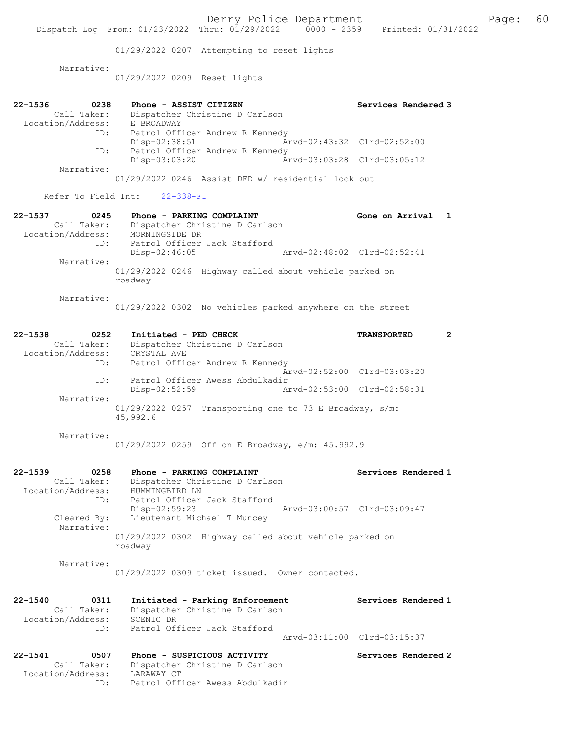01/29/2022 0207 Attempting to reset lights

Narrative:

01/29/2022 0209 Reset lights

| 22-1536           | 0238        | Phone - ASSIST CITIZEN          | Services Rendered 3         |
|-------------------|-------------|---------------------------------|-----------------------------|
|                   | Call Taker: | Dispatcher Christine D Carlson  |                             |
| Location/Address: |             | E BROADWAY                      |                             |
|                   | ID:         | Patrol Officer Andrew R Kennedy |                             |
|                   |             | $Disp-02:38:51$                 | Arvd-02:43:32 Clrd-02:52:00 |
|                   | ID:         | Patrol Officer Andrew R Kennedy |                             |
|                   |             | $Disp-03:03:20$                 | Arvd-03:03:28 Clrd-03:05:12 |
|                   | Narrative:  |                                 |                             |

01/29/2022 0246 Assist DFD w/ residential lock out

## Refer To Field Int: 22-338-FI

| $22 - 1537$       | 0245        | Phone - PARKING COMPLAINT                                         | Gone on Arrival 1 |  |
|-------------------|-------------|-------------------------------------------------------------------|-------------------|--|
|                   | Call Taker: | Dispatcher Christine D Carlson                                    |                   |  |
| Location/Address: |             | MORNINGSIDE DR                                                    |                   |  |
|                   | ID:         | Patrol Officer Jack Stafford                                      |                   |  |
|                   |             | Arvd-02:48:02 Clrd-02:52:41<br>$Disp-02:46:05$                    |                   |  |
|                   | Narrative:  |                                                                   |                   |  |
|                   |             | 01/29/2022 0246 Highway called about vehicle parked on<br>roadway |                   |  |
|                   | Narrative:  |                                                                   |                   |  |

01/29/2022 0302 No vehicles parked anywhere on the street

## 22-1538 0252 Initiated - PED CHECK TRANSPORTED 2 Call Taker: Dispatcher Christine D Carlson Location/Address: CRYSTAL AVE ID: Patrol Officer Andrew R Kennedy Arvd-02:52:00 Clrd-03:03:20 ID: Patrol Officer Awess Abdulkadir<br>Disp-02:52:59 Ar Disp-02:52:59 Arvd-02:53:00 Clrd-02:58:31 Narrative: 01/29/2022 0257 Transporting one to 73 E Broadway, s/m: 45,992.6

Narrative:

01/29/2022 0259 Off on E Broadway, e/m: 45.992.9

| $22 - 1539$       | 0258                      | Phone - PARKING COMPLAINT                                         |  |                             | Services Rendered 1 |  |
|-------------------|---------------------------|-------------------------------------------------------------------|--|-----------------------------|---------------------|--|
|                   | Call Taker:               | Dispatcher Christine D Carlson                                    |  |                             |                     |  |
| Location/Address: |                           | HUMMINGBIRD LN                                                    |  |                             |                     |  |
|                   | ID:                       | Patrol Officer Jack Stafford                                      |  |                             |                     |  |
|                   |                           | $Disp-02:59:23$                                                   |  | Arvd-03:00:57 Clrd-03:09:47 |                     |  |
|                   | Cleared By:<br>Narrative: | Lieutenant Michael T Muncey                                       |  |                             |                     |  |
|                   |                           | 01/29/2022 0302 Highway called about vehicle parked on<br>roadway |  |                             |                     |  |
|                   | Narrative:                |                                                                   |  |                             |                     |  |

01/29/2022 0309 ticket issued. Owner contacted.

| 22-1540<br>0311   | Initiated - Parking Enforcement | Services Rendered 1         |
|-------------------|---------------------------------|-----------------------------|
| Call Taker:       |                                 |                             |
| Location/Address: | SCENIC DR                       |                             |
| TD:               | Patrol Officer Jack Stafford    |                             |
|                   |                                 | Arvd-03:11:00 Clrd-03:15:37 |
|                   |                                 |                             |

## 22-1541 0507 Phone - SUSPICIOUS ACTIVITY Services Rendered 2 Call Taker: Dispatcher Christine D Carlson Location/Address: LARAWAY CT ID: Patrol Officer Awess Abdulkadir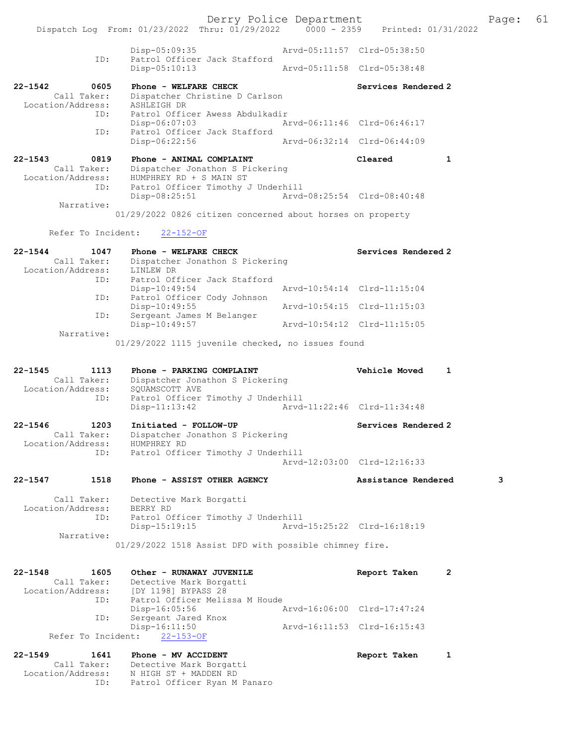Derry Police Department The Page: 61 Dispatch Log From: 01/23/2022 Thru: 01/29/2022 0000 - 2359 Printed: 01/31/2022 Disp-05:09:35 Arvd-05:11:57 Clrd-05:38:50 ID: Patrol Officer Jack Stafford Disp-05:10:13 Arvd-05:11:58 Clrd-05:38:48 22-1542 0605 Phone - WELFARE CHECK Services Rendered 2 Call Taker: Dispatcher Christine D Carlson Location/Address: ASHLEIGH DR ID: Patrol Officer Awess Abdulkadir Disp-06:07:03 Arvd-06:11:46 Clrd-06:46:17 ID: Patrol Officer Jack Stafford Disp-06:22:56 Arvd-06:32:14 Clrd-06:44:09 22-1543 0819 Phone - ANIMAL COMPLAINT Cleared 1 Call Taker: Dispatcher Jonathon S Pickering Location/Address: HUMPHREY RD + S MAIN ST ID: Patrol Officer Timothy J Underhill Disp-08:25:51 Arvd-08:25:54 Clrd-08:40:48 Narrative: 01/29/2022 0826 citizen concerned about horses on property Refer To Incident: 22-152-OF 22-1544 1047 Phone - WELFARE CHECK Services Rendered 2 Call Taker: Dispatcher Jonathon S Pickering<br>ion/Address: LINLEW DR Location/Address: ID: Patrol Officer Jack Stafford Disp-10:49:54 Arvd-10:54:14 Clrd-11:15:04 ID: Patrol Officer Cody Johnson Disp-10:49:55 Arvd-10:54:15 Clrd-11:15:03 ID: Sergeant James M Belanger Disp-10:49:57 Arvd-10:54:12 Clrd-11:15:05 Narrative: 01/29/2022 1115 juvenile checked, no issues found 22-1545 1113 Phone - PARKING COMPLAINT Vehicle Moved 1 Call Taker: Dispatcher Jonathon S Pickering Location/Address: SQUAMSCOTT AVE ID: Patrol Officer Timothy J Underhill Disp-11:13:42 Arvd-11:22:46 Clrd-11:34:48 22-1546 1203 Initiated - FOLLOW-UP Services Rendered 2 Call Taker: Dispatcher Jonathon S Pickering Location/Address: HUMPHREY RD Patrol Officer Timothy J Underhill Arvd-12:03:00 Clrd-12:16:33 22-1547 1518 Phone - ASSIST OTHER AGENCY Assistance Rendered 3 Call Taker: Detective Mark Borgatti Location/Address: BERRY RD<br>ID: Patrol 0 Patrol Officer Timothy J Underhill<br>Disp-15:19:15 Arvd Arvd-15:25:22 Clrd-16:18:19 Narrative: 01/29/2022 1518 Assist DFD with possible chimney fire. 22-1548 1605 Other - RUNAWAY JUVENILE<br>
Call Taker: Detective Mark Borgatti Call Taker: Detective Mark Borgatti Location/Address: [DY 1198] BYPASS 28 ID: Patrol Officer Melissa M Houde Disp-16:05:56 Arvd-16:06:00 Clrd-17:47:24 ID: Sergeant Jared Knox Disp-16:11:50 Arvd-16:11:53 Clrd-16:15:43 Refer To Incident: 22-153-OF 22-1549 1641 Phone - MV ACCIDENT 1 22-1549 Report Taken 1 Call Taker: Detective Mark Borgatti Location/Address: N HIGH ST + MADDEN RD ID: Patrol Officer Ryan M Panaro